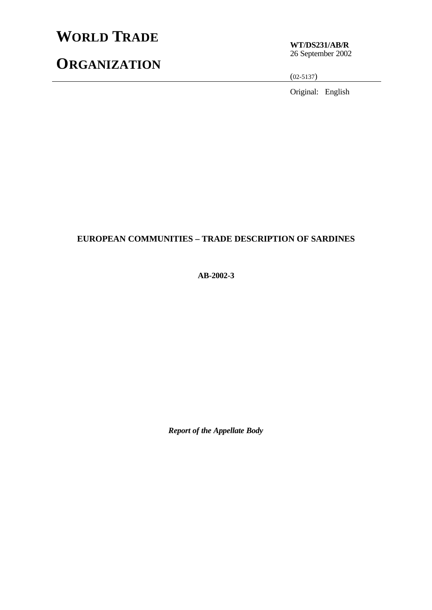# **WORLD TRADE**

## **ORGANIZATION**

**WT/DS231/AB/R** 26 September 2002

(02-5137)

Original: English

## **EUROPEAN COMMUNITIES – TRADE DESCRIPTION OF SARDINES**

**AB-2002-3**

*Report of the Appellate Body*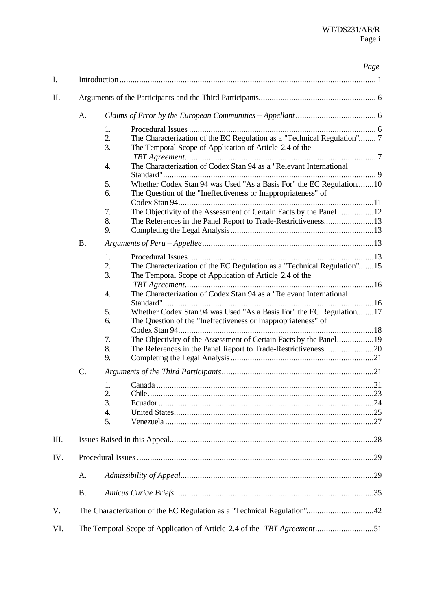|      |           |                                                                                                                                                | Page |  |  |
|------|-----------|------------------------------------------------------------------------------------------------------------------------------------------------|------|--|--|
| I.   |           |                                                                                                                                                |      |  |  |
| Π.   |           |                                                                                                                                                |      |  |  |
|      | A.        |                                                                                                                                                |      |  |  |
|      |           | 1.                                                                                                                                             |      |  |  |
|      |           | The Characterization of the EC Regulation as a "Technical Regulation" 7<br>2.                                                                  |      |  |  |
|      |           | 3.<br>The Temporal Scope of Application of Article 2.4 of the                                                                                  |      |  |  |
|      |           |                                                                                                                                                |      |  |  |
|      |           | The Characterization of Codex Stan 94 as a "Relevant International<br>4.                                                                       |      |  |  |
|      |           | Whether Codex Stan 94 was Used "As a Basis For" the EC Regulation10<br>5.                                                                      |      |  |  |
|      |           | The Question of the "Ineffectiveness or Inappropriateness" of<br>6.                                                                            |      |  |  |
|      |           | The Objectivity of the Assessment of Certain Facts by the Panel12<br>7.                                                                        |      |  |  |
|      |           | 8.<br>The References in the Panel Report to Trade-Restrictiveness13                                                                            |      |  |  |
|      |           | 9.                                                                                                                                             |      |  |  |
|      | <b>B.</b> |                                                                                                                                                |      |  |  |
|      |           |                                                                                                                                                |      |  |  |
|      |           | 1.                                                                                                                                             |      |  |  |
|      |           | The Characterization of the EC Regulation as a "Technical Regulation"15<br>2.<br>3.<br>The Temporal Scope of Application of Article 2.4 of the |      |  |  |
|      |           |                                                                                                                                                |      |  |  |
|      |           | The Characterization of Codex Stan 94 as a "Relevant International<br>4.                                                                       |      |  |  |
|      |           |                                                                                                                                                |      |  |  |
|      |           | Whether Codex Stan 94 was Used "As a Basis For" the EC Regulation17<br>5.                                                                      |      |  |  |
|      |           | The Question of the "Ineffectiveness or Inappropriateness" of<br>6.                                                                            |      |  |  |
|      |           |                                                                                                                                                |      |  |  |
|      |           | The Objectivity of the Assessment of Certain Facts by the Panel19<br>7.                                                                        |      |  |  |
|      |           | 8.<br>The References in the Panel Report to Trade-Restrictiveness20<br>9.                                                                      |      |  |  |
|      |           |                                                                                                                                                |      |  |  |
|      | C.        |                                                                                                                                                |      |  |  |
|      |           | 1.                                                                                                                                             |      |  |  |
|      |           | 2.                                                                                                                                             |      |  |  |
|      |           | 3.                                                                                                                                             |      |  |  |
|      |           | 4.                                                                                                                                             |      |  |  |
|      |           | 5.                                                                                                                                             |      |  |  |
| III. |           |                                                                                                                                                |      |  |  |
| IV.  |           |                                                                                                                                                |      |  |  |
|      | А.        |                                                                                                                                                |      |  |  |
|      | <b>B.</b> |                                                                                                                                                |      |  |  |
| V.   |           |                                                                                                                                                |      |  |  |
| VI.  |           |                                                                                                                                                |      |  |  |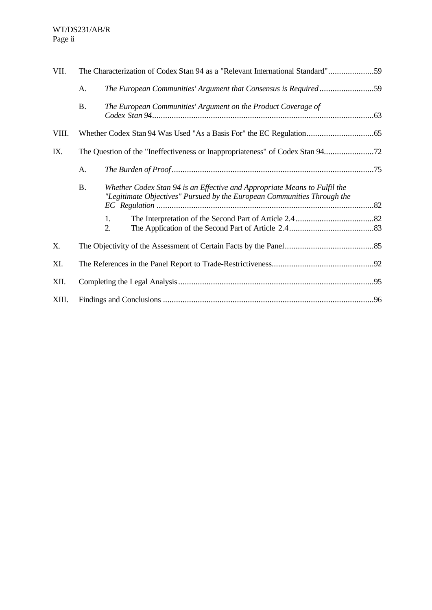| VII.  | The Characterization of Codex Stan 94 as a "Relevant International Standard" |                                                                                                                                                      |  |  |  |
|-------|------------------------------------------------------------------------------|------------------------------------------------------------------------------------------------------------------------------------------------------|--|--|--|
|       | A.                                                                           | The European Communities' Argument that Consensus is Required59                                                                                      |  |  |  |
|       | <b>B.</b>                                                                    | The European Communities' Argument on the Product Coverage of                                                                                        |  |  |  |
| VIII. |                                                                              |                                                                                                                                                      |  |  |  |
| IX.   |                                                                              | The Question of the "Ineffectiveness or Inappropriateness" of Codex Stan 94                                                                          |  |  |  |
|       | A.                                                                           |                                                                                                                                                      |  |  |  |
|       | <b>B.</b>                                                                    | Whether Codex Stan 94 is an Effective and Appropriate Means to Fulfil the<br>"Legitimate Objectives" Pursued by the European Communities Through the |  |  |  |
|       |                                                                              | 1.<br>2.                                                                                                                                             |  |  |  |
| X.    |                                                                              |                                                                                                                                                      |  |  |  |
| XI.   |                                                                              |                                                                                                                                                      |  |  |  |
| XII.  |                                                                              |                                                                                                                                                      |  |  |  |
| XIII. |                                                                              |                                                                                                                                                      |  |  |  |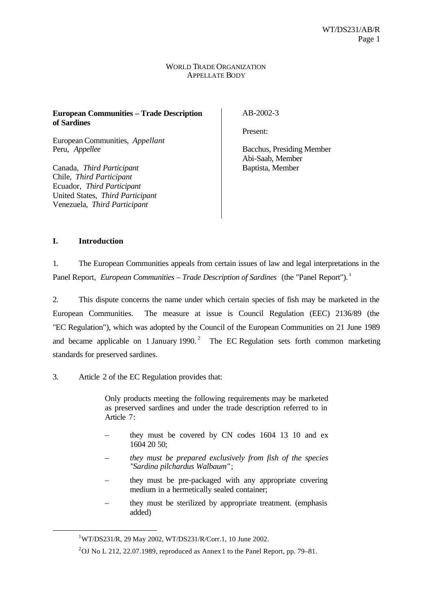#### WORLD TRADE ORGANIZATION APPELLATE BODY

**European Communities – Trade Description of Sardines**

European Communities, *Appellant* Peru, *Appellee*

Canada, *Third Participant* Chile, *Third Participant* Ecuador, *Third Participant* United States, *Third Participant* Venezuela, *Third Participant*

AB-2002-3

Present:

Bacchus, Presiding Member Abi-Saab, Member Baptista, Member

#### **I. Introduction**

l

1. The European Communities appeals from certain issues of law and legal interpretations in the Panel Report, *European Communities – Trade Description of Sardines* (the "Panel Report").<sup>1</sup>

2. This dispute concerns the name under which certain species of fish may be marketed in the European Communities. The measure at issue is Council Regulation (EEC) 2136/89 (the "EC Regulation"), which was adopted by the Council of the European Communities on 21 June 1989 and became applicable on 1 January 1990.<sup>2</sup> The EC Regulation sets forth common marketing standards for preserved sardines.

#### 3. Article 2 of the EC Regulation provides that:

Only products meeting the following requirements may be marketed as preserved sardines and under the trade description referred to in Article 7:

- they must be covered by CN codes 1604 13 10 and ex 1604 20 50;
- *they must be prepared exclusively from fish of the species "Sardina pilchardus Walbaum"* ;
- they must be pre-packaged with any appropriate covering medium in a hermetically sealed container;
- they must be sterilized by appropriate treatment. (emphasis added)

<sup>1</sup>WT/DS231/R, 29 May 2002, WT/DS231/R/Corr.1, 10 June 2002.

<sup>&</sup>lt;sup>2</sup>OJ No L 212, 22.07.1989, reproduced as Annex 1 to the Panel Report, pp. 79–81.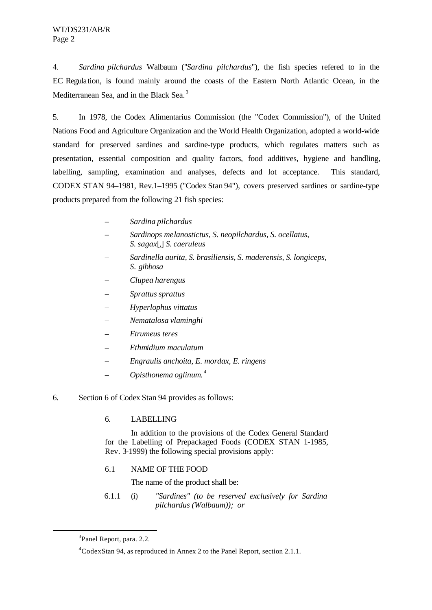4. *Sardina pilchardus* Walbaum ("*Sardina pilchardus*"), the fish species refered to in the EC Regulation, is found mainly around the coasts of the Eastern North Atlantic Ocean, in the Mediterranean Sea, and in the Black Sea.<sup>3</sup>

5. In 1978, the Codex Alimentarius Commission (the "Codex Commission"), of the United Nations Food and Agriculture Organization and the World Health Organization, adopted a world-wide standard for preserved sardines and sardine-type products, which regulates matters such as presentation, essential composition and quality factors, food additives, hygiene and handling, labelling, sampling, examination and analyses, defects and lot acceptance. This standard, CODEX STAN 94–1981, Rev.1–1995 ("Codex Stan 94"), covers preserved sardines or sardine-type products prepared from the following 21 fish species:

- *Sardina pilchardus*
- *– Sardinops melanostictus, S. neopilchardus, S. ocellatus, S. sagax*[,] *S. caeruleus*
- *– Sardinella aurita, S. brasiliensis, S. maderensis, S. longiceps, S. gibbosa*
- *– Clupea harengus*
- *– Sprattus sprattus*
- *– Hyperlophus vittatus*
- *– Nematalosa vlaminghi*
- *– Etrumeus teres*
- *– Ethmidium maculatum*
- *– Engraulis anchoita, E. mordax, E. ringens*
- *– Opisthonema oglinum*. 4
- 6. Section 6 of Codex Stan 94 provides as follows:

#### 6. LABELLING

In addition to the provisions of the Codex General Standard for the Labelling of Prepackaged Foods (CODEX STAN 1-1985, Rev. 3-1999) the following special provisions apply:

6.1 NAME OF THE FOOD

The name of the product shall be:

6.1.1 (i) *"Sardines" (to be reserved exclusively for Sardina pilchardus (Walbaum)); or*

<sup>&</sup>lt;sup>3</sup>Panel Report, para. 2.2.

<sup>&</sup>lt;sup>4</sup>Codex Stan 94, as reproduced in Annex 2 to the Panel Report, section 2.1.1.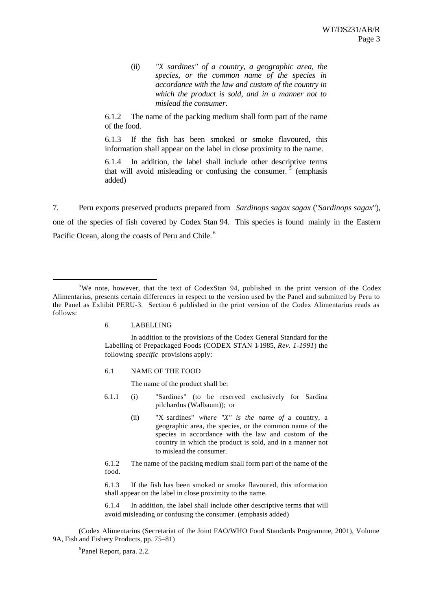(ii) *"X sardines" of a country, a geographic area, the species, or the common name of the species in accordance with the law and custom of the country in which the product is sold, and in a manner not to mislead the consumer*.

6.1.2 The name of the packing medium shall form part of the name of the food.

6.1.3 If the fish has been smoked or smoke flavoured, this information shall appear on the label in close proximity to the name.

6.1.4 In addition, the label shall include other descriptive terms that will avoid misleading or confusing the consumer.  $\frac{5}{5}$  (emphasis added)

7. Peru exports preserved products prepared from *Sardinops sagax sagax* ("*Sardinops sagax*"), one of the species of fish covered by Codex Stan 94. This species is found mainly in the Eastern Pacific Ocean, along the coasts of Peru and Chile.<sup>6</sup>

6. LABELLING

l

In addition to the provisions of the Codex General Standard for the Labelling of Prepackaged Foods (CODEX STAN 1-1985, *Rev. 1-1991*) the following *specific* provisions apply:

6.1 NAME OF THE FOOD

The name of the product shall be:

- 6.1.1 (i) "Sardines" (to be reserved exclusively for Sardina pilchardus (Walbaum)); or
	- (ii) "X sardines" *where "X" is the name of* a country, a geographic area, the species, or the common name of the species in accordance with the law and custom of the country in which the product is sold, and in a manner not to mislead the consumer.

6.1.2 The name of the packing medium shall form part of the name of the food.

6.1.3 If the fish has been smoked or smoke flavoured, this information shall appear on the label in close proximity to the name.

6.1.4 In addition, the label shall include other descriptive terms that will avoid misleading or confusing the consumer. (emphasis added)

(Codex Alimentarius (Secretariat of the Joint FAO/WHO Food Standards Programme, 2001), Volume 9A, Fish and Fishery Products, pp. 75–81)

<sup>6</sup>Panel Report, para. 2.2.

<sup>&</sup>lt;sup>5</sup>We note, however, that the text of CodexStan 94, published in the print version of the Codex Alimentarius, presents certain differences in respect to the version used by the Panel and submitted by Peru to the Panel as Exhibit PERU-3. Section 6 published in the print version of the Codex Alimentarius reads as follows: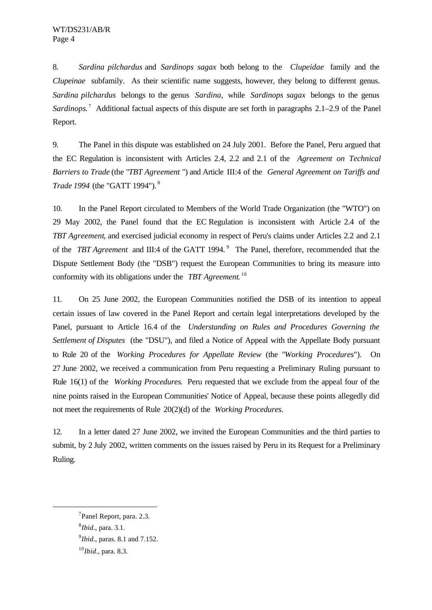8. *Sardina pilchardus* and *Sardinops sagax* both belong to the *Clupeidae* family and the *Clupeinae* subfamily. As their scientific name suggests, however, they belong to different genus. *Sardina pilchardus* belongs to the genus *Sardina*, while *Sardinops sagax* belongs to the genus Sardinops.<sup>7</sup> Additional factual aspects of this dispute are set forth in paragraphs 2.1–2.9 of the Panel Report.

9. The Panel in this dispute was established on 24 July 2001. Before the Panel, Peru argued that the EC Regulation is inconsistent with Articles 2.4, 2.2 and 2.1 of the *Agreement on Technical Barriers to Trade* (the "*TBT Agreement* ") and Article III:4 of the *General Agreement on Tariffs and Trade 1994* (the "GATT 1994"). <sup>8</sup>

10. In the Panel Report circulated to Members of the World Trade Organization (the "WTO") on 29 May 2002, the Panel found that the EC Regulation is inconsistent with Article 2.4 of the *TBT Agreement*, and exercised judicial economy in respect of Peru's claims under Articles 2.2 and 2.1 of the *TBT Agreement* and III:4 of the GATT 1994.<sup>9</sup> The Panel, therefore, recommended that the Dispute Settlement Body (the "DSB") request the European Communities to bring its measure into conformity with its obligations under the *TBT Agreement*. 10

11. On 25 June 2002, the European Communities notified the DSB of its intention to appeal certain issues of law covered in the Panel Report and certain legal interpretations developed by the Panel, pursuant to Article 16.4 of the *Understanding on Rules and Procedures Governing the Settlement of Disputes* (the "DSU"), and filed a Notice of Appeal with the Appellate Body pursuant to Rule 20 of the *Working Procedures for Appellate Review* (the "*Working Procedures*"). On 27 June 2002, we received a communication from Peru requesting a Preliminary Ruling pursuant to Rule 16(1) of the *Working Procedures*. Peru requested that we exclude from the appeal four of the nine points raised in the European Communities' Notice of Appeal, because these points allegedly did not meet the requirements of Rule 20(2)(d) of the *Working Procedures*.

12. In a letter dated 27 June 2002, we invited the European Communities and the third parties to submit, by 2 July 2002, written comments on the issues raised by Peru in its Request for a Preliminary Ruling.

 $7$ Panel Report, para. 2.3.

<sup>8</sup> *Ibid*., para. 3.1.

<sup>&</sup>lt;sup>9</sup>*Ibid.*, paras. 8.1 and 7.152.

<sup>10</sup>*Ibid*., para. 8.3.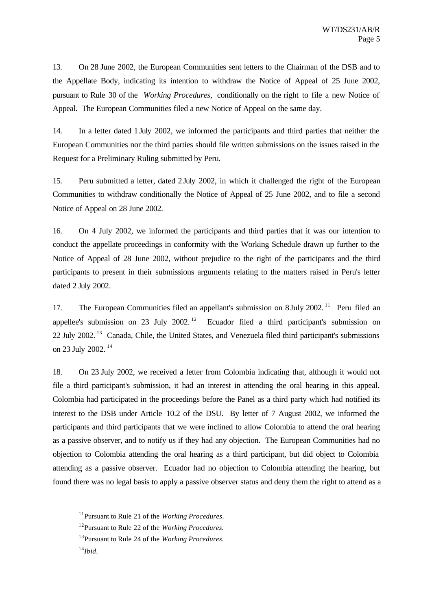13. On 28 June 2002, the European Communities sent letters to the Chairman of the DSB and to the Appellate Body, indicating its intention to withdraw the Notice of Appeal of 25 June 2002, pursuant to Rule 30 of the *Working Procedures*, conditionally on the right to file a new Notice of Appeal. The European Communities filed a new Notice of Appeal on the same day.

14. In a letter dated 1 July 2002, we informed the participants and third parties that neither the European Communities nor the third parties should file written submissions on the issues raised in the Request for a Preliminary Ruling submitted by Peru.

15. Peru submitted a letter, dated 2 July 2002, in which it challenged the right of the European Communities to withdraw conditionally the Notice of Appeal of 25 June 2002, and to file a second Notice of Appeal on 28 June 2002.

16. On 4 July 2002, we informed the participants and third parties that it was our intention to conduct the appellate proceedings in conformity with the Working Schedule drawn up further to the Notice of Appeal of 28 June 2002, without prejudice to the right of the participants and the third participants to present in their submissions arguments relating to the matters raised in Peru's letter dated 2 July 2002.

17. The European Communities filed an appellant's submission on 8 July 2002.<sup>11</sup> Peru filed an appellee's submission on 23 July 2002.<sup>12</sup> Ecuador filed a third participant's submission on 22 July 2002. <sup>13</sup> Canada, Chile, the United States, and Venezuela filed third participant's submissions on 23 July 2002. <sup>14</sup>

18. On 23 July 2002, we received a letter from Colombia indicating that, although it would not file a third participant's submission, it had an interest in attending the oral hearing in this appeal. Colombia had participated in the proceedings before the Panel as a third party which had notified its interest to the DSB under Article 10.2 of the DSU. By letter of 7 August 2002, we informed the participants and third participants that we were inclined to allow Colombia to attend the oral hearing as a passive observer, and to notify us if they had any objection. The European Communities had no objection to Colombia attending the oral hearing as a third participant, but did object to Colombia attending as a passive observer. Ecuador had no objection to Colombia attending the hearing, but found there was no legal basis to apply a passive observer status and deny them the right to attend as a

<sup>11</sup>Pursuant to Rule 21 of the *Working Procedures*.

<sup>12</sup>Pursuant to Rule 22 of the *Working Procedures.*

<sup>13</sup>Pursuant to Rule 24 of the *Working Procedures.*

<sup>14</sup>*Ibid*.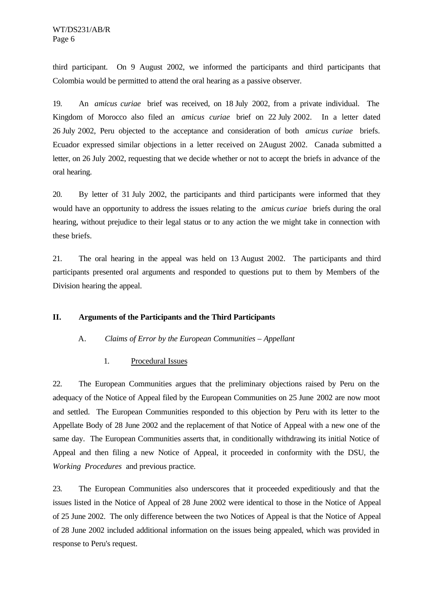third participant. On 9 August 2002, we informed the participants and third participants that Colombia would be permitted to attend the oral hearing as a passive observer.

19. An *amicus curiae* brief was received, on 18 July 2002, from a private individual. The Kingdom of Morocco also filed an *amicus curiae* brief on 22 July 2002. In a letter dated 26 July 2002, Peru objected to the acceptance and consideration of both *amicus curiae* briefs. Ecuador expressed similar objections in a letter received on 2 August 2002. Canada submitted a letter, on 26 July 2002, requesting that we decide whether or not to accept the briefs in advance of the oral hearing.

20. By letter of 31 July 2002, the participants and third participants were informed that they would have an opportunity to address the issues relating to the *amicus curiae* briefs during the oral hearing, without prejudice to their legal status or to any action the we might take in connection with these briefs.

21. The oral hearing in the appeal was held on 13 August 2002. The participants and third participants presented oral arguments and responded to questions put to them by Members of the Division hearing the appeal.

## **II. Arguments of the Participants and the Third Participants**

## A. *Claims of Error by the European Communities – Appellant*

## 1. Procedural Issues

22. The European Communities argues that the preliminary objections raised by Peru on the adequacy of the Notice of Appeal filed by the European Communities on 25 June 2002 are now moot and settled. The European Communities responded to this objection by Peru with its letter to the Appellate Body of 28 June 2002 and the replacement of that Notice of Appeal with a new one of the same day. The European Communities asserts that, in conditionally withdrawing its initial Notice of Appeal and then filing a new Notice of Appeal, it proceeded in conformity with the DSU, the *Working Procedures* and previous practice.

23. The European Communities also underscores that it proceeded expeditiously and that the issues listed in the Notice of Appeal of 28 June 2002 were identical to those in the Notice of Appeal of 25 June 2002. The only difference between the two Notices of Appeal is that the Notice of Appeal of 28 June 2002 included additional information on the issues being appealed, which was provided in response to Peru's request.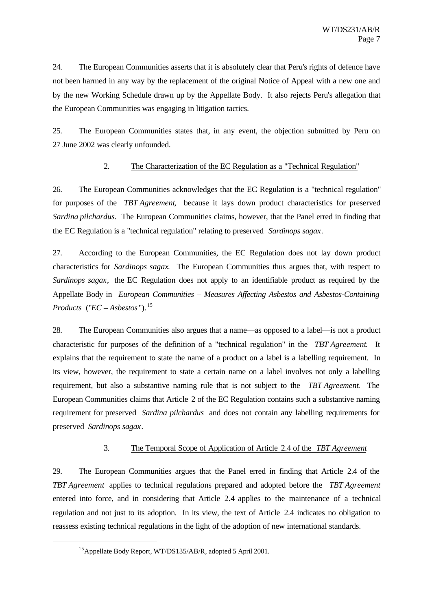24. The European Communities asserts that it is absolutely clear that Peru's rights of defence have not been harmed in any way by the replacement of the original Notice of Appeal with a new one and by the new Working Schedule drawn up by the Appellate Body. It also rejects Peru's allegation that the European Communities was engaging in litigation tactics.

25. The European Communities states that, in any event, the objection submitted by Peru on 27 June 2002 was clearly unfounded.

## 2. The Characterization of the EC Regulation as a "Technical Regulation"

26. The European Communities acknowledges that the EC Regulation is a "technical regulation" for purposes of the *TBT Agreement*, because it lays down product characteristics for preserved *Sardina pilchardus*. The European Communities claims, however, that the Panel erred in finding that the EC Regulation is a "technical regulation" relating to preserved *Sardinops sagax*.

27. According to the European Communities, the EC Regulation does not lay down product characteristics for *Sardinops sagax*. The European Communities thus argues that, with respect to *Sardinops sagax*, the EC Regulation does not apply to an identifiable product as required by the Appellate Body in *European Communities – Measures Affecting Asbestos and Asbestos-Containing Products* ("*EC – Asbestos* "). <sup>15</sup>

28. The European Communities also argues that a name—as opposed to a label—is not a product characteristic for purposes of the definition of a "technical regulation" in the *TBT Agreement*. It explains that the requirement to state the name of a product on a label is a labelling requirement. In its view, however, the requirement to state a certain name on a label involves not only a labelling requirement, but also a substantive naming rule that is not subject to the *TBT Agreement*. The European Communities claims that Article 2 of the EC Regulation contains such a substantive naming requirement for preserved *Sardina pilchardus* and does not contain any labelling requirements for preserved *Sardinops sagax*.

## 3. The Temporal Scope of Application of Article 2.4 of the *TBT Agreement*

29. The European Communities argues that the Panel erred in finding that Article 2.4 of the *TBT Agreement* applies to technical regulations prepared and adopted before the *TBT Agreement* entered into force, and in considering that Article 2.4 applies to the maintenance of a technical regulation and not just to its adoption. In its view, the text of Article 2.4 indicates no obligation to reassess existing technical regulations in the light of the adoption of new international standards.

<sup>15</sup>Appellate Body Report, WT/DS135/AB/R, adopted 5 April 2001.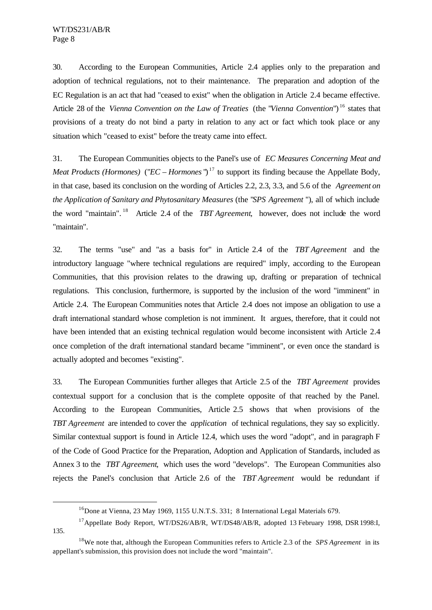l

30. According to the European Communities, Article 2.4 applies only to the preparation and adoption of technical regulations, not to their maintenance. The preparation and adoption of the EC Regulation is an act that had "ceased to exist" when the obligation in Article 2.4 became effective. Article 28 of the *Vienna Convention on the Law of Treaties* (the "*Vienna Convention*") <sup>16</sup> states that provisions of a treaty do not bind a party in relation to any act or fact which took place or any situation which "ceased to exist" before the treaty came into effect.

31. The European Communities objects to the Panel's use of *EC Measures Concerning Meat and Meat Products (Hormones)* ("*EC – Hormones*")<sup>17</sup> to support its finding because the Appellate Body, in that case, based its conclusion on the wording of Articles 2.2, 2.3, 3.3, and 5.6 of the *Agreement on the Application of Sanitary and Phytosanitary Measures* (the "*SPS Agreement* "), all of which include the word "maintain". <sup>18</sup> Article 2.4 of the *TBT Agreement*, however, does not include the word "maintain".

32. The terms "use" and "as a basis for" in Article 2.4 of the *TBT Agreement* and the introductory language "where technical regulations are required" imply, according to the European Communities, that this provision relates to the drawing up, drafting or preparation of technical regulations. This conclusion, furthermore, is supported by the inclusion of the word "imminent" in Article 2.4. The European Communities notes that Article 2.4 does not impose an obligation to use a draft international standard whose completion is not imminent. It argues, therefore, that it could not have been intended that an existing technical regulation would become inconsistent with Article 2.4 once completion of the draft international standard became "imminent", or even once the standard is actually adopted and becomes "existing".

33. The European Communities further alleges that Article 2.5 of the *TBT Agreement* provides contextual support for a conclusion that is the complete opposite of that reached by the Panel. According to the European Communities, Article 2.5 shows that when provisions of the *TBT Agreement* are intended to cover the *application* of technical regulations, they say so explicitly. Similar contextual support is found in Article 12.4, which uses the word "adopt", and in paragraph F of the Code of Good Practice for the Preparation, Adoption and Application of Standards, included as Annex 3 to the *TBT Agreement*, which uses the word "develops". The European Communities also rejects the Panel's conclusion that Article 2.6 of the *TBT Agreement* would be redundant if

<sup>&</sup>lt;sup>16</sup>Done at Vienna, 23 May 1969, 1155 U.N.T.S. 331; 8 International Legal Materials 679.

<sup>&</sup>lt;sup>17</sup> Appellate Body Report, WT/DS26/AB/R, WT/DS48/AB/R, adopted 13 February 1998, DSR 1998:I, 135.

<sup>18</sup>We note that, although the European Communities refers to Article 2.3 of the *SPS Agreement* in its appellant's submission, this provision does not include the word "maintain".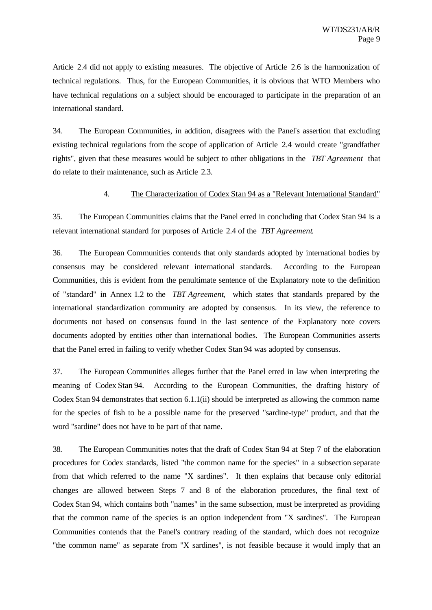Article 2.4 did not apply to existing measures. The objective of Article 2.6 is the harmonization of technical regulations. Thus, for the European Communities, it is obvious that WTO Members who have technical regulations on a subject should be encouraged to participate in the preparation of an international standard.

34. The European Communities, in addition, disagrees with the Panel's assertion that excluding existing technical regulations from the scope of application of Article 2.4 would create "grandfather rights", given that these measures would be subject to other obligations in the *TBT Agreement* that do relate to their maintenance, such as Article 2.3.

#### 4. The Characterization of Codex Stan 94 as a "Relevant International Standard"

35. The European Communities claims that the Panel erred in concluding that Codex Stan 94 is a relevant international standard for purposes of Article 2.4 of the *TBT Agreement*.

36. The European Communities contends that only standards adopted by international bodies by consensus may be considered relevant international standards. According to the European Communities, this is evident from the penultimate sentence of the Explanatory note to the definition of "standard" in Annex 1.2 to the *TBT Agreement*, which states that standards prepared by the international standardization community are adopted by consensus. In its view, the reference to documents not based on consensus found in the last sentence of the Explanatory note covers documents adopted by entities other than international bodies. The European Communities asserts that the Panel erred in failing to verify whether Codex Stan 94 was adopted by consensus.

37. The European Communities alleges further that the Panel erred in law when interpreting the meaning of Codex Stan 94. According to the European Communities, the drafting history of Codex Stan 94 demonstrates that section 6.1.1(ii) should be interpreted as allowing the common name for the species of fish to be a possible name for the preserved "sardine-type" product, and that the word "sardine" does not have to be part of that name.

38. The European Communities notes that the draft of Codex Stan 94 at Step 7 of the elaboration procedures for Codex standards, listed "the common name for the species" in a subsection separate from that which referred to the name "X sardines". It then explains that because only editorial changes are allowed between Steps 7 and 8 of the elaboration procedures, the final text of Codex Stan 94, which contains both "names" in the same subsection, must be interpreted as providing that the common name of the species is an option independent from "X sardines". The European Communities contends that the Panel's contrary reading of the standard, which does not recognize "the common name" as separate from "X sardines", is not feasible because it would imply that an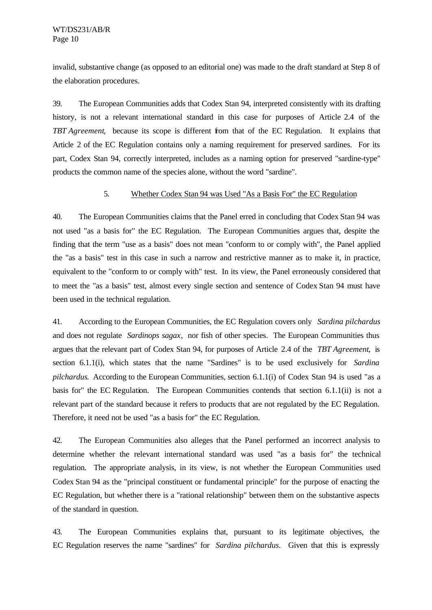invalid, substantive change (as opposed to an editorial one) was made to the draft standard at Step 8 of the elaboration procedures.

39. The European Communities adds that Codex Stan 94, interpreted consistently with its drafting history, is not a relevant international standard in this case for purposes of Article 2.4 of the *TBT Agreement*, because its scope is different from that of the EC Regulation. It explains that Article 2 of the EC Regulation contains only a naming requirement for preserved sardines. For its part, Codex Stan 94, correctly interpreted, includes as a naming option for preserved "sardine-type" products the common name of the species alone, without the word "sardine".

#### 5. Whether Codex Stan 94 was Used "As a Basis For" the EC Regulation

40. The European Communities claims that the Panel erred in concluding that Codex Stan 94 was not used "as a basis for" the EC Regulation. The European Communities argues that, despite the finding that the term "use as a basis" does not mean "conform to or comply with", the Panel applied the "as a basis" test in this case in such a narrow and restrictive manner as to make it, in practice, equivalent to the "conform to or comply with" test. In its view, the Panel erroneously considered that to meet the "as a basis" test, almost every single section and sentence of Codex Stan 94 must have been used in the technical regulation.

41. According to the European Communities, the EC Regulation covers only *Sardina pilchardus* and does not regulate *Sardinops sagax*, nor fish of other species. The European Communities thus argues that the relevant part of Codex Stan 94, for purposes of Article 2.4 of the *TBT Agreement*, is section 6.1.1(i), which states that the name "Sardines" is to be used exclusively for *Sardina pilchardus*. According to the European Communities, section 6.1.1(i) of Codex Stan 94 is used "as a basis for" the EC Regulation. The European Communities contends that section 6.1.1(ii) is not a relevant part of the standard because it refers to products that are not regulated by the EC Regulation. Therefore, it need not be used "as a basis for" the EC Regulation.

42. The European Communities also alleges that the Panel performed an incorrect analysis to determine whether the relevant international standard was used "as a basis for" the technical regulation. The appropriate analysis, in its view, is not whether the European Communities used Codex Stan 94 as the "principal constituent or fundamental principle" for the purpose of enacting the EC Regulation, but whether there is a "rational relationship" between them on the substantive aspects of the standard in question.

43. The European Communities explains that, pursuant to its legitimate objectives, the EC Regulation reserves the name "sardines" for *Sardina pilchardus*. Given that this is expressly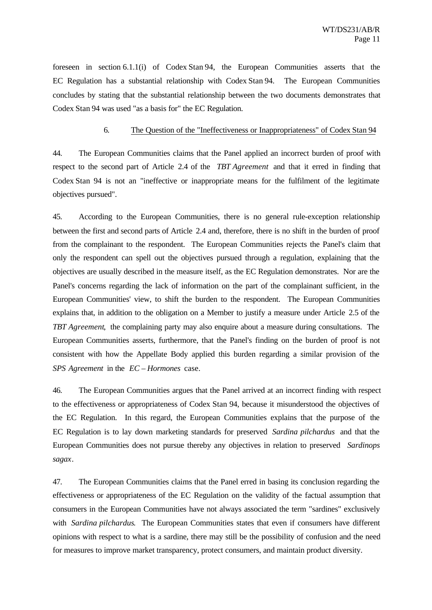foreseen in section 6.1.1(i) of Codex Stan 94, the European Communities asserts that the EC Regulation has a substantial relationship with Codex Stan 94. The European Communities concludes by stating that the substantial relationship between the two documents demonstrates that Codex Stan 94 was used "as a basis for" the EC Regulation.

#### 6. The Question of the "Ineffectiveness or Inappropriateness" of Codex Stan 94

44. The European Communities claims that the Panel applied an incorrect burden of proof with respect to the second part of Article 2.4 of the *TBT Agreement* and that it erred in finding that Codex Stan 94 is not an "ineffective or inappropriate means for the fulfilment of the legitimate objectives pursued".

45. According to the European Communities, there is no general rule-exception relationship between the first and second parts of Article 2.4 and, therefore, there is no shift in the burden of proof from the complainant to the respondent. The European Communities rejects the Panel's claim that only the respondent can spell out the objectives pursued through a regulation, explaining that the objectives are usually described in the measure itself, as the EC Regulation demonstrates. Nor are the Panel's concerns regarding the lack of information on the part of the complainant sufficient, in the European Communities' view, to shift the burden to the respondent. The European Communities explains that, in addition to the obligation on a Member to justify a measure under Article 2.5 of the *TBT Agreement*, the complaining party may also enquire about a measure during consultations. The European Communities asserts, furthermore, that the Panel's finding on the burden of proof is not consistent with how the Appellate Body applied this burden regarding a similar provision of the *SPS Agreement* in the *EC – Hormones* case.

46. The European Communities argues that the Panel arrived at an incorrect finding with respect to the effectiveness or appropriateness of Codex Stan 94, because it misunderstood the objectives of the EC Regulation. In this regard, the European Communities explains that the purpose of the EC Regulation is to lay down marketing standards for preserved *Sardina pilchardus* and that the European Communities does not pursue thereby any objectives in relation to preserved *Sardinops sagax*.

47. The European Communities claims that the Panel erred in basing its conclusion regarding the effectiveness or appropriateness of the EC Regulation on the validity of the factual assumption that consumers in the European Communities have not always associated the term "sardines" exclusively with *Sardina pilchardus*. The European Communities states that even if consumers have different opinions with respect to what is a sardine, there may still be the possibility of confusion and the need for measures to improve market transparency, protect consumers, and maintain product diversity.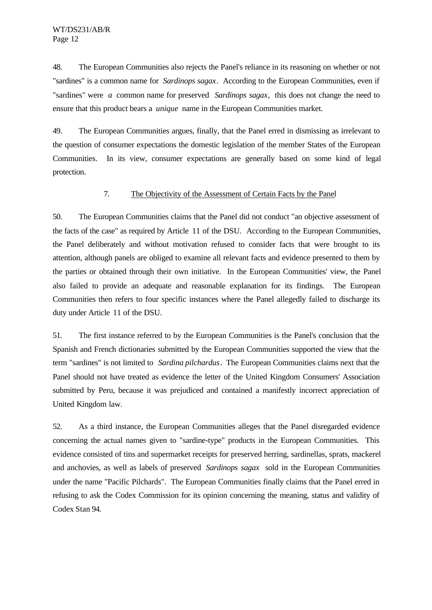48. The European Communities also rejects the Panel's reliance in its reasoning on whether or not "sardines" is a common name for *Sardinops sagax*. According to the European Communities, even if "sardines" were *a* common name for preserved *Sardinops sagax*, this does not change the need to ensure that this product bears a *unique* name in the European Communities market.

49. The European Communities argues, finally, that the Panel erred in dismissing as irrelevant to the question of consumer expectations the domestic legislation of the member States of the European Communities. In its view, consumer expectations are generally based on some kind of legal protection.

#### 7. The Objectivity of the Assessment of Certain Facts by the Panel

50. The European Communities claims that the Panel did not conduct "an objective assessment of the facts of the case" as required by Article 11 of the DSU. According to the European Communities, the Panel deliberately and without motivation refused to consider facts that were brought to its attention, although panels are obliged to examine all relevant facts and evidence presented to them by the parties or obtained through their own initiative. In the European Communities' view, the Panel also failed to provide an adequate and reasonable explanation for its findings. The European Communities then refers to four specific instances where the Panel allegedly failed to discharge its duty under Article 11 of the DSU.

51. The first instance referred to by the European Communities is the Panel's conclusion that the Spanish and French dictionaries submitted by the European Communities supported the view that the term "sardines" is not limited to *Sardina pilchardus*. The European Communities claims next that the Panel should not have treated as evidence the letter of the United Kingdom Consumers' Association submitted by Peru, because it was prejudiced and contained a manifestly incorrect appreciation of United Kingdom law.

52. As a third instance, the European Communities alleges that the Panel disregarded evidence concerning the actual names given to "sardine-type" products in the European Communities. This evidence consisted of tins and supermarket receipts for preserved herring, sardinellas, sprats, mackerel and anchovies, as well as labels of preserved *Sardinops sagax* sold in the European Communities under the name "Pacific Pilchards". The European Communities finally claims that the Panel erred in refusing to ask the Codex Commission for its opinion concerning the meaning, status and validity of Codex Stan 94.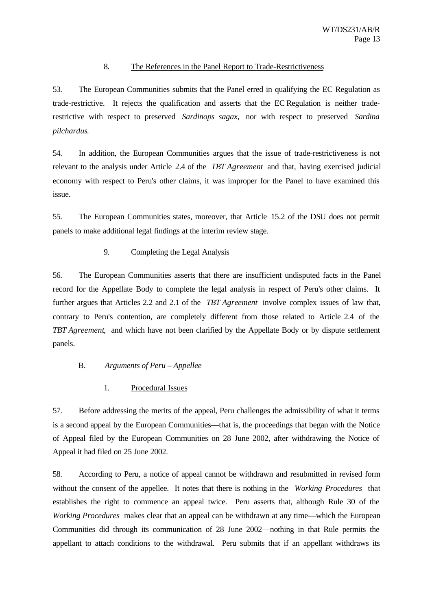## 8. The References in the Panel Report to Trade-Restrictiveness

53. The European Communities submits that the Panel erred in qualifying the EC Regulation as trade-restrictive. It rejects the qualification and asserts that the EC Regulation is neither traderestrictive with respect to preserved *Sardinops sagax*, nor with respect to preserved *Sardina pilchardus*.

54. In addition, the European Communities argues that the issue of trade-restrictiveness is not relevant to the analysis under Article 2.4 of the *TBT Agreement* and that, having exercised judicial economy with respect to Peru's other claims, it was improper for the Panel to have examined this issue.

55. The European Communities states, moreover, that Article 15.2 of the DSU does not permit panels to make additional legal findings at the interim review stage.

## 9. Completing the Legal Analysis

56. The European Communities asserts that there are insufficient undisputed facts in the Panel record for the Appellate Body to complete the legal analysis in respect of Peru's other claims. It further argues that Articles 2.2 and 2.1 of the *TBT Agreement* involve complex issues of law that, contrary to Peru's contention, are completely different from those related to Article 2.4 of the *TBT Agreement*, and which have not been clarified by the Appellate Body or by dispute settlement panels.

#### B. *Arguments of Peru – Appellee*

## 1. Procedural Issues

57. Before addressing the merits of the appeal, Peru challenges the admissibility of what it terms is a second appeal by the European Communities—that is, the proceedings that began with the Notice of Appeal filed by the European Communities on 28 June 2002, after withdrawing the Notice of Appeal it had filed on 25 June 2002.

58. According to Peru, a notice of appeal cannot be withdrawn and resubmitted in revised form without the consent of the appellee. It notes that there is nothing in the *Working Procedures* that establishes the right to commence an appeal twice. Peru asserts that, although Rule 30 of the *Working Procedures* makes clear that an appeal can be withdrawn at any time—which the European Communities did through its communication of 28 June 2002—nothing in that Rule permits the appellant to attach conditions to the withdrawal. Peru submits that if an appellant withdraws its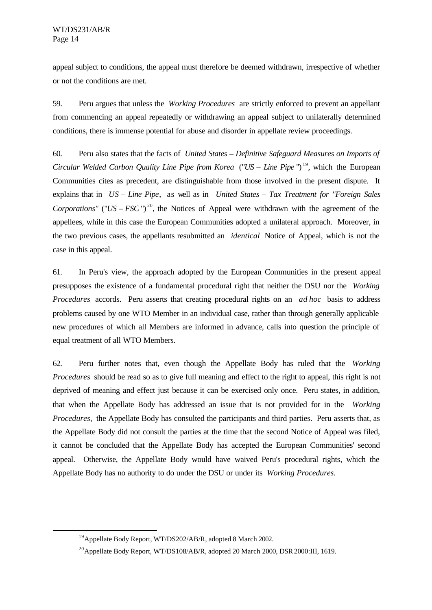appeal subject to conditions, the appeal must therefore be deemed withdrawn, irrespective of whether or not the conditions are met.

59. Peru argues that unless the *Working Procedures* are strictly enforced to prevent an appellant from commencing an appeal repeatedly or withdrawing an appeal subject to unilaterally determined conditions, there is immense potential for abuse and disorder in appellate review proceedings.

60. Peru also states that the facts of *United States – Definitive Safeguard Measures on Imports of Circular Welded Carbon Quality Line Pipe from Korea* ("*US – Line Pipe* ") <sup>19</sup> , which the European Communities cites as precedent, are distinguishable from those involved in the present dispute. It explains that in *US – Line Pipe*, as well as in *United States – Tax Treatment for "Foreign Sales Corporations"* (" $US - FSC$ ")<sup>20</sup>, the Notices of Appeal were withdrawn with the agreement of the appellees, while in this case the European Communities adopted a unilateral approach. Moreover, in the two previous cases, the appellants resubmitted an *identical* Notice of Appeal, which is not the case in this appeal.

61. In Peru's view, the approach adopted by the European Communities in the present appeal presupposes the existence of a fundamental procedural right that neither the DSU nor the *Working Procedures* accords. Peru asserts that creating procedural rights on an *ad hoc* basis to address problems caused by one WTO Member in an individual case, rather than through generally applicable new procedures of which all Members are informed in advance, calls into question the principle of equal treatment of all WTO Members.

62. Peru further notes that, even though the Appellate Body has ruled that the *Working Procedures* should be read so as to give full meaning and effect to the right to appeal, this right is not deprived of meaning and effect just because it can be exercised only once. Peru states, in addition, that when the Appellate Body has addressed an issue that is not provided for in the *Working Procedures*, the Appellate Body has consulted the participants and third parties. Peru asserts that, as the Appellate Body did not consult the parties at the time that the second Notice of Appeal was filed, it cannot be concluded that the Appellate Body has accepted the European Communities' second appeal. Otherwise, the Appellate Body would have waived Peru's procedural rights, which the Appellate Body has no authority to do under the DSU or under its *Working Procedures*.

<sup>19</sup>Appellate Body Report, WT/DS202/AB/R, adopted 8 March 2002.

<sup>&</sup>lt;sup>20</sup>Appellate Body Report, WT/DS108/AB/R, adopted 20 March 2000, DSR 2000:III, 1619.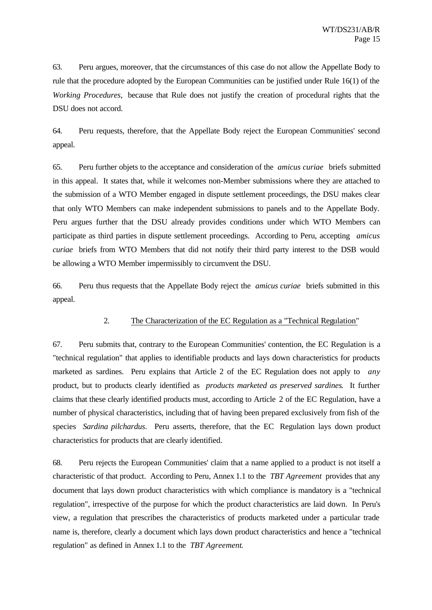63. Peru argues, moreover, that the circumstances of this case do not allow the Appellate Body to rule that the procedure adopted by the European Communities can be justified under Rule 16(1) of the *Working Procedures*, because that Rule does not justify the creation of procedural rights that the DSU does not accord.

64. Peru requests, therefore, that the Appellate Body reject the European Communities' second appeal.

65. Peru further objets to the acceptance and consideration of the *amicus curiae* briefs submitted in this appeal. It states that, while it welcomes non-Member submissions where they are attached to the submission of a WTO Member engaged in dispute settlement proceedings, the DSU makes clear that only WTO Members can make independent submissions to panels and to the Appellate Body. Peru argues further that the DSU already provides conditions under which WTO Members can participate as third parties in dispute settlement proceedings. According to Peru, accepting *amicus curiae* briefs from WTO Members that did not notify their third party interest to the DSB would be allowing a WTO Member impermissibly to circumvent the DSU.

66. Peru thus requests that the Appellate Body reject the *amicus curiae* briefs submitted in this appeal.

## 2. The Characterization of the EC Regulation as a "Technical Regulation"

67. Peru submits that, contrary to the European Communities' contention, the EC Regulation is a "technical regulation" that applies to identifiable products and lays down characteristics for products marketed as sardines. Peru explains that Article 2 of the EC Regulation does not apply to *any* product, but to products clearly identified as *products marketed as preserved sardines*. It further claims that these clearly identified products must, according to Article 2 of the EC Regulation, have a number of physical characteristics, including that of having been prepared exclusively from fish of the species *Sardina pilchardus*. Peru asserts, therefore, that the EC Regulation lays down product characteristics for products that are clearly identified.

68. Peru rejects the European Communities' claim that a name applied to a product is not itself a characteristic of that product. According to Peru, Annex 1.1 to the *TBT Agreement* provides that any document that lays down product characteristics with which compliance is mandatory is a "technical regulation", irrespective of the purpose for which the product characteristics are laid down. In Peru's view, a regulation that prescribes the characteristics of products marketed under a particular trade name is, therefore, clearly a document which lays down product characteristics and hence a "technical regulation" as defined in Annex 1.1 to the *TBT Agreement*.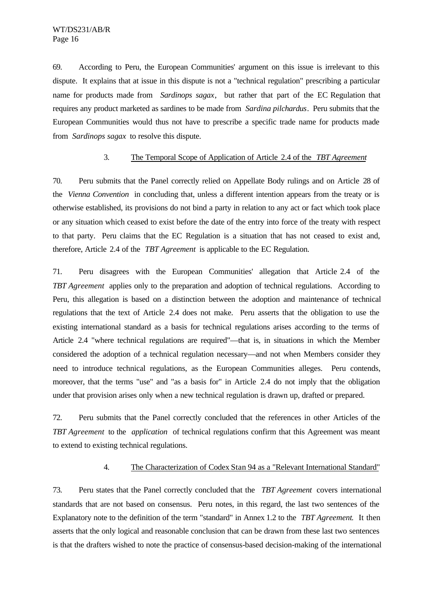69. According to Peru, the European Communities' argument on this issue is irrelevant to this dispute. It explains that at issue in this dispute is not a "technical regulation" prescribing a particular name for products made from *Sardinops sagax*, but rather that part of the EC Regulation that requires any product marketed as sardines to be made from *Sardina pilchardus*. Peru submits that the European Communities would thus not have to prescribe a specific trade name for products made from *Sardinops sagax* to resolve this dispute.

#### 3. The Temporal Scope of Application of Article 2.4 of the *TBT Agreement*

70. Peru submits that the Panel correctly relied on Appellate Body rulings and on Article 28 of the *Vienna Convention* in concluding that, unless a different intention appears from the treaty or is otherwise established, its provisions do not bind a party in relation to any act or fact which took place or any situation which ceased to exist before the date of the entry into force of the treaty with respect to that party. Peru claims that the EC Regulation is a situation that has not ceased to exist and, therefore, Article 2.4 of the *TBT Agreement* is applicable to the EC Regulation.

71. Peru disagrees with the European Communities' allegation that Article 2.4 of the *TBT Agreement* applies only to the preparation and adoption of technical regulations. According to Peru, this allegation is based on a distinction between the adoption and maintenance of technical regulations that the text of Article 2.4 does not make. Peru asserts that the obligation to use the existing international standard as a basis for technical regulations arises according to the terms of Article 2.4 "where technical regulations are required"—that is, in situations in which the Member considered the adoption of a technical regulation necessary—and not when Members consider they need to introduce technical regulations, as the European Communities alleges. Peru contends, moreover, that the terms "use" and "as a basis for" in Article 2.4 do not imply that the obligation under that provision arises only when a new technical regulation is drawn up, drafted or prepared.

72. Peru submits that the Panel correctly concluded that the references in other Articles of the *TBT Agreement* to the *application* of technical regulations confirm that this Agreement was meant to extend to existing technical regulations.

#### 4. The Characterization of Codex Stan 94 as a "Relevant International Standard"

73. Peru states that the Panel correctly concluded that the *TBT Agreement* covers international standards that are not based on consensus. Peru notes, in this regard, the last two sentences of the Explanatory note to the definition of the term "standard" in Annex 1.2 to the *TBT Agreement*. It then asserts that the only logical and reasonable conclusion that can be drawn from these last two sentences is that the drafters wished to note the practice of consensus-based decision-making of the international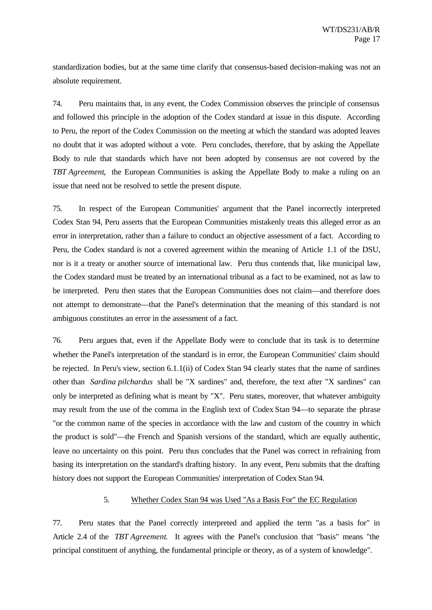standardization bodies, but at the same time clarify that consensus-based decision-making was not an absolute requirement.

74. Peru maintains that, in any event, the Codex Commission observes the principle of consensus and followed this principle in the adoption of the Codex standard at issue in this dispute. According to Peru, the report of the Codex Commission on the meeting at which the standard was adopted leaves no doubt that it was adopted without a vote. Peru concludes, therefore, that by asking the Appellate Body to rule that standards which have not been adopted by consensus are not covered by the *TBT Agreement*, the European Communities is asking the Appellate Body to make a ruling on an issue that need not be resolved to settle the present dispute.

75. In respect of the European Communities' argument that the Panel incorrectly interpreted Codex Stan 94, Peru asserts that the European Communities mistakenly treats this alleged error as an error in interpretation, rather than a failure to conduct an objective assessment of a fact. According to Peru, the Codex standard is not a covered agreement within the meaning of Article 1.1 of the DSU, nor is it a treaty or another source of international law. Peru thus contends that, like municipal law, the Codex standard must be treated by an international tribunal as a fact to be examined, not as law to be interpreted. Peru then states that the European Communities does not claim—and therefore does not attempt to demonstrate—that the Panel's determination that the meaning of this standard is not ambiguous constitutes an error in the assessment of a fact.

76. Peru argues that, even if the Appellate Body were to conclude that its task is to determine whether the Panel's interpretation of the standard is in error, the European Communities' claim should be rejected. In Peru's view, section 6.1.1(ii) of Codex Stan 94 clearly states that the name of sardines other than *Sardina pilchardus* shall be "X sardines" and, therefore, the text after "X sardines" can only be interpreted as defining what is meant by "X". Peru states, moreover, that whatever ambiguity may result from the use of the comma in the English text of Codex Stan 94—to separate the phrase "or the common name of the species in accordance with the law and custom of the country in which the product is sold"—the French and Spanish versions of the standard, which are equally authentic, leave no uncertainty on this point. Peru thus concludes that the Panel was correct in refraining from basing its interpretation on the standard's drafting history. In any event, Peru submits that the drafting history does not support the European Communities' interpretation of Codex Stan 94.

#### 5. Whether Codex Stan 94 was Used "As a Basis For" the EC Regulation

77. Peru states that the Panel correctly interpreted and applied the term "as a basis for" in Article 2.4 of the *TBT Agreement*. It agrees with the Panel's conclusion that "basis" means "the principal constituent of anything, the fundamental principle or theory, as of a system of knowledge".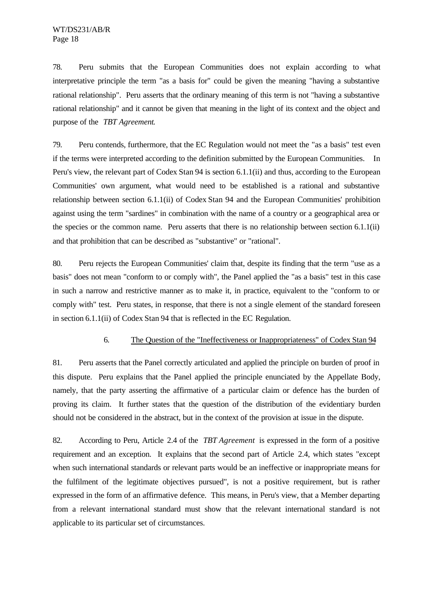78. Peru submits that the European Communities does not explain according to what interpretative principle the term "as a basis for" could be given the meaning "having a substantive rational relationship". Peru asserts that the ordinary meaning of this term is not "having a substantive rational relationship" and it cannot be given that meaning in the light of its context and the object and purpose of the *TBT Agreement*.

79. Peru contends, furthermore, that the EC Regulation would not meet the "as a basis" test even if the terms were interpreted according to the definition submitted by the European Communities. In Peru's view, the relevant part of Codex Stan 94 is section 6.1.1(ii) and thus, according to the European Communities' own argument, what would need to be established is a rational and substantive relationship between section 6.1.1(ii) of Codex Stan 94 and the European Communities' prohibition against using the term "sardines" in combination with the name of a country or a geographical area or the species or the common name. Peru asserts that there is no relationship between section 6.1.1(ii) and that prohibition that can be described as "substantive" or "rational".

80. Peru rejects the European Communities' claim that, despite its finding that the term "use as a basis" does not mean "conform to or comply with", the Panel applied the "as a basis" test in this case in such a narrow and restrictive manner as to make it, in practice, equivalent to the "conform to or comply with" test. Peru states, in response, that there is not a single element of the standard foreseen in section 6.1.1(ii) of Codex Stan 94 that is reflected in the EC Regulation.

#### 6. The Question of the "Ineffectiveness or Inappropriateness" of Codex Stan 94

81. Peru asserts that the Panel correctly articulated and applied the principle on burden of proof in this dispute. Peru explains that the Panel applied the principle enunciated by the Appellate Body, namely, that the party asserting the affirmative of a particular claim or defence has the burden of proving its claim. It further states that the question of the distribution of the evidentiary burden should not be considered in the abstract, but in the context of the provision at issue in the dispute.

82. According to Peru, Article 2.4 of the *TBT Agreement* is expressed in the form of a positive requirement and an exception. It explains that the second part of Article 2.4, which states "except when such international standards or relevant parts would be an ineffective or inappropriate means for the fulfilment of the legitimate objectives pursued", is not a positive requirement, but is rather expressed in the form of an affirmative defence. This means, in Peru's view, that a Member departing from a relevant international standard must show that the relevant international standard is not applicable to its particular set of circumstances.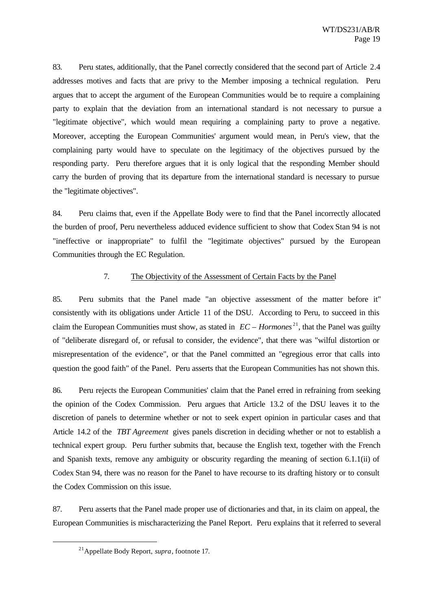83. Peru states, additionally, that the Panel correctly considered that the second part of Article 2.4 addresses motives and facts that are privy to the Member imposing a technical regulation. Peru argues that to accept the argument of the European Communities would be to require a complaining party to explain that the deviation from an international standard is not necessary to pursue a "legitimate objective", which would mean requiring a complaining party to prove a negative. Moreover, accepting the European Communities' argument would mean, in Peru's view, that the complaining party would have to speculate on the legitimacy of the objectives pursued by the responding party. Peru therefore argues that it is only logical that the responding Member should carry the burden of proving that its departure from the international standard is necessary to pursue the "legitimate objectives".

84. Peru claims that, even if the Appellate Body were to find that the Panel incorrectly allocated the burden of proof, Peru nevertheless adduced evidence sufficient to show that Codex Stan 94 is not "ineffective or inappropriate" to fulfil the "legitimate objectives" pursued by the European Communities through the EC Regulation.

#### 7. The Objectivity of the Assessment of Certain Facts by the Panel

85. Peru submits that the Panel made "an objective assessment of the matter before it" consistently with its obligations under Article 11 of the DSU. According to Peru, to succeed in this claim the European Communities must show, as stated in  $EC-Hormones^{21}$ , that the Panel was guilty of "deliberate disregard of, or refusal to consider, the evidence", that there was "wilful distortion or misrepresentation of the evidence", or that the Panel committed an "egregious error that calls into question the good faith" of the Panel. Peru asserts that the European Communities has not shown this.

86. Peru rejects the European Communities' claim that the Panel erred in refraining from seeking the opinion of the Codex Commission. Peru argues that Article 13.2 of the DSU leaves it to the discretion of panels to determine whether or not to seek expert opinion in particular cases and that Article 14.2 of the *TBT Agreement* gives panels discretion in deciding whether or not to establish a technical expert group. Peru further submits that, because the English text, together with the French and Spanish texts, remove any ambiguity or obscurity regarding the meaning of section 6.1.1(ii) of Codex Stan 94, there was no reason for the Panel to have recourse to its drafting history or to consult the Codex Commission on this issue.

87. Peru asserts that the Panel made proper use of dictionaries and that, in its claim on appeal, the European Communities is mischaracterizing the Panel Report. Peru explains that it referred to several

<sup>21</sup>Appellate Body Report, *supra*, footnote 17.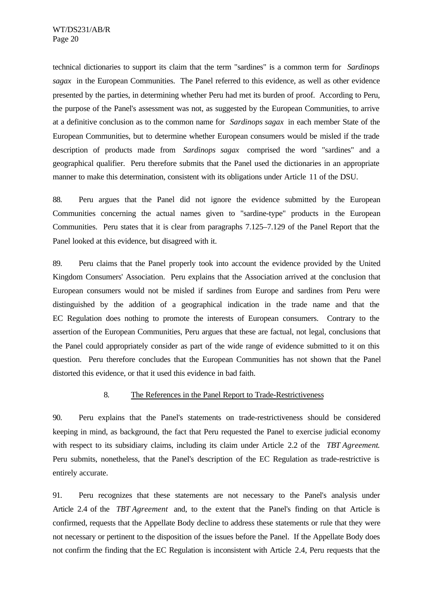technical dictionaries to support its claim that the term "sardines" is a common term for *Sardinops sagax* in the European Communities. The Panel referred to this evidence, as well as other evidence presented by the parties, in determining whether Peru had met its burden of proof. According to Peru, the purpose of the Panel's assessment was not, as suggested by the European Communities, to arrive at a definitive conclusion as to the common name for *Sardinops sagax* in each member State of the European Communities, but to determine whether European consumers would be misled if the trade description of products made from *Sardinops sagax* comprised the word "sardines" and a geographical qualifier. Peru therefore submits that the Panel used the dictionaries in an appropriate manner to make this determination, consistent with its obligations under Article 11 of the DSU.

88. Peru argues that the Panel did not ignore the evidence submitted by the European Communities concerning the actual names given to "sardine-type" products in the European Communities. Peru states that it is clear from paragraphs 7.125–7.129 of the Panel Report that the Panel looked at this evidence, but disagreed with it.

89. Peru claims that the Panel properly took into account the evidence provided by the United Kingdom Consumers' Association. Peru explains that the Association arrived at the conclusion that European consumers would not be misled if sardines from Europe and sardines from Peru were distinguished by the addition of a geographical indication in the trade name and that the EC Regulation does nothing to promote the interests of European consumers. Contrary to the assertion of the European Communities, Peru argues that these are factual, not legal, conclusions that the Panel could appropriately consider as part of the wide range of evidence submitted to it on this question. Peru therefore concludes that the European Communities has not shown that the Panel distorted this evidence, or that it used this evidence in bad faith.

#### 8. The References in the Panel Report to Trade-Restrictiveness

90. Peru explains that the Panel's statements on trade-restrictiveness should be considered keeping in mind, as background, the fact that Peru requested the Panel to exercise judicial economy with respect to its subsidiary claims, including its claim under Article 2.2 of the *TBT Agreement*. Peru submits, nonetheless, that the Panel's description of the EC Regulation as trade-restrictive is entirely accurate.

91. Peru recognizes that these statements are not necessary to the Panel's analysis under Article 2.4 of the *TBT Agreement* and, to the extent that the Panel's finding on that Article is confirmed, requests that the Appellate Body decline to address these statements or rule that they were not necessary or pertinent to the disposition of the issues before the Panel. If the Appellate Body does not confirm the finding that the EC Regulation is inconsistent with Article 2.4, Peru requests that the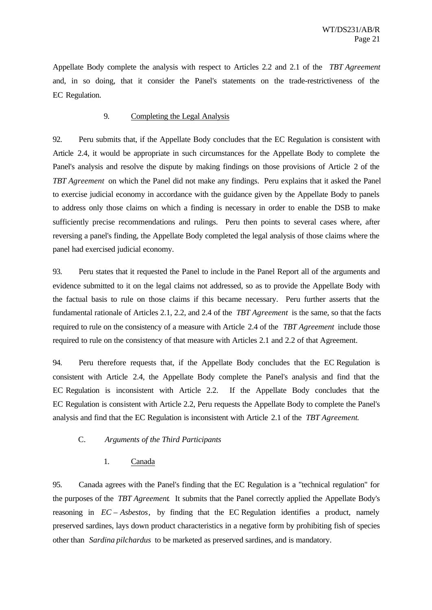Appellate Body complete the analysis with respect to Articles 2.2 and 2.1 of the *TBT Agreement* and, in so doing, that it consider the Panel's statements on the trade-restrictiveness of the EC Regulation.

## 9. Completing the Legal Analysis

92. Peru submits that, if the Appellate Body concludes that the EC Regulation is consistent with Article 2.4, it would be appropriate in such circumstances for the Appellate Body to complete the Panel's analysis and resolve the dispute by making findings on those provisions of Article 2 of the *TBT Agreement* on which the Panel did not make any findings. Peru explains that it asked the Panel to exercise judicial economy in accordance with the guidance given by the Appellate Body to panels to address only those claims on which a finding is necessary in order to enable the DSB to make sufficiently precise recommendations and rulings. Peru then points to several cases where, after reversing a panel's finding, the Appellate Body completed the legal analysis of those claims where the panel had exercised judicial economy.

93. Peru states that it requested the Panel to include in the Panel Report all of the arguments and evidence submitted to it on the legal claims not addressed, so as to provide the Appellate Body with the factual basis to rule on those claims if this became necessary. Peru further asserts that the fundamental rationale of Articles 2.1, 2.2, and 2.4 of the *TBT Agreement* is the same, so that the facts required to rule on the consistency of a measure with Article 2.4 of the *TBT Agreement* include those required to rule on the consistency of that measure with Articles 2.1 and 2.2 of that Agreement.

94. Peru therefore requests that, if the Appellate Body concludes that the EC Regulation is consistent with Article 2.4, the Appellate Body complete the Panel's analysis and find that the EC Regulation is inconsistent with Article 2.2. If the Appellate Body concludes that the EC Regulation is consistent with Article 2.2, Peru requests the Appellate Body to complete the Panel's analysis and find that the EC Regulation is inconsistent with Article 2.1 of the *TBT Agreement*.

## C. *Arguments of the Third Participants*

## 1. Canada

95. Canada agrees with the Panel's finding that the EC Regulation is a "technical regulation" for the purposes of the *TBT Agreement*. It submits that the Panel correctly applied the Appellate Body's reasoning in *EC – Asbestos*, by finding that the EC Regulation identifies a product, namely preserved sardines, lays down product characteristics in a negative form by prohibiting fish of species other than *Sardina pilchardus* to be marketed as preserved sardines, and is mandatory.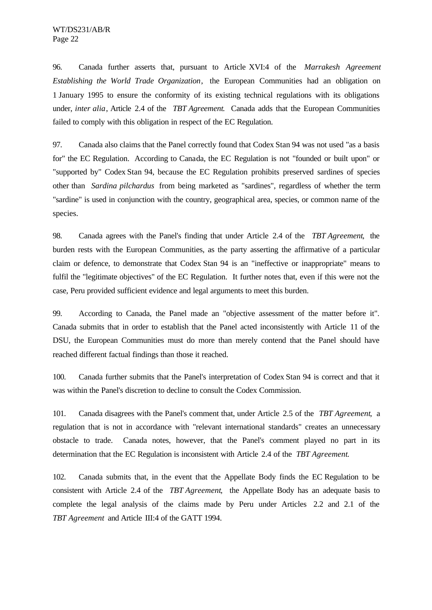96. Canada further asserts that, pursuant to Article XVI:4 of the *Marrakesh Agreement Establishing the World Trade Organization*, the European Communities had an obligation on 1 January 1995 to ensure the conformity of its existing technical regulations with its obligations under, *inter alia*, Article 2.4 of the *TBT Agreement*. Canada adds that the European Communities failed to comply with this obligation in respect of the EC Regulation.

97. Canada also claims that the Panel correctly found that Codex Stan 94 was not used "as a basis for" the EC Regulation. According to Canada, the EC Regulation is not "founded or built upon" or "supported by" Codex Stan 94, because the EC Regulation prohibits preserved sardines of species other than *Sardina pilchardus* from being marketed as "sardines", regardless of whether the term "sardine" is used in conjunction with the country, geographical area, species, or common name of the species.

98. Canada agrees with the Panel's finding that under Article 2.4 of the *TBT Agreement*, the burden rests with the European Communities, as the party asserting the affirmative of a particular claim or defence, to demonstrate that Codex Stan 94 is an "ineffective or inappropriate" means to fulfil the "legitimate objectives" of the EC Regulation. It further notes that, even if this were not the case, Peru provided sufficient evidence and legal arguments to meet this burden.

99. According to Canada, the Panel made an "objective assessment of the matter before it". Canada submits that in order to establish that the Panel acted inconsistently with Article 11 of the DSU, the European Communities must do more than merely contend that the Panel should have reached different factual findings than those it reached.

100. Canada further submits that the Panel's interpretation of Codex Stan 94 is correct and that it was within the Panel's discretion to decline to consult the Codex Commission.

101. Canada disagrees with the Panel's comment that, under Article 2.5 of the *TBT Agreement*, a regulation that is not in accordance with "relevant international standards" creates an unnecessary obstacle to trade. Canada notes, however, that the Panel's comment played no part in its determination that the EC Regulation is inconsistent with Article 2.4 of the *TBT Agreement*.

102. Canada submits that, in the event that the Appellate Body finds the EC Regulation to be consistent with Article 2.4 of the *TBT Agreement*, the Appellate Body has an adequate basis to complete the legal analysis of the claims made by Peru under Articles 2.2 and 2.1 of the *TBT Agreement* and Article III:4 of the GATT 1994.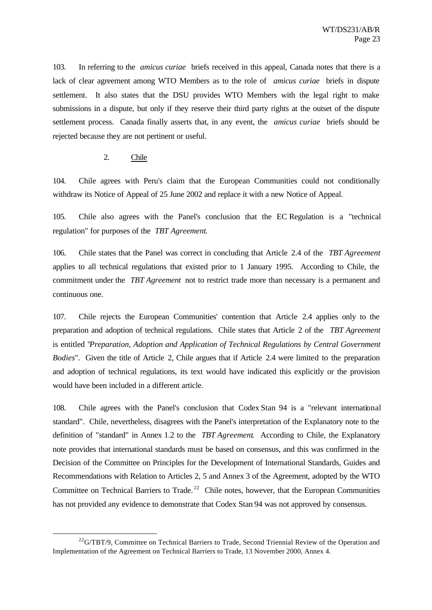103. In referring to the *amicus curiae* briefs received in this appeal, Canada notes that there is a lack of clear agreement among WTO Members as to the role of *amicus curiae* briefs in dispute settlement. It also states that the DSU provides WTO Members with the legal right to make submissions in a dispute, but only if they reserve their third party rights at the outset of the dispute settlement process. Canada finally asserts that, in any event, the *amicus curiae* briefs should be rejected because they are not pertinent or useful.

## 2. Chile

l

104. Chile agrees with Peru's claim that the European Communities could not conditionally withdraw its Notice of Appeal of 25 June 2002 and replace it with a new Notice of Appeal.

105. Chile also agrees with the Panel's conclusion that the EC Regulation is a "technical regulation" for purposes of the *TBT Agreement*.

106. Chile states that the Panel was correct in concluding that Article 2.4 of the *TBT Agreement* applies to all technical regulations that existed prior to 1 January 1995. According to Chile, the commitment under the *TBT Agreement* not to restrict trade more than necessary is a permanent and continuous one.

107. Chile rejects the European Communities' contention that Article 2.4 applies only to the preparation and adoption of technical regulations. Chile states that Article 2 of the *TBT Agreement* is entitled "*Preparation, Adoption and Application of Technical Regulations by Central Government Bodies*". Given the title of Article 2, Chile argues that if Article 2.4 were limited to the preparation and adoption of technical regulations, its text would have indicated this explicitly or the provision would have been included in a different article.

108. Chile agrees with the Panel's conclusion that Codex Stan 94 is a "relevant international standard". Chile, nevertheless, disagrees with the Panel's interpretation of the Explanatory note to the definition of "standard" in Annex 1.2 to the *TBT Agreement*. According to Chile, the Explanatory note provides that international standards must be based on consensus, and this was confirmed in the Decision of the Committee on Principles for the Development of International Standards, Guides and Recommendations with Relation to Articles 2, 5 and Annex 3 of the Agreement, adopted by the WTO Committee on Technical Barriers to Trade.<sup>22</sup> Chile notes, however, that the European Communities has not provided any evidence to demonstrate that Codex Stan 94 was not approved by consensus.

<sup>&</sup>lt;sup>22</sup>G/TBT/9, Committee on Technical Barriers to Trade, Second Triennial Review of the Operation and Implementation of the Agreement on Technical Barriers to Trade, 13 November 2000, Annex 4.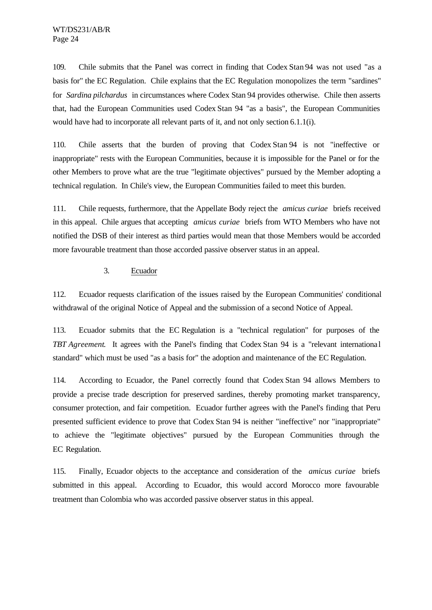109. Chile submits that the Panel was correct in finding that Codex Stan 94 was not used "as a basis for" the EC Regulation. Chile explains that the EC Regulation monopolizes the term "sardines" for *Sardina pilchardus* in circumstances where Codex Stan 94 provides otherwise. Chile then asserts that, had the European Communities used Codex Stan 94 "as a basis", the European Communities would have had to incorporate all relevant parts of it, and not only section 6.1.1(i).

110. Chile asserts that the burden of proving that Codex Stan 94 is not "ineffective or inappropriate" rests with the European Communities, because it is impossible for the Panel or for the other Members to prove what are the true "legitimate objectives" pursued by the Member adopting a technical regulation. In Chile's view, the European Communities failed to meet this burden.

111. Chile requests, furthermore, that the Appellate Body reject the *amicus curiae* briefs received in this appeal. Chile argues that accepting *amicus curiae* briefs from WTO Members who have not notified the DSB of their interest as third parties would mean that those Members would be accorded more favourable treatment than those accorded passive observer status in an appeal.

#### 3. Ecuador

112. Ecuador requests clarification of the issues raised by the European Communities' conditional withdrawal of the original Notice of Appeal and the submission of a second Notice of Appeal.

113. Ecuador submits that the EC Regulation is a "technical regulation" for purposes of the *TBT Agreement*. It agrees with the Panel's finding that Codex Stan 94 is a "relevant international standard" which must be used "as a basis for" the adoption and maintenance of the EC Regulation.

114. According to Ecuador, the Panel correctly found that Codex Stan 94 allows Members to provide a precise trade description for preserved sardines, thereby promoting market transparency, consumer protection, and fair competition. Ecuador further agrees with the Panel's finding that Peru presented sufficient evidence to prove that Codex Stan 94 is neither "ineffective" nor "inappropriate" to achieve the "legitimate objectives" pursued by the European Communities through the EC Regulation.

115. Finally, Ecuador objects to the acceptance and consideration of the *amicus curiae* briefs submitted in this appeal. According to Ecuador, this would accord Morocco more favourable treatment than Colombia who was accorded passive observer status in this appeal.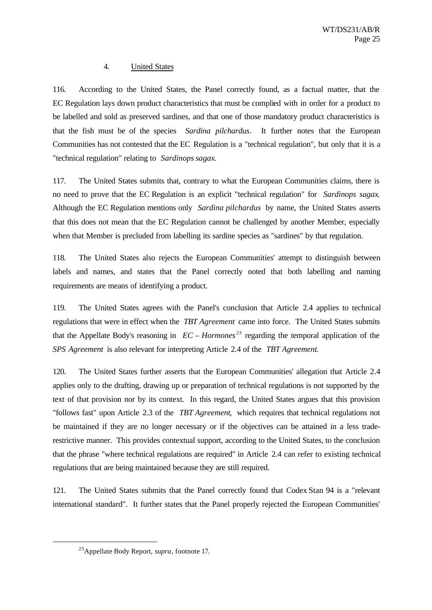## 4. United States

116. According to the United States, the Panel correctly found, as a factual matter, that the EC Regulation lays down product characteristics that must be complied with in order for a product to be labelled and sold as preserved sardines, and that one of those mandatory product characteristics is that the fish must be of the species *Sardina pilchardus*. It further notes that the European Communities has not contested that the EC Regulation is a "technical regulation", but only that it is a "technical regulation" relating to *Sardinops sagax*.

117. The United States submits that, contrary to what the European Communities claims, there is no need to prove that the EC Regulation is an explicit "technical regulation" for *Sardinops sagax*. Although the EC Regulation mentions only *Sardina pilchardus* by name, the United States asserts that this does not mean that the EC Regulation cannot be challenged by another Member, especially when that Member is precluded from labelling its sardine species as "sardines" by that regulation.

118. The United States also rejects the European Communities' attempt to distinguish between labels and names, and states that the Panel correctly noted that both labelling and naming requirements are means of identifying a product.

119. The United States agrees with the Panel's conclusion that Article 2.4 applies to technical regulations that were in effect when the *TBT Agreement* came into force. The United States submits that the Appellate Body's reasoning in  $EC-Hormones^{23}$  regarding the temporal application of the *SPS Agreement* is also relevant for interpreting Article 2.4 of the *TBT Agreement*.

120. The United States further asserts that the European Communities' allegation that Article 2.4 applies only to the drafting, drawing up or preparation of technical regulations is not supported by the text of that provision nor by its context. In this regard, the United States argues that this provision "follows fast" upon Article 2.3 of the *TBT Agreement*, which requires that technical regulations not be maintained if they are no longer necessary or if the objectives can be attained in a less traderestrictive manner. This provides contextual support, according to the United States, to the conclusion that the phrase "where technical regulations are required" in Article 2.4 can refer to existing technical regulations that are being maintained because they are still required.

121. The United States submits that the Panel correctly found that Codex Stan 94 is a "relevant international standard". It further states that the Panel properly rejected the European Communities'

<sup>23</sup>Appellate Body Report, *supra*, footnote 17.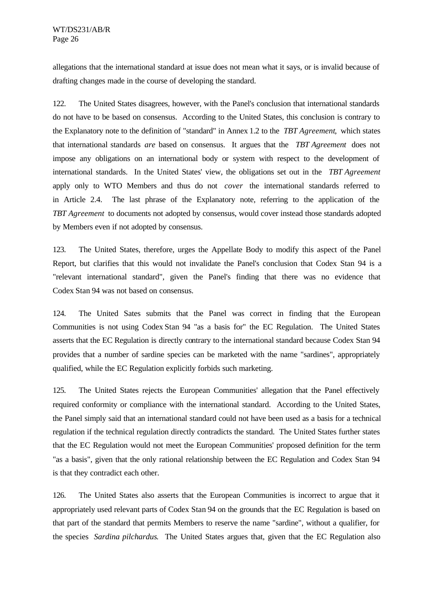allegations that the international standard at issue does not mean what it says, or is invalid because of drafting changes made in the course of developing the standard.

122. The United States disagrees, however, with the Panel's conclusion that international standards do not have to be based on consensus. According to the United States, this conclusion is contrary to the Explanatory note to the definition of "standard" in Annex 1.2 to the *TBT Agreement*, which states that international standards *are* based on consensus. It argues that the *TBT Agreement* does not impose any obligations on an international body or system with respect to the development of international standards. In the United States' view, the obligations set out in the *TBT Agreement* apply only to WTO Members and thus do not *cover* the international standards referred to in Article 2.4. The last phrase of the Explanatory note, referring to the application of the *TBT Agreement* to documents not adopted by consensus, would cover instead those standards adopted by Members even if not adopted by consensus.

123. The United States, therefore, urges the Appellate Body to modify this aspect of the Panel Report, but clarifies that this would not invalidate the Panel's conclusion that Codex Stan 94 is a "relevant international standard", given the Panel's finding that there was no evidence that Codex Stan 94 was not based on consensus.

124. The United Sates submits that the Panel was correct in finding that the European Communities is not using Codex Stan 94 "as a basis for" the EC Regulation. The United States asserts that the EC Regulation is directly contrary to the international standard because Codex Stan 94 provides that a number of sardine species can be marketed with the name "sardines", appropriately qualified, while the EC Regulation explicitly forbids such marketing.

125. The United States rejects the European Communities' allegation that the Panel effectively required conformity or compliance with the international standard. According to the United States, the Panel simply said that an international standard could not have been used as a basis for a technical regulation if the technical regulation directly contradicts the standard. The United States further states that the EC Regulation would not meet the European Communities' proposed definition for the term "as a basis", given that the only rational relationship between the EC Regulation and Codex Stan 94 is that they contradict each other.

126. The United States also asserts that the European Communities is incorrect to argue that it appropriately used relevant parts of Codex Stan 94 on the grounds that the EC Regulation is based on that part of the standard that permits Members to reserve the name "sardine", without a qualifier, for the species *Sardina pilchardus*. The United States argues that, given that the EC Regulation also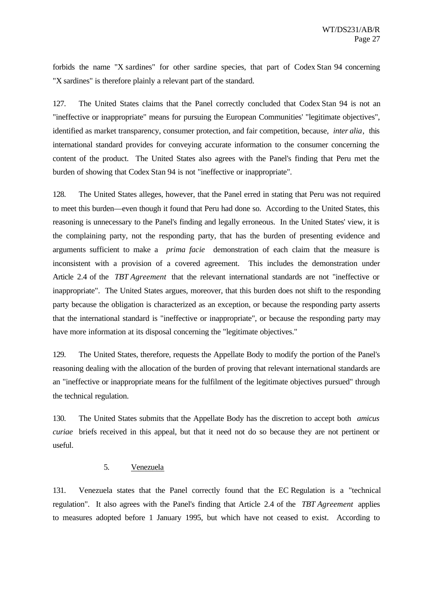forbids the name "X sardines" for other sardine species, that part of Codex Stan 94 concerning "X sardines" is therefore plainly a relevant part of the standard.

127. The United States claims that the Panel correctly concluded that Codex Stan 94 is not an "ineffective or inappropriate" means for pursuing the European Communities' "legitimate objectives", identified as market transparency, consumer protection, and fair competition, because, *inter alia*, this international standard provides for conveying accurate information to the consumer concerning the content of the product. The United States also agrees with the Panel's finding that Peru met the burden of showing that Codex Stan 94 is not "ineffective or inappropriate".

128. The United States alleges, however, that the Panel erred in stating that Peru was not required to meet this burden—even though it found that Peru had done so. According to the United States, this reasoning is unnecessary to the Panel's finding and legally erroneous. In the United States' view, it is the complaining party, not the responding party, that has the burden of presenting evidence and arguments sufficient to make a *prima facie* demonstration of each claim that the measure is inconsistent with a provision of a covered agreement. This includes the demonstration under Article 2.4 of the *TBT Agreement* that the relevant international standards are not "ineffective or inappropriate". The United States argues, moreover, that this burden does not shift to the responding party because the obligation is characterized as an exception, or because the responding party asserts that the international standard is "ineffective or inappropriate", or because the responding party may have more information at its disposal concerning the "legitimate objectives."

129. The United States, therefore, requests the Appellate Body to modify the portion of the Panel's reasoning dealing with the allocation of the burden of proving that relevant international standards are an "ineffective or inappropriate means for the fulfilment of the legitimate objectives pursued" through the technical regulation.

130. The United States submits that the Appellate Body has the discretion to accept both *amicus curiae* briefs received in this appeal, but that it need not do so because they are not pertinent or useful.

## 5. Venezuela

131. Venezuela states that the Panel correctly found that the EC Regulation is a "technical regulation". It also agrees with the Panel's finding that Article 2.4 of the *TBT Agreement* applies to measures adopted before 1 January 1995, but which have not ceased to exist. According to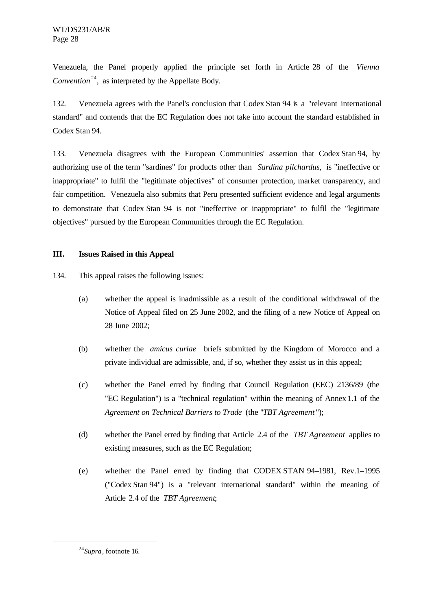Venezuela, the Panel properly applied the principle set forth in Article 28 of the *Vienna Convention*<sup>24</sup>, as interpreted by the Appellate Body.

132. Venezuela agrees with the Panel's conclusion that Codex Stan 94 is a "relevant international standard" and contends that the EC Regulation does not take into account the standard established in Codex Stan 94.

133. Venezuela disagrees with the European Communities' assertion that Codex Stan 94, by authorizing use of the term "sardines" for products other than *Sardina pilchardus*, is "ineffective or inappropriate" to fulfil the "legitimate objectives" of consumer protection, market transparency, and fair competition. Venezuela also submits that Peru presented sufficient evidence and legal arguments to demonstrate that Codex Stan 94 is not "ineffective or inappropriate" to fulfil the "legitimate objectives" pursued by the European Communities through the EC Regulation.

## **III. Issues Raised in this Appeal**

134. This appeal raises the following issues:

- (a) whether the appeal is inadmissible as a result of the conditional withdrawal of the Notice of Appeal filed on 25 June 2002, and the filing of a new Notice of Appeal on 28 June 2002;
- (b) whether the *amicus curiae* briefs submitted by the Kingdom of Morocco and a private individual are admissible, and, if so, whether they assist us in this appeal;
- (c) whether the Panel erred by finding that Council Regulation (EEC) 2136/89 (the "EC Regulation") is a "technical regulation" within the meaning of Annex 1.1 of the *Agreement on Technical Barriers to Trade* (the "*TBT Agreement* ");
- (d) whether the Panel erred by finding that Article 2.4 of the *TBT Agreement* applies to existing measures, such as the EC Regulation;
- (e) whether the Panel erred by finding that CODEX STAN 94–1981, Rev.1–1995 ("Codex Stan 94") is a "relevant international standard" within the meaning of Article 2.4 of the *TBT Agreement*;

<sup>24</sup>*Supra*, footnote 16.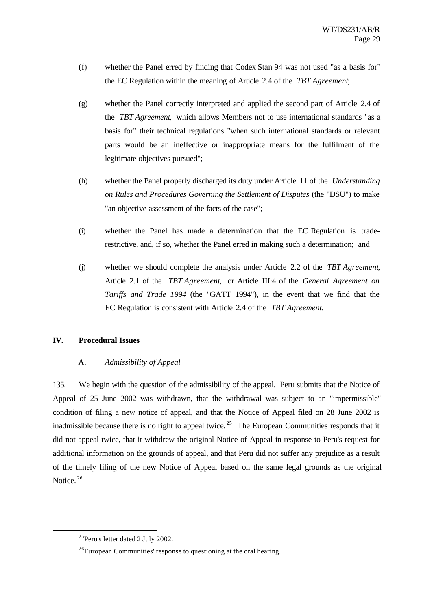- (f) whether the Panel erred by finding that Codex Stan 94 was not used "as a basis for" the EC Regulation within the meaning of Article 2.4 of the *TBT Agreement*;
- (g) whether the Panel correctly interpreted and applied the second part of Article 2.4 of the *TBT Agreement*, which allows Members not to use international standards "as a basis for" their technical regulations "when such international standards or relevant parts would be an ineffective or inappropriate means for the fulfilment of the legitimate objectives pursued";
- (h) whether the Panel properly discharged its duty under Article 11 of the *Understanding on Rules and Procedures Governing the Settlement of Disputes* (the "DSU") to make "an objective assessment of the facts of the case";
- (i) whether the Panel has made a determination that the EC Regulation is traderestrictive, and, if so, whether the Panel erred in making such a determination; and
- (j) whether we should complete the analysis under Article 2.2 of the *TBT Agreement*, Article 2.1 of the *TBT Agreement*, or Article III:4 of the *General Agreement on Tariffs and Trade 1994* (the "GATT 1994"), in the event that we find that the EC Regulation is consistent with Article 2.4 of the *TBT Agreement*.

## **IV. Procedural Issues**

## A. *Admissibility of Appeal*

135. We begin with the question of the admissibility of the appeal. Peru submits that the Notice of Appeal of 25 June 2002 was withdrawn, that the withdrawal was subject to an "impermissible" condition of filing a new notice of appeal, and that the Notice of Appeal filed on 28 June 2002 is inadmissible because there is no right to appeal twice.<sup>25</sup> The European Communities responds that it did not appeal twice, that it withdrew the original Notice of Appeal in response to Peru's request for additional information on the grounds of appeal, and that Peru did not suffer any prejudice as a result of the timely filing of the new Notice of Appeal based on the same legal grounds as the original Notice.<sup>26</sup>

<sup>&</sup>lt;sup>25</sup>Peru's letter dated 2 July 2002.

 $^{26}$ European Communities' response to questioning at the oral hearing.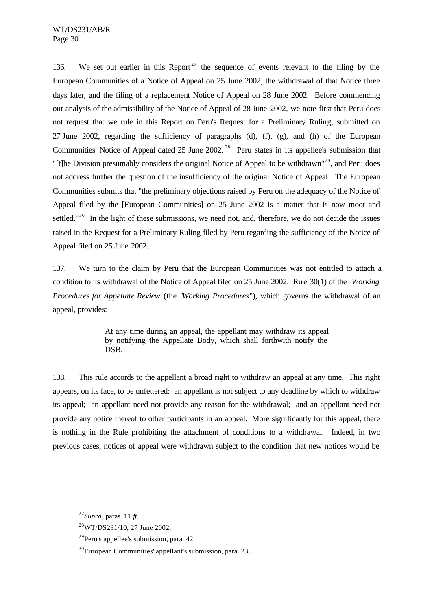136. We set out earlier in this Report<sup>27</sup> the sequence of events relevant to the filing by the European Communities of a Notice of Appeal on 25 June 2002, the withdrawal of that Notice three days later, and the filing of a replacement Notice of Appeal on 28 June 2002. Before commencing our analysis of the admissibility of the Notice of Appeal of 28 June 2002, we note first that Peru does not request that we rule in this Report on Peru's Request for a Preliminary Ruling, submitted on 27 June 2002, regarding the sufficiency of paragraphs (d), (f), (g), and (h) of the European Communities' Notice of Appeal dated 25 June 2002.<sup>28</sup> Peru states in its appellee's submission that "[t]he Division presumably considers the original Notice of Appeal to be withdrawn<sup>"29</sup>, and Peru does" not address further the question of the insufficiency of the original Notice of Appeal. The European Communities submits that "the preliminary objections raised by Peru on the adequacy of the Notice of Appeal filed by the [European Communities] on 25 June 2002 is a matter that is now moot and settled."<sup>30</sup> In the light of these submissions, we need not, and, therefore, we do not decide the issues raised in the Request for a Preliminary Ruling filed by Peru regarding the sufficiency of the Notice of Appeal filed on 25 June 2002.

137. We turn to the claim by Peru that the European Communities was not entitled to attach a condition to its withdrawal of the Notice of Appeal filed on 25 June 2002. Rule 30(1) of the *Working Procedures for Appellate Review* (the "*Working Procedures*"), which governs the withdrawal of an appeal, provides:

> At any time during an appeal, the appellant may withdraw its appeal by notifying the Appellate Body, which shall forthwith notify the DSB.

138. This rule accords to the appellant a broad right to withdraw an appeal at any time. This right appears, on its face, to be unfettered: an appellant is not subject to any deadline by which to withdraw its appeal; an appellant need not provide any reason for the withdrawal; and an appellant need not provide any notice thereof to other participants in an appeal. More significantly for this appeal, there is nothing in the Rule prohibiting the attachment of conditions to a withdrawal. Indeed, in two previous cases, notices of appeal were withdrawn subject to the condition that new notices would be

<sup>27</sup>*Supra*, paras. 11 *ff*.

<sup>28</sup>WT/DS231/10, 27 June 2002.

 $^{29}$ Peru's appellee's submission, para. 42.

 $30$ European Communities' appellant's submission, para. 235.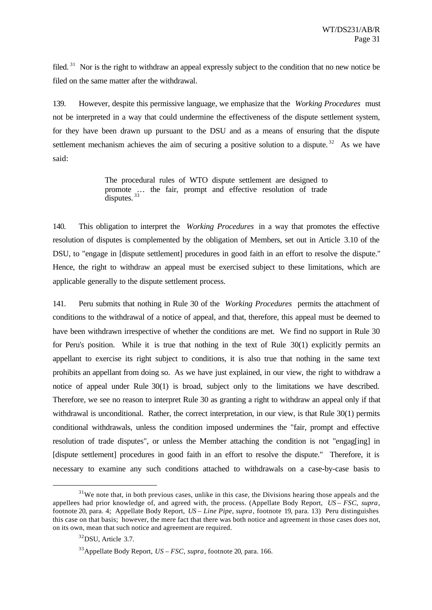filed.<sup>31</sup> Nor is the right to withdraw an appeal expressly subject to the condition that no new notice be filed on the same matter after the withdrawal.

139. However, despite this permissive language, we emphasize that the *Working Procedures* must not be interpreted in a way that could undermine the effectiveness of the dispute settlement system, for they have been drawn up pursuant to the DSU and as a means of ensuring that the dispute settlement mechanism achieves the aim of securing a positive solution to a dispute.<sup>32</sup> As we have said:

> The procedural rules of WTO dispute settlement are designed to promote … the fair, prompt and effective resolution of trade  $\overline{d}$ isputes.<sup>33</sup>

140. This obligation to interpret the *Working Procedures* in a way that promotes the effective resolution of disputes is complemented by the obligation of Members, set out in Article 3.10 of the DSU, to "engage in [dispute settlement] procedures in good faith in an effort to resolve the dispute." Hence, the right to withdraw an appeal must be exercised subject to these limitations, which are applicable generally to the dispute settlement process.

141. Peru submits that nothing in Rule 30 of the *Working Procedures* permits the attachment of conditions to the withdrawal of a notice of appeal, and that, therefore, this appeal must be deemed to have been withdrawn irrespective of whether the conditions are met. We find no support in Rule 30 for Peru's position. While it is true that nothing in the text of Rule 30(1) explicitly permits an appellant to exercise its right subject to conditions, it is also true that nothing in the same text prohibits an appellant from doing so. As we have just explained, in our view, the right to withdraw a notice of appeal under Rule 30(1) is broad, subject only to the limitations we have described. Therefore, we see no reason to interpret Rule 30 as granting a right to withdraw an appeal only if that withdrawal is unconditional. Rather, the correct interpretation, in our view, is that Rule 30(1) permits conditional withdrawals, unless the condition imposed undermines the "fair, prompt and effective resolution of trade disputes", or unless the Member attaching the condition is not "engag[ing] in [dispute settlement] procedures in good faith in an effort to resolve the dispute." Therefore, it is necessary to examine any such conditions attached to withdrawals on a case-by-case basis to

 $31$ We note that, in both previous cases, unlike in this case, the Divisions hearing those appeals and the appellees had prior knowledge of, and agreed with, the process. (Appellate Body Report, *US – FSC*, *supra*, footnote 20, para. 4; Appellate Body Report, *US – Line Pipe*, *supra*, footnote 19, para. 13) Peru distinguishes this case on that basis; however, the mere fact that there was both notice and agreement in those cases does not, on its own, mean that such notice and agreement are required.

<sup>32</sup>DSU, Article 3.7.

<sup>33</sup>Appellate Body Report, *US – FSC*, *supra*, footnote 20, para. 166.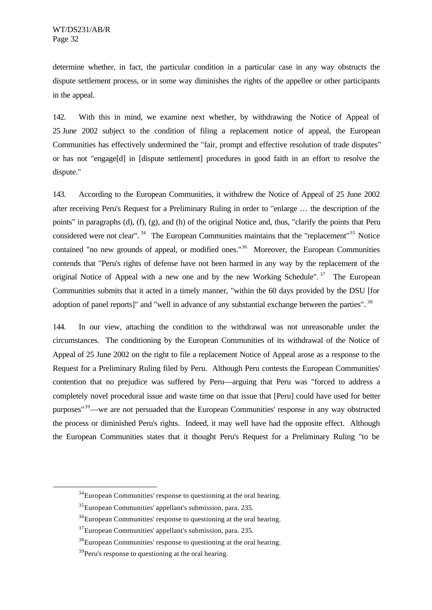determine whether, in fact, the particular condition in a particular case in any way obstructs the dispute settlement process, or in some way diminishes the rights of the appellee or other participants in the appeal.

142. With this in mind, we examine next whether, by withdrawing the Notice of Appeal of 25 June 2002 subject to the condition of filing a replacement notice of appeal, the European Communities has effectively undermined the "fair, prompt and effective resolution of trade disputes" or has not "engage[d] in [dispute settlement] procedures in good faith in an effort to resolve the dispute."

143. According to the European Communities, it withdrew the Notice of Appeal of 25 June 2002 after receiving Peru's Request for a Preliminary Ruling in order to "enlarge … the description of the points" in paragraphs (d), (f), (g), and (h) of the original Notice and, thus, "clarify the points that Peru considered were not clear". <sup>34</sup> The European Communities maintains that the "replacement"<sup>35</sup> Notice contained "no new grounds of appeal, or modified ones."<sup>36</sup> Moreover, the European Communities contends that "Peru's rights of defense have not been harmed in any way by the replacement of the original Notice of Appeal with a new one and by the new Working Schedule".<sup>37</sup> The European Communities submits that it acted in a timely manner, "within the 60 days provided by the DSU [for adoption of panel reports]" and "well in advance of any substantial exchange between the parties". <sup>38</sup>

144. In our view, attaching the condition to the withdrawal was not unreasonable under the circumstances. The conditioning by the European Communities of its withdrawal of the Notice of Appeal of 25 June 2002 on the right to file a replacement Notice of Appeal arose as a response to the Request for a Preliminary Ruling filed by Peru. Although Peru contests the European Communities' contention that no prejudice was suffered by Peru—arguing that Peru was "forced to address a completely novel procedural issue and waste time on that issue that [Peru] could have used for better purposes"<sup>39</sup>—we are not persuaded that the European Communities' response in any way obstructed the process or diminished Peru's rights. Indeed, it may well have had the opposite effect. Although the European Communities states that it thought Peru's Request for a Preliminary Ruling "to be

<sup>&</sup>lt;sup>34</sup>European Communities' response to questioning at the oral hearing.

<sup>35</sup>European Communities' appellant's submission, para. 235.

<sup>&</sup>lt;sup>36</sup>European Communities' response to questioning at the oral hearing.

 $37$ European Communities' appellant's submission, para. 235.

<sup>&</sup>lt;sup>38</sup>European Communities' response to questioning at the oral hearing.

 $39$ Peru's response to questioning at the oral hearing.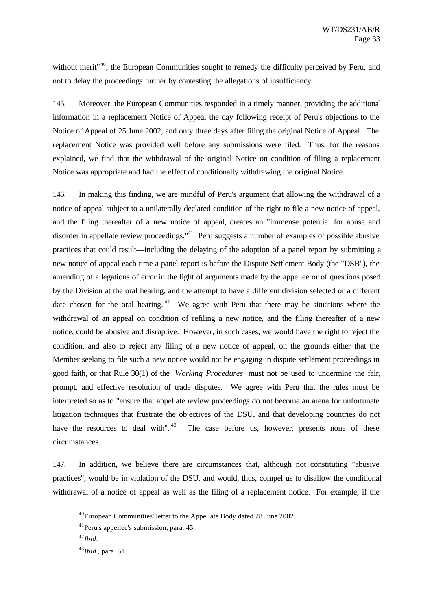without merit<sup>"40</sup>, the European Communities sought to remedy the difficulty perceived by Peru, and not to delay the proceedings further by contesting the allegations of insufficiency.

145. Moreover, the European Communities responded in a timely manner, providing the additional information in a replacement Notice of Appeal the day following receipt of Peru's objections to the Notice of Appeal of 25 June 2002, and only three days after filing the original Notice of Appeal. The replacement Notice was provided well before any submissions were filed. Thus, for the reasons explained, we find that the withdrawal of the original Notice on condition of filing a replacement Notice was appropriate and had the effect of conditionally withdrawing the original Notice.

146. In making this finding, we are mindful of Peru's argument that allowing the withdrawal of a notice of appeal subject to a unilaterally declared condition of the right to file a new notice of appeal, and the filing thereafter of a new notice of appeal, creates an "immense potential for abuse and disorder in appellate review proceedings."<sup>41</sup> Peru suggests a number of examples of possible abusive practices that could result—including the delaying of the adoption of a panel report by submitting a new notice of appeal each time a panel report is before the Dispute Settlement Body (the "DSB"), the amending of allegations of error in the light of arguments made by the appellee or of questions posed by the Division at the oral hearing, and the attempt to have a different division selected or a different date chosen for the oral hearing. <sup>42</sup> We agree with Peru that there may be situations where the withdrawal of an appeal on condition of refiling a new notice, and the filing thereafter of a new notice, could be abusive and disruptive. However, in such cases, we would have the right to reject the condition, and also to reject any filing of a new notice of appeal, on the grounds either that the Member seeking to file such a new notice would not be engaging in dispute settlement proceedings in good faith, or that Rule 30(1) of the *Working Procedures* must not be used to undermine the fair, prompt, and effective resolution of trade disputes. We agree with Peru that the rules must be interpreted so as to "ensure that appellate review proceedings do not become an arena for unfortunate litigation techniques that frustrate the objectives of the DSU, and that developing countries do not have the resources to deal with".<sup>43</sup> The case before us, however, presents none of these circumstances.

147. In addition, we believe there are circumstances that, although not constituting "abusive practices", would be in violation of the DSU, and would, thus, compel us to disallow the conditional withdrawal of a notice of appeal as well as the filing of a replacement notice. For example, if the

<sup>40</sup>European Communities' letter to the Appellate Body dated 28 June 2002.

<sup>41</sup>Peru's appellee's submission, para. 45.

<sup>42</sup>*Ibid*.

<sup>43</sup>*Ibid.*, para. 51.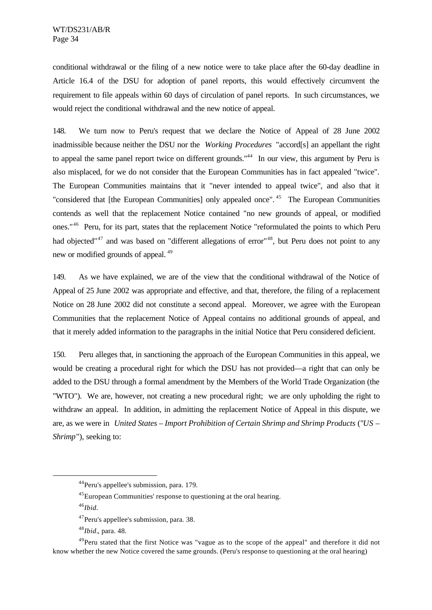conditional withdrawal or the filing of a new notice were to take place after the 60-day deadline in Article 16.4 of the DSU for adoption of panel reports, this would effectively circumvent the requirement to file appeals within 60 days of circulation of panel reports. In such circumstances, we would reject the conditional withdrawal and the new notice of appeal.

148. We turn now to Peru's request that we declare the Notice of Appeal of 28 June 2002 inadmissible because neither the DSU nor the *Working Procedures* "accord[s] an appellant the right to appeal the same panel report twice on different grounds."<sup>44</sup> In our view, this argument by Peru is also misplaced, for we do not consider that the European Communities has in fact appealed "twice". The European Communities maintains that it "never intended to appeal twice", and also that it "considered that [the European Communities] only appealed once".<sup>45</sup> The European Communities contends as well that the replacement Notice contained "no new grounds of appeal, or modified ones."<sup>46</sup> Peru, for its part, states that the replacement Notice "reformulated the points to which Peru had objected"<sup>47</sup> and was based on "different allegations of error"<sup>48</sup>, but Peru does not point to any new or modified grounds of appeal. <sup>49</sup>

149. As we have explained, we are of the view that the conditional withdrawal of the Notice of Appeal of 25 June 2002 was appropriate and effective, and that, therefore, the filing of a replacement Notice on 28 June 2002 did not constitute a second appeal. Moreover, we agree with the European Communities that the replacement Notice of Appeal contains no additional grounds of appeal, and that it merely added information to the paragraphs in the initial Notice that Peru considered deficient.

150. Peru alleges that, in sanctioning the approach of the European Communities in this appeal, we would be creating a procedural right for which the DSU has not provided—a right that can only be added to the DSU through a formal amendment by the Members of the World Trade Organization (the "WTO"). We are, however, not creating a new procedural right; we are only upholding the right to withdraw an appeal. In addition, in admitting the replacement Notice of Appeal in this dispute, we are, as we were in *United States – Import Prohibition of Certain Shrimp and Shrimp Products* ("*US – Shrimp*"), seeking to:

<sup>44</sup>Peru's appellee's submission, para. 179.

 $^{45}$ European Communities' response to questioning at the oral hearing.

<sup>46</sup>*Ibid.*

<sup>47</sup>Peru's appellee's submission, para. 38.

<sup>48</sup>*Ibid.*, para. 48.

<sup>&</sup>lt;sup>49</sup>Peru stated that the first Notice was "vague as to the scope of the appeal" and therefore it did not know whether the new Notice covered the same grounds. (Peru's response to questioning at the oral hearing)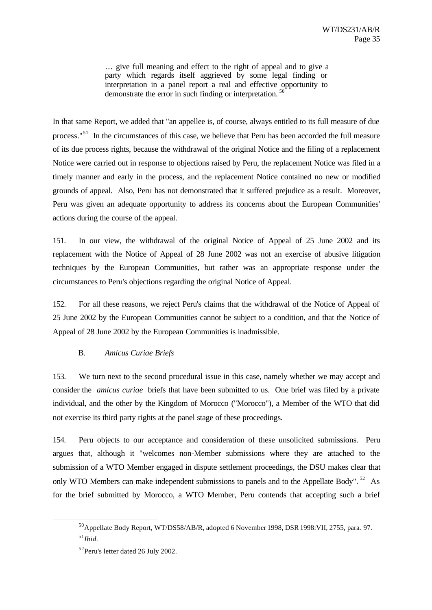… give full meaning and effect to the right of appeal and to give a party which regards itself aggrieved by some legal finding or interpretation in a panel report a real and effective opportunity to demonstrate the error in such finding or interpretation.<sup>5</sup>

In that same Report, we added that "an appellee is, of course, always entitled to its full measure of due process."<sup>51</sup> In the circumstances of this case, we believe that Peru has been accorded the full measure of its due process rights, because the withdrawal of the original Notice and the filing of a replacement Notice were carried out in response to objections raised by Peru, the replacement Notice was filed in a timely manner and early in the process, and the replacement Notice contained no new or modified grounds of appeal. Also, Peru has not demonstrated that it suffered prejudice as a result. Moreover, Peru was given an adequate opportunity to address its concerns about the European Communities' actions during the course of the appeal.

151. In our view, the withdrawal of the original Notice of Appeal of 25 June 2002 and its replacement with the Notice of Appeal of 28 June 2002 was not an exercise of abusive litigation techniques by the European Communities, but rather was an appropriate response under the circumstances to Peru's objections regarding the original Notice of Appeal.

152. For all these reasons, we reject Peru's claims that the withdrawal of the Notice of Appeal of 25 June 2002 by the European Communities cannot be subject to a condition, and that the Notice of Appeal of 28 June 2002 by the European Communities is inadmissible.

# B. *Amicus Curiae Briefs*

153. We turn next to the second procedural issue in this case, namely whether we may accept and consider the *amicus curiae* briefs that have been submitted to us. One brief was filed by a private individual, and the other by the Kingdom of Morocco ("Morocco"), a Member of the WTO that did not exercise its third party rights at the panel stage of these proceedings.

154. Peru objects to our acceptance and consideration of these unsolicited submissions. Peru argues that, although it "welcomes non-Member submissions where they are attached to the submission of a WTO Member engaged in dispute settlement proceedings, the DSU makes clear that only WTO Members can make independent submissions to panels and to the Appellate Body". <sup>52</sup> As for the brief submitted by Morocco, a WTO Member, Peru contends that accepting such a brief

<sup>50</sup>Appellate Body Report, WT/DS58/AB/R, adopted 6 November 1998, DSR 1998:VII, 2755, para. 97. <sup>51</sup>*Ibid.*

<sup>52</sup>Peru's letter dated 26 July 2002.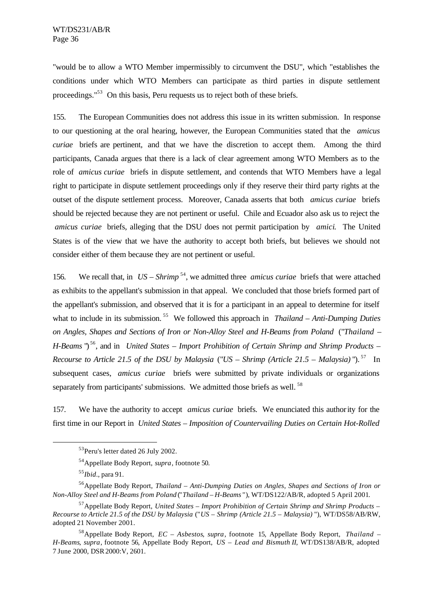"would be to allow a WTO Member impermissibly to circumvent the DSU", which "establishes the conditions under which WTO Members can participate as third parties in dispute settlement proceedings."<sup>53</sup> On this basis, Peru requests us to reject both of these briefs.

155. The European Communities does not address this issue in its written submission. In response to our questioning at the oral hearing, however, the European Communities stated that the *amicus curiae* briefs are pertinent, and that we have the discretion to accept them. Among the third participants, Canada argues that there is a lack of clear agreement among WTO Members as to the role of *amicus curiae* briefs in dispute settlement, and contends that WTO Members have a legal right to participate in dispute settlement proceedings only if they reserve their third party rights at the outset of the dispute settlement process. Moreover, Canada asserts that both *amicus curiae* briefs should be rejected because they are not pertinent or useful. Chile and Ecuador also ask us to reject the *amicus curiae* briefs, alleging that the DSU does not permit participation by *amici*. The United States is of the view that we have the authority to accept both briefs, but believes we should not consider either of them because they are not pertinent or useful.

156. We recall that, in *US – Shrimp* <sup>54</sup>, we admitted three *amicus curiae* briefs that were attached as exhibits to the appellant's submission in that appeal. We concluded that those briefs formed part of the appellant's submission, and observed that it is for a participant in an appeal to determine for itself what to include in its submission.<sup>55</sup> We followed this approach in *Thailand – Anti-Dumping Duties on Angles, Shapes and Sections of Iron or Non-Alloy Steel and H-Beams from Poland* ("*Thailand – H-Beams* ") <sup>56</sup>, and in *United States – Import Prohibition of Certain Shrimp and Shrimp Products – Recourse to Article 21.5 of the DSU by Malaysia* ("*US – Shrimp (Article 21.5 – Malaysia)* "). <sup>57</sup> In subsequent cases, *amicus curiae* briefs were submitted by private individuals or organizations separately from participants' submissions. We admitted those briefs as well.<sup>58</sup>

157. We have the authority to accept *amicus curiae* briefs. We enunciated this authority for the first time in our Report in *United States – Imposition of Countervailing Duties on Certain Hot-Rolled*

<sup>53</sup>Peru's letter dated 26 July 2002.

<sup>54</sup>Appellate Body Report, *supra*, footnote 50.

<sup>55</sup>*Ibid*., para 91.

<sup>56</sup>Appellate Body Report, *Thailand – Anti-Dumping Duties on Angles, Shapes and Sections of Iron or Non-Alloy Steel and H-Beams from Poland* ("*Thailand – H-Beams* "), WT/DS122/AB/R, adopted 5 April 2001.

<sup>57</sup>Appellate Body Report, *United States – Import Prohibition of Certain Shrimp and Shrimp Products – Recourse to Article 21.5 of the DSU by Malaysia* ("*US – Shrimp (Article 21.5 – Malaysia)* "), WT/DS58/AB/RW, adopted 21 November 2001.

<sup>58</sup>Appellate Body Report, *EC – Asbestos*, *supra*, footnote 15, Appellate Body Report, *Thailand – H-Beams*, *supra*, footnote 56, Appellate Body Report, *US – Lead and Bismuth II*, WT/DS138/AB/R, adopted 7 June 2000, DSR 2000:V, 2601.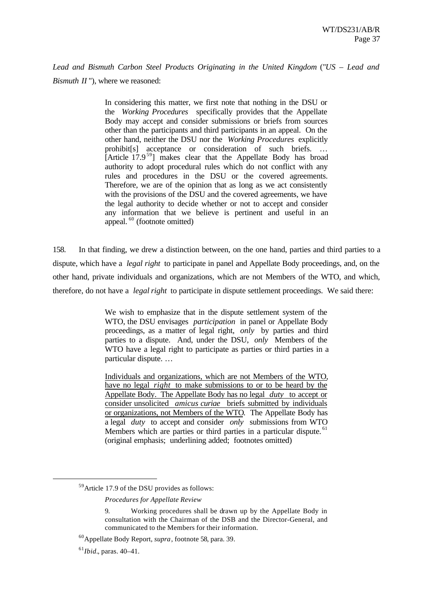*Lead and Bismuth Carbon Steel Products Originating in the United Kingdom* ("*US – Lead and Bismuth II* "), where we reasoned:

> In considering this matter, we first note that nothing in the DSU or the *Working Procedures* specifically provides that the Appellate Body may accept and consider submissions or briefs from sources other than the participants and third participants in an appeal. On the other hand, neither the DSU nor the *Working Procedures* explicitly prohibit[s] acceptance or consideration of such briefs. …  $[Article 17.9<sup>59</sup>]$  makes clear that the Appellate Body has broad authority to adopt procedural rules which do not conflict with any rules and procedures in the DSU or the covered agreements. Therefore, we are of the opinion that as long as we act consistently with the provisions of the DSU and the covered agreements, we have the legal authority to decide whether or not to accept and consider any information that we believe is pertinent and useful in an appeal.  $60$  (footnote omitted)

158. In that finding, we drew a distinction between, on the one hand, parties and third parties to a dispute, which have a *legal right* to participate in panel and Appellate Body proceedings, and, on the other hand, private individuals and organizations, which are not Members of the WTO, and which, therefore, do not have a *legal right* to participate in dispute settlement proceedings. We said there:

> We wish to emphasize that in the dispute settlement system of the WTO, the DSU envisages *participation* in panel or Appellate Body proceedings, as a matter of legal right, *only* by parties and third parties to a dispute. And, under the DSU, *only* Members of the WTO have a legal right to participate as parties or third parties in a particular dispute. …

> Individuals and organizations, which are not Members of the WTO, have no legal *right* to make submissions to or to be heard by the Appellate Body. The Appellate Body has no legal *duty* to accept or consider unsolicited *amicus curiae* briefs submitted by individuals or organizations, not Members of the WTO. The Appellate Body has a legal *duty* to accept and consider *only* submissions from WTO Members which are parties or third parties in a particular dispute.<sup>61</sup> (original emphasis; underlining added; footnotes omitted)

<sup>59</sup>Article 17.9 of the DSU provides as follows:

*Procedures for Appellate Review*

<sup>9.</sup> Working procedures shall be drawn up by the Appellate Body in consultation with the Chairman of the DSB and the Director-General, and communicated to the Members for their information.

<sup>60</sup>Appellate Body Report, *supra*, footnote 58, para. 39.

<sup>61</sup>*Ibid.*, paras. 40–41.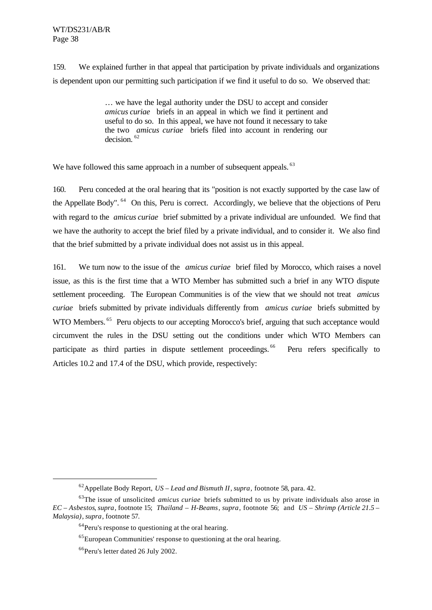159. We explained further in that appeal that participation by private individuals and organizations is dependent upon our permitting such participation if we find it useful to do so. We observed that:

> … we have the legal authority under the DSU to accept and consider *amicus curiae* briefs in an appeal in which we find it pertinent and useful to do so. In this appeal, we have not found it necessary to take the two *amicus curiae* briefs filed into account in rendering our decision.<sup>62</sup>

We have followed this same approach in a number of subsequent appeals. <sup>63</sup>

160. Peru conceded at the oral hearing that its "position is not exactly supported by the case law of the Appellate Body". <sup>64</sup> On this, Peru is correct. Accordingly, we believe that the objections of Peru with regard to the *amicus curiae* brief submitted by a private individual are unfounded. We find that we have the authority to accept the brief filed by a private individual, and to consider it. We also find that the brief submitted by a private individual does not assist us in this appeal.

161. We turn now to the issue of the *amicus curiae* brief filed by Morocco, which raises a novel issue, as this is the first time that a WTO Member has submitted such a brief in any WTO dispute settlement proceeding. The European Communities is of the view that we should not treat *amicus curiae* briefs submitted by private individuals differently from *amicus curiae* briefs submitted by WTO Members.<sup>65</sup> Peru objects to our accepting Morocco's brief, arguing that such acceptance would circumvent the rules in the DSU setting out the conditions under which WTO Members can participate as third parties in dispute settlement proceedings.<sup>66</sup> Peru refers specifically to Articles 10.2 and 17.4 of the DSU, which provide, respectively:

<sup>62</sup>Appellate Body Report, *US – Lead and Bismuth II*, *supra*, footnote 58, para. 42.

<sup>63</sup>The issue of unsolicited *amicus curiae* briefs submitted to us by private individuals also arose in *EC – Asbestos*, *supra*, footnote 15; *Thailand – H-Beams*, *supra*, footnote 56; and *US – Shrimp (Article 21.5 – Malaysia)*, *supra*, footnote 57.

 $64$ Peru's response to questioning at the oral hearing.

 ${}^{65}$ European Communities' response to questioning at the oral hearing.

<sup>66</sup>Peru's letter dated 26 July 2002.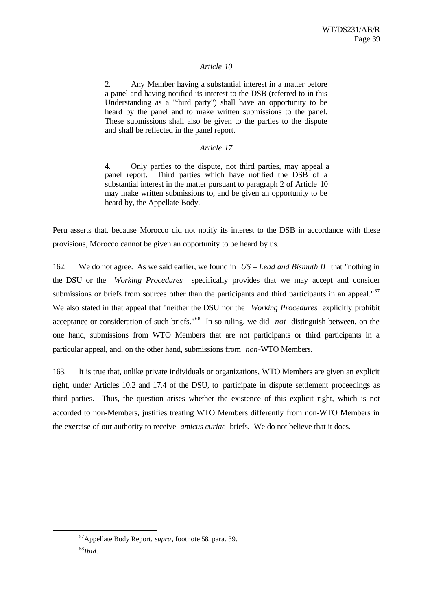### *Article 10*

2. Any Member having a substantial interest in a matter before a panel and having notified its interest to the DSB (referred to in this Understanding as a "third party") shall have an opportunity to be heard by the panel and to make written submissions to the panel. These submissions shall also be given to the parties to the dispute and shall be reflected in the panel report.

### *Article 17*

4. Only parties to the dispute, not third parties, may appeal a panel report. Third parties which have notified the DSB of a substantial interest in the matter pursuant to paragraph 2 of Article 10 may make written submissions to, and be given an opportunity to be heard by, the Appellate Body.

Peru asserts that, because Morocco did not notify its interest to the DSB in accordance with these provisions, Morocco cannot be given an opportunity to be heard by us.

162. We do not agree. As we said earlier, we found in *US – Lead and Bismuth II* that "nothing in the DSU or the *Working Procedures* specifically provides that we may accept and consider submissions or briefs from sources other than the participants and third participants in an appeal."<sup>67</sup> We also stated in that appeal that "neither the DSU nor the *Working Procedures* explicitly prohibit acceptance or consideration of such briefs."<sup>68</sup> In so ruling, we did *not* distinguish between, on the one hand, submissions from WTO Members that are not participants or third participants in a particular appeal, and, on the other hand, submissions from *non*-WTO Members.

163. It is true that, unlike private individuals or organizations, WTO Members are given an explicit right, under Articles 10.2 and 17.4 of the DSU, to participate in dispute settlement proceedings as third parties. Thus, the question arises whether the existence of this explicit right, which is not accorded to non-Members, justifies treating WTO Members differently from non-WTO Members in the exercise of our authority to receive *amicus curiae* briefs. We do not believe that it does.

<sup>67</sup>Appellate Body Report, *supra*, footnote 58, para. 39. <sup>68</sup>*Ibid.*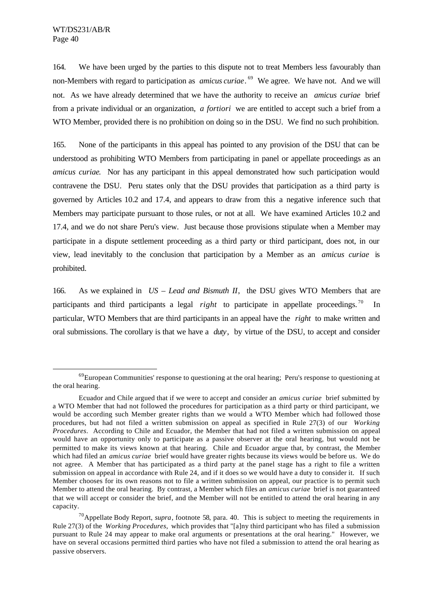l

164. We have been urged by the parties to this dispute not to treat Members less favourably than non-Members with regard to participation as *amicus curiae*. <sup>69</sup> We agree. We have not. And we will not. As we have already determined that we have the authority to receive an *amicus curiae* brief from a private individual or an organization, *a fortiori* we are entitled to accept such a brief from a WTO Member, provided there is no prohibition on doing so in the DSU. We find no such prohibition.

165. None of the participants in this appeal has pointed to any provision of the DSU that can be understood as prohibiting WTO Members from participating in panel or appellate proceedings as an *amicus curiae*. Nor has any participant in this appeal demonstrated how such participation would contravene the DSU. Peru states only that the DSU provides that participation as a third party is governed by Articles 10.2 and 17.4, and appears to draw from this a negative inference such that Members may participate pursuant to those rules, or not at all. We have examined Articles 10.2 and 17.4, and we do not share Peru's view. Just because those provisions stipulate when a Member may participate in a dispute settlement proceeding as a third party or third participant, does not, in our view, lead inevitably to the conclusion that participation by a Member as an *amicus curiae* is prohibited.

166. As we explained in *US – Lead and Bismuth II*, the DSU gives WTO Members that are participants and third participants a legal *right* to participate in appellate proceedings.<sup>70</sup> In particular, WTO Members that are third participants in an appeal have the *right* to make written and oral submissions. The corollary is that we have a *duty*, by virtue of the DSU, to accept and consider

 $^{69}$ European Communities' response to questioning at the oral hearing; Peru's response to questioning at the oral hearing.

Ecuador and Chile argued that if we were to accept and consider an *amicus curiae* brief submitted by a WTO Member that had not followed the procedures for participation as a third party or third participant, we would be according such Member greater rights than we would a WTO Member which had followed those procedures, but had not filed a written submission on appeal as specified in Rule 27(3) of our *Working Procedures*. According to Chile and Ecuador, the Member that had not filed a written submission on appeal would have an opportunity only to participate as a passive observer at the oral hearing, but would not be permitted to make its views known at that hearing. Chile and Ecuador argue that, by contrast, the Member which had filed an *amicus curiae* brief would have greater rights because its views would be before us. We do not agree. A Member that has participated as a third party at the panel stage has a right to file a written submission on appeal in accordance with Rule 24, and if it does so we would have a duty to consider it. If such Member chooses for its own reasons not to file a written submission on appeal, our practice is to permit such Member to attend the oral hearing. By contrast, a Member which files an *amicus curiae* brief is not guaranteed that we will accept or consider the brief, and the Member will not be entitled to attend the oral hearing in any capacity.

<sup>70</sup>Appellate Body Report, *supra*, footnote 58, para. 40. This is subject to meeting the requirements in Rule 27(3) of the *Working Procedures*, which provides that "[a]ny third participant who has filed a submission pursuant to Rule 24 may appear to make oral arguments or presentations at the oral hearing." However, we have on several occasions permitted third parties who have not filed a submission to attend the oral hearing as passive observers.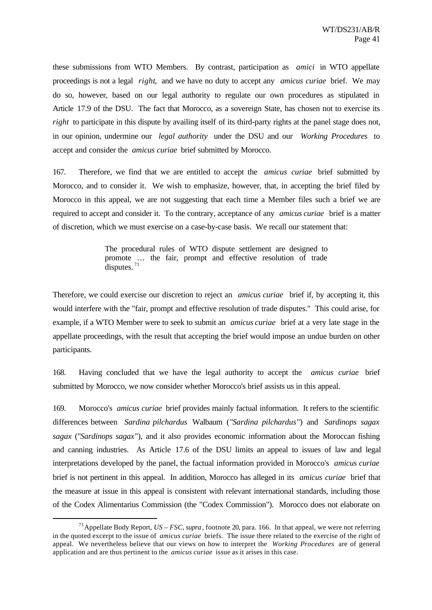these submissions from WTO Members. By contrast, participation as *amici* in WTO appellate proceedings is not a legal *right*, and we have no duty to accept any *amicus curiae* brief. We may do so, however, based on our legal authority to regulate our own procedures as stipulated in Article 17.9 of the DSU. The fact that Morocco, as a sovereign State, has chosen not to exercise its *right* to participate in this dispute by availing itself of its third-party rights at the panel stage does not, in our opinion, undermine our *legal authority* under the DSU and our *Working Procedures* to accept and consider the *amicus curiae* brief submitted by Morocco.

167. Therefore, we find that we are entitled to accept the *amicus curiae* brief submitted by Morocco, and to consider it. We wish to emphasize, however, that, in accepting the brief filed by Morocco in this appeal, we are not suggesting that each time a Member files such a brief we are required to accept and consider it. To the contrary, acceptance of any *amicus curiae* brief is a matter of discretion, which we must exercise on a case-by-case basis. We recall our statement that:

> The procedural rules of WTO dispute settlement are designed to promote … the fair, prompt and effective resolution of trade disputes.<sup>71</sup>

Therefore, we could exercise our discretion to reject an *amicus curiae* brief if, by accepting it, this would interfere with the "fair, prompt and effective resolution of trade disputes." This could arise, for example, if a WTO Member were to seek to submit an *amicus curiae* brief at a very late stage in the appellate proceedings, with the result that accepting the brief would impose an undue burden on other participants.

168. Having concluded that we have the legal authority to accept the *amicus curiae* brief submitted by Morocco, we now consider whether Morocco's brief assists us in this appeal.

169. Morocco's *amicus curiae* brief provides mainly factual information. It refers to the scientific differences between *Sardina pilchardus* Walbaum ("*Sardina pilchardus*") and *Sardinops sagax sagax* ("*Sardinops sagax*"), and it also provides economic information about the Moroccan fishing and canning industries. As Article 17.6 of the DSU limits an appeal to issues of law and legal interpretations developed by the panel, the factual information provided in Morocco's *amicus curiae* brief is not pertinent in this appeal. In addition, Morocco has alleged in its *amicus curiae* brief that the measure at issue in this appeal is consistent with relevant international standards, including those of the Codex Alimentarius Commission (the "Codex Commission"). Morocco does not elaborate on

<sup>&</sup>lt;sup>71</sup>Appellate Body Report,  $US - FSC$ , *supra*, footnote 20, para. 166. In that appeal, we were not referring in the quoted excerpt to the issue of *amicus curiae* briefs. The issue there related to the exercise of the right of appeal. We nevertheless believe that our views on how to interpret the *Working Procedures* are of general application and are thus pertinent to the *amicus curiae* issue as it arises in this case.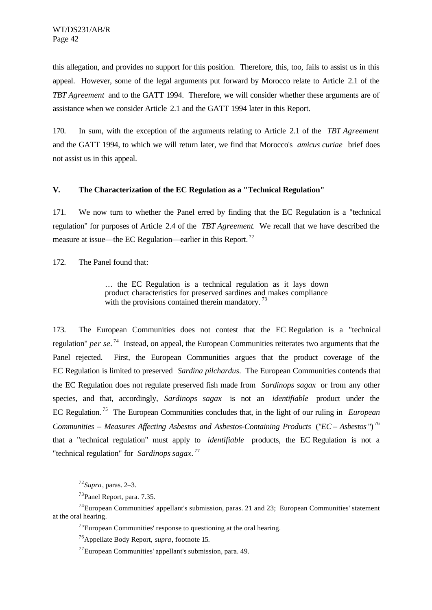this allegation, and provides no support for this position. Therefore, this, too, fails to assist us in this appeal. However, some of the legal arguments put forward by Morocco relate to Article 2.1 of the *TBT Agreement* and to the GATT 1994. Therefore, we will consider whether these arguments are of assistance when we consider Article 2.1 and the GATT 1994 later in this Report.

170. In sum, with the exception of the arguments relating to Article 2.1 of the *TBT Agreement* and the GATT 1994, to which we will return later, we find that Morocco's *amicus curiae* brief does not assist us in this appeal.

# **V. The Characterization of the EC Regulation as a "Technical Regulation"**

171. We now turn to whether the Panel erred by finding that the EC Regulation is a "technical regulation" for purposes of Article 2.4 of the *TBT Agreement*. We recall that we have described the measure at issue—the EC Regulation—earlier in this Report. <sup>72</sup>

172. The Panel found that:

… the EC Regulation is a technical regulation as it lays down product characteristics for preserved sardines and makes compliance with the provisions contained therein mandatory.<sup>73</sup>

173. The European Communities does not contest that the EC Regulation is a "technical regulation" *per se*. <sup>74</sup> Instead, on appeal, the European Communities reiterates two arguments that the Panel rejected. First, the European Communities argues that the product coverage of the EC Regulation is limited to preserved *Sardina pilchardus*. The European Communities contends that the EC Regulation does not regulate preserved fish made from *Sardinops sagax* or from any other species, and that, accordingly, *Sardinops sagax* is not an *identifiable* product under the EC Regulation. <sup>75</sup> The European Communities concludes that, in the light of our ruling in *European Communities – Measures Affecting Asbestos and Asbestos-Containing Products* ("*EC – Asbestos* ") <sup>76</sup> that a "technical regulation" must apply to *identifiable* products, the EC Regulation is not a "technical regulation" for *Sardinops sagax*. 77

<sup>72</sup>*Supra*, paras. 2–3.

<sup>73</sup>Panel Report, para. 7.35.

 $<sup>74</sup>$ European Communities' appellant's submission, paras. 21 and 23; European Communities' statement</sup> at the oral hearing.

 $^{75}$ European Communities' response to questioning at the oral hearing.

<sup>76</sup>Appellate Body Report, *supra*, footnote 15.

 $^{77}$ European Communities' appellant's submission, para. 49.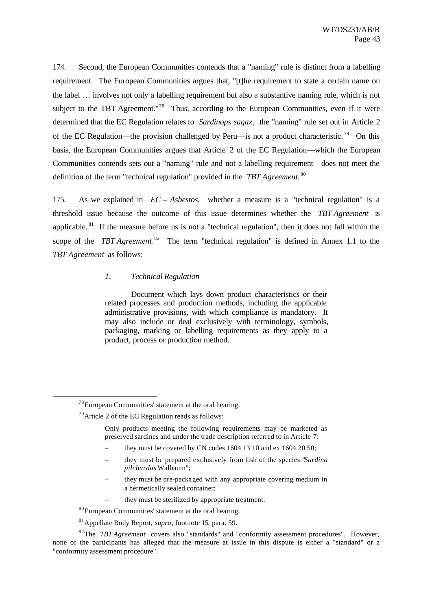174. Second, the European Communities contends that a "naming" rule is distinct from a labelling requirement. The European Communities argues that, "[t]he requirement to state a certain name on the label … involves not only a labelling requirement but also a substantive naming rule, which is not subject to the TBT Agreement."<sup>78</sup> Thus, according to the European Communities, even if it were determined that the EC Regulation relates to *Sardinops sagax*, the "naming" rule set out in Article 2 of the EC Regulation—the provision challenged by Peru—is not a product characteristic.<sup>79</sup> On this basis, the European Communities argues that Article 2 of the EC Regulation—which the European Communities contends sets out a "naming" rule and not a labelling requirement—does not meet the definition of the term "technical regulation" provided in the *TBT Agreement*. 80

175. As we explained in *EC – Asbestos*, whether a measure is a "technical regulation" is a threshold issue because the outcome of this issue determines whether the *TBT Agreement* is applicable. <sup>81</sup> If the measure before us is not a "technical regulation", then it does not fall within the scope of the *TBT Agreement*. <sup>82</sup> The term "technical regulation" is defined in Annex 1.1 to the *TBT Agreement* as follows:

# *1. Technical Regulation*

Document which lays down product characteristics or their related processes and production methods, including the applicable administrative provisions, with which compliance is mandatory. It may also include or deal exclusively with terminology, symbols, packaging, marking or labelling requirements as they apply to a product, process or production method.

l

- they must be covered by CN codes 1604 13 10 and ex 1604 20 50;
- they must be prepared exclusively from fish of the species "*Sardina pilchardus* Walbaum";
- they must be pre-packaged with any appropriate covering medium in a hermetically sealed container;
- they must be sterilized by appropriate treatment.

<sup>80</sup>European Communities' statement at the oral hearing.

<sup>81</sup>Appellate Body Report, *supra*, footnote 15, para. 59.

<sup>82</sup>The *TBT Agreement* covers also "standards" and "conformity assessment procedures". However, none of the participants has alleged that the measure at issue in this dispute is either a "standard" or a "conformity assessment procedure".

<sup>78</sup>European Communities' statement at the oral hearing.

<sup>79</sup>Article 2 of the EC Regulation reads as follows:

Only products meeting the following requirements may be marketed as preserved sardines and under the trade description referred to in Article 7: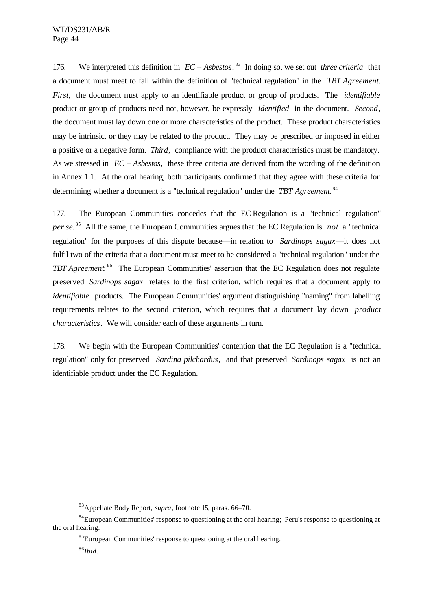176. We interpreted this definition in *EC – Asbestos*. <sup>83</sup> In doing so, we set out *three criteria* that a document must meet to fall within the definition of "technical regulation" in the *TBT Agreement*. *First*, the document must apply to an identifiable product or group of products. The *identifiable* product or group of products need not, however, be expressly *identified* in the document. *Second*, the document must lay down one or more characteristics of the product. These product characteristics may be intrinsic, or they may be related to the product. They may be prescribed or imposed in either a positive or a negative form. *Third*, compliance with the product characteristics must be mandatory. As we stressed in *EC – Asbestos*, these three criteria are derived from the wording of the definition in Annex 1.1. At the oral hearing, both participants confirmed that they agree with these criteria for determining whether a document is a "technical regulation" under the *TBT Agreement*. 84

177. The European Communities concedes that the EC Regulation is a "technical regulation" *per se*. <sup>85</sup> All the same, the European Communities argues that the EC Regulation is *not* a "technical regulation" for the purposes of this dispute because—in relation to *Sardinops sagax*—it does not fulfil two of the criteria that a document must meet to be considered a "technical regulation" under the *TBT Agreement*. <sup>86</sup> The European Communities' assertion that the EC Regulation does not regulate preserved *Sardinops sagax* relates to the first criterion, which requires that a document apply to *identifiable* products. The European Communities' argument distinguishing "naming" from labelling requirements relates to the second criterion, which requires that a document lay down *product characteristics*. We will consider each of these arguments in turn.

178. We begin with the European Communities' contention that the EC Regulation is a "technical regulation" only for preserved *Sardina pilchardus*, and that preserved *Sardinops sagax* is not an identifiable product under the EC Regulation.

<sup>83</sup>Appellate Body Report, *supra*, footnote 15, paras. 66–70.

 $84$ European Communities' response to questioning at the oral hearing; Peru's response to questioning at the oral hearing.

<sup>85</sup>European Communities' response to questioning at the oral hearing.

<sup>86</sup>*Ibid.*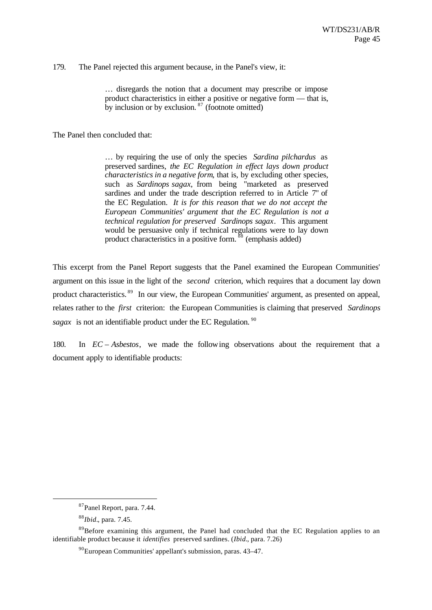179. The Panel rejected this argument because, in the Panel's view, it:

… disregards the notion that a document may prescribe or impose product characteristics in either a positive or negative form — that is, by inclusion or by exclusion.  $87$  (footnote omitted)

The Panel then concluded that:

… by requiring the use of only the species *Sardina pilchardus* as preserved sardines, *the EC Regulation in effect lays down product characteristics in a negative form*, that is, by excluding other species, such as *Sardinops sagax*, from being "marketed as preserved sardines and under the trade description referred to in Article 7" of the EC Regulation. *It is for this reason that we do not accept the European Communities' argument that the EC Regulation is not a technical regulation for preserved Sardinops sagax*. This argument would be persuasive only if technical regulations were to lay down product characteristics in a positive form. <sup>88</sup> (emphasis added)

This excerpt from the Panel Report suggests that the Panel examined the European Communities' argument on this issue in the light of the *second* criterion, which requires that a document lay down product characteristics. <sup>89</sup> In our view, the European Communities' argument, as presented on appeal, relates rather to the *first* criterion: the European Communities is claiming that preserved *Sardinops sagax* is not an identifiable product under the EC Regulation.<sup>90</sup>

180. In *EC – Asbestos*, we made the following observations about the requirement that a document apply to identifiable products:

<sup>87</sup>Panel Report, para. 7.44.

<sup>88</sup>*Ibid.*, para. 7.45.

 $89$ Before examining this argument, the Panel had concluded that the EC Regulation applies to an identifiable product because it *identifies* preserved sardines. (*Ibid.*, para. 7.26)

 $90$ European Communities' appellant's submission, paras. 43–47.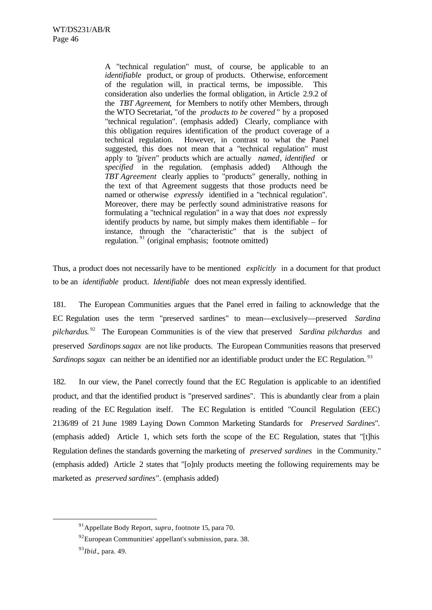A "technical regulation" must, of course, be applicable to an *identifiable* product, or group of products. Otherwise, enforcement of the regulation will, in practical terms, be impossible. This consideration also underlies the formal obligation, in Article 2.9.2 of the *TBT Agreement*, for Members to notify other Members, through the WTO Secretariat, "of the *products to be covered* " by a proposed "technical regulation". (emphasis added) Clearly, compliance with this obligation requires identification of the product coverage of a technical regulation. However, in contrast to what the Panel suggested, this does not mean that a "technical regulation" must apply to "*given*" products which are actually *named*, *identified* or *specified* in the regulation. (emphasis added) Although the *TBT Agreement* clearly applies to "products" generally, nothing in the text of that Agreement suggests that those products need be named or otherwise *expressly* identified in a "technical regulation". Moreover, there may be perfectly sound administrative reasons for formulating a "technical regulation" in a way that does *not* expressly identify products by name, but simply makes them identifiable – for instance, through the "characteristic" that is the subject of regulation.<sup>91</sup> (original emphasis; footnote omitted)

Thus, a product does not necessarily have to be mentioned *explicitly* in a document for that product to be an *identifiable* product. *Identifiable* does not mean expressly identified.

181. The European Communities argues that the Panel erred in failing to acknowledge that the EC Regulation uses the term "preserved sardines" to mean—exclusively—preserved *Sardina pilchardus*. <sup>92</sup> The European Communities is of the view that preserved *Sardina pilchardus* and preserved *Sardinops sagax* are not like products. The European Communities reasons that preserved *Sardinops sagax* can neither be an identified nor an identifiable product under the EC Regulation.<sup>93</sup>

182. In our view, the Panel correctly found that the EC Regulation is applicable to an identified product, and that the identified product is "preserved sardines". This is abundantly clear from a plain reading of the EC Regulation itself. The EC Regulation is entitled "Council Regulation (EEC) 2136/89 of 21 June 1989 Laying Down Common Marketing Standards for *Preserved Sardines*". (emphasis added) Article 1, which sets forth the scope of the EC Regulation, states that "[t]his Regulation defines the standards governing the marketing of *preserved sardines* in the Community." (emphasis added) Article 2 states that "[o]nly products meeting the following requirements may be marketed as *preserved sardines*". (emphasis added)

<sup>91</sup>Appellate Body Report, *supra*, footnote 15, para 70.

 $92$ European Communities' appellant's submission, para. 38.

<sup>93</sup>*Ibid.*, para. 49.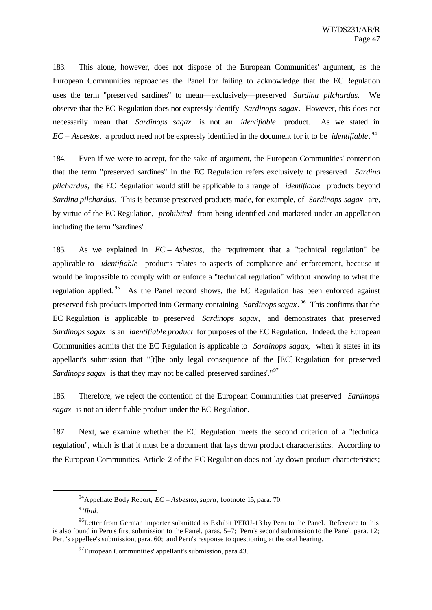183. This alone, however, does not dispose of the European Communities' argument, as the European Communities reproaches the Panel for failing to acknowledge that the EC Regulation uses the term "preserved sardines" to mean—exclusively—preserved *Sardina pilchardus*. We observe that the EC Regulation does not expressly identify *Sardinops sagax*. However, this does not necessarily mean that *Sardinops sagax* is not an *identifiable* product. As we stated in *EC – Asbestos*, a product need not be expressly identified in the document for it to be *identifiable*. 94

184. Even if we were to accept, for the sake of argument, the European Communities' contention that the term "preserved sardines" in the EC Regulation refers exclusively to preserved *Sardina pilchardus*, the EC Regulation would still be applicable to a range of *identifiable* products beyond *Sardina pilchardus*. This is because preserved products made, for example, of *Sardinops sagax* are, by virtue of the EC Regulation, *prohibited* from being identified and marketed under an appellation including the term "sardines".

185. As we explained in *EC – Asbestos*, the requirement that a "technical regulation" be applicable to *identifiable* products relates to aspects of compliance and enforcement, because it would be impossible to comply with or enforce a "technical regulation" without knowing to what the regulation applied. <sup>95</sup> As the Panel record shows, the EC Regulation has been enforced against preserved fish products imported into Germany containing *Sardinops sagax*. <sup>96</sup> This confirms that the EC Regulation is applicable to preserved *Sardinops sagax*, and demonstrates that preserved *Sardinops sagax* is an *identifiable product* for purposes of the EC Regulation. Indeed, the European Communities admits that the EC Regulation is applicable to *Sardinops sagax*, when it states in its appellant's submission that "[t]he only legal consequence of the [EC] Regulation for preserved *Sardinops sagax* is that they may not be called 'preserved sardines'."<sup>97</sup>

186. Therefore, we reject the contention of the European Communities that preserved *Sardinops sagax* is not an identifiable product under the EC Regulation.

187. Next, we examine whether the EC Regulation meets the second criterion of a "technical regulation", which is that it must be a document that lays down product characteristics. According to the European Communities, Article 2 of the EC Regulation does not lay down product characteristics;

<sup>95</sup>*Ibid.*

<sup>94</sup>Appellate Body Report, *EC – Asbestos*, *supra*, footnote 15, para. 70.

<sup>&</sup>lt;sup>96</sup>Letter from German importer submitted as Exhibit PERU-13 by Peru to the Panel. Reference to this is also found in Peru's first submission to the Panel, paras. 5–7; Peru's second submission to the Panel, para. 12; Peru's appellee's submission, para. 60; and Peru's response to questioning at the oral hearing.

 $97$ European Communities' appellant's submission, para 43.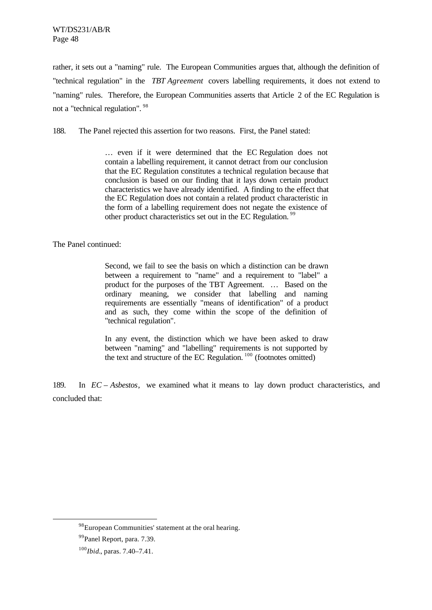rather, it sets out a "naming" rule. The European Communities argues that, although the definition of "technical regulation" in the *TBT Agreement* covers labelling requirements, it does not extend to "naming" rules. Therefore, the European Communities asserts that Article 2 of the EC Regulation is not a "technical regulation". <sup>98</sup>

188. The Panel rejected this assertion for two reasons. First, the Panel stated:

… even if it were determined that the EC Regulation does not contain a labelling requirement, it cannot detract from our conclusion that the EC Regulation constitutes a technical regulation because that conclusion is based on our finding that it lays down certain product characteristics we have already identified. A finding to the effect that the EC Regulation does not contain a related product characteristic in the form of a labelling requirement does not negate the existence of other product characteristics set out in the EC Regulation.<sup>99</sup>

The Panel continued:

Second, we fail to see the basis on which a distinction can be drawn between a requirement to "name" and a requirement to "label" a product for the purposes of the TBT Agreement. … Based on the ordinary meaning, we consider that labelling and naming requirements are essentially "means of identification" of a product and as such, they come within the scope of the definition of "technical regulation".

In any event, the distinction which we have been asked to draw between "naming" and "labelling" requirements is not supported by the text and structure of the EC Regulation.  $100$  (footnotes omitted)

189. In *EC – Asbestos*, we examined what it means to lay down product characteristics, and concluded that:

<sup>98</sup>European Communities' statement at the oral hearing.

<sup>99</sup>Panel Report, para. 7.39.

<sup>100</sup>*Ibid.*, paras. 7.40–7.41.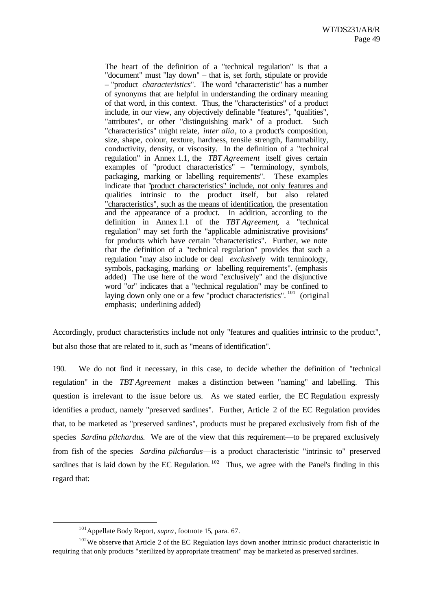The heart of the definition of a "technical regulation" is that a "document" must "lay down" – that is, set forth, stipulate or provide – "product *characteristics*". The word "characteristic" has a number of synonyms that are helpful in understanding the ordinary meaning of that word, in this context. Thus, the "characteristics" of a product include, in our view, any objectively definable "features", "qualities", "attributes", or other "distinguishing mark" of a product. Such "characteristics" might relate, *inter alia*, to a product's composition, size, shape, colour, texture, hardness, tensile strength, flammability, conductivity, density, or viscosity. In the definition of a "technical regulation" in Annex 1.1, the *TBT Agreement* itself gives certain examples of "product characteristics" – "terminology, symbols, packaging, marking or labelling requirements". These examples indicate that "product characteristics" include, not only features and qualities intrinsic to the product itself, but also related "characteristics", such as the means of identification, the presentation and the appearance of a product. In addition, according to the definition in Annex 1.1 of the *TBT Agreement*, a "technical regulation" may set forth the "applicable administrative provisions" for products which have certain "characteristics". Further, we note that the definition of a "technical regulation" provides that such a regulation "may also include or deal *exclusively* with terminology, symbols, packaging, marking *or* labelling requirements". (emphasis added) The use here of the word "exclusively" and the disjunctive word "or" indicates that a "technical regulation" may be confined to laying down only one or a few "product characteristics".  $^{101}$  (original emphasis; underlining added)

Accordingly, product characteristics include not only "features and qualities intrinsic to the product", but also those that are related to it, such as "means of identification".

190. We do not find it necessary, in this case, to decide whether the definition of "technical regulation" in the *TBT Agreement* makes a distinction between "naming" and labelling. This question is irrelevant to the issue before us. As we stated earlier, the EC Regulation expressly identifies a product, namely "preserved sardines". Further, Article 2 of the EC Regulation provides that, to be marketed as "preserved sardines", products must be prepared exclusively from fish of the species *Sardina pilchardus*. We are of the view that this requirement—to be prepared exclusively from fish of the species *Sardina pilchardus*—is a product characteristic "intrinsic to" preserved sardines that is laid down by the EC Regulation.  $102$  Thus, we agree with the Panel's finding in this regard that:

<sup>101</sup>Appellate Body Report, *supra*, footnote 15, para. 67.

 $102$ We observe that Article 2 of the EC Regulation lays down another intrinsic product characteristic in requiring that only products "sterilized by appropriate treatment" may be marketed as preserved sardines.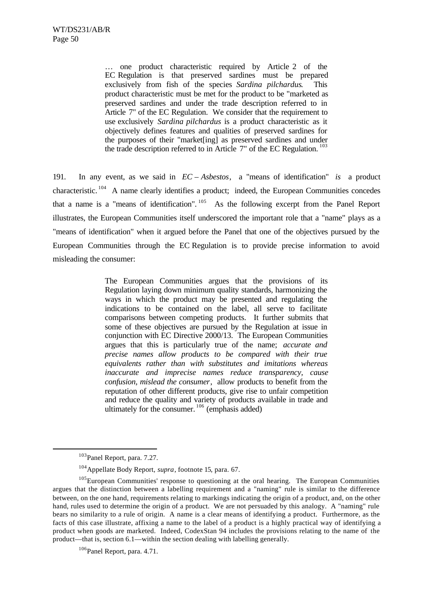… one product characteristic required by Article 2 of the EC Regulation is that preserved sardines must be prepared exclusively from fish of the species *Sardina pilchardus*. This product characteristic must be met for the product to be "marketed as preserved sardines and under the trade description referred to in Article 7" of the EC Regulation. We consider that the requirement to use exclusively *Sardina pilchardus* is a product characteristic as it objectively defines features and qualities of preserved sardines for the purposes of their "market[ing] as preserved sardines and under the trade description referred to in Article  $7"$  of the EC Regulation.  $^{103}$ 

191. In any event, as we said in *EC – Asbestos*, a "means of identification" *is* a product characteristic. <sup>104</sup> A name clearly identifies a product; indeed, the European Communities concedes that a name is a "means of identification".  $105$  As the following excerpt from the Panel Report illustrates, the European Communities itself underscored the important role that a "name" plays as a "means of identification" when it argued before the Panel that one of the objectives pursued by the European Communities through the EC Regulation is to provide precise information to avoid misleading the consumer:

> The European Communities argues that the provisions of its Regulation laying down minimum quality standards, harmonizing the ways in which the product may be presented and regulating the indications to be contained on the label, all serve to facilitate comparisons between competing products. It further submits that some of these objectives are pursued by the Regulation at issue in conjunction with EC Directive 2000/13. The European Communities argues that this is particularly true of the name; *accurate and precise names allow products to be compared with their true equivalents rather than with substitutes and imitations whereas inaccurate and imprecise names reduce transparency, cause confusion, mislead the consumer*, allow products to benefit from the reputation of other different products, give rise to unfair competition and reduce the quality and variety of products available in trade and ultimately for the consumer.  $106$  (emphasis added)

<sup>103</sup>Panel Report, para. 7.27.

<sup>104</sup>Appellate Body Report, *supra*, footnote 15, para. 67.

 $105$ European Communities' response to questioning at the oral hearing. The European Communities argues that the distinction between a labelling requirement and a "naming" rule is similar to the difference between, on the one hand, requirements relating to markings indicating the origin of a product, and, on the other hand, rules used to determine the origin of a product. We are not persuaded by this analogy. A "naming" rule bears no similarity to a rule of origin. A name is a clear means of identifying a product. Furthermore, as the facts of this case illustrate, affixing a name to the label of a product is a highly practical way of identifying a product when goods are marketed. Indeed, Codex Stan 94 includes the provisions relating to the name of the product—that is, section 6.1—within the section dealing with labelling generally.

<sup>&</sup>lt;sup>106</sup>Panel Report, para. 4.71.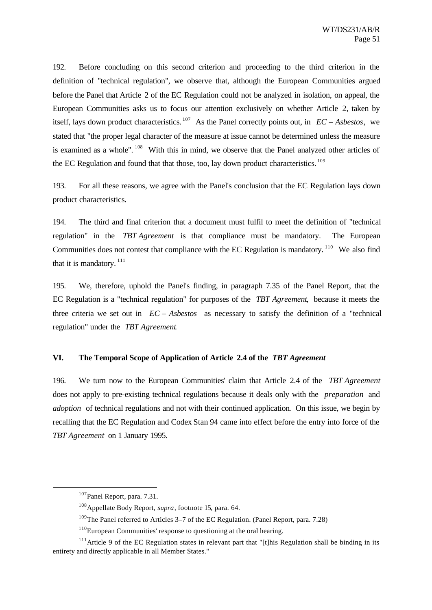192. Before concluding on this second criterion and proceeding to the third criterion in the definition of "technical regulation", we observe that, although the European Communities argued before the Panel that Article 2 of the EC Regulation could not be analyzed in isolation, on appeal, the European Communities asks us to focus our attention exclusively on whether Article 2, taken by itself, lays down product characteristics. <sup>107</sup> As the Panel correctly points out, in  $EC - Asbestos$ , we stated that "the proper legal character of the measure at issue cannot be determined unless the measure is examined as a whole". <sup>108</sup> With this in mind, we observe that the Panel analyzed other articles of the EC Regulation and found that that those, too, lay down product characteristics.<sup>109</sup>

193. For all these reasons, we agree with the Panel's conclusion that the EC Regulation lays down product characteristics.

194. The third and final criterion that a document must fulfil to meet the definition of "technical regulation" in the *TBT Agreement* is that compliance must be mandatory. The European Communities does not contest that compliance with the EC Regulation is mandatory.  $110$  We also find that it is mandatory.  $111$ 

195. We, therefore, uphold the Panel's finding, in paragraph 7.35 of the Panel Report, that the EC Regulation is a "technical regulation" for purposes of the *TBT Agreement*, because it meets the three criteria we set out in *EC – Asbestos* as necessary to satisfy the definition of a "technical regulation" under the *TBT Agreement*.

### **VI. The Temporal Scope of Application of Article 2.4 of the** *TBT Agreement*

196. We turn now to the European Communities' claim that Article 2.4 of the *TBT Agreement* does not apply to pre-existing technical regulations because it deals only with the *preparation* and *adoption* of technical regulations and not with their continued application. On this issue, we begin by recalling that the EC Regulation and Codex Stan 94 came into effect before the entry into force of the *TBT Agreement* on 1 January 1995.

<sup>&</sup>lt;sup>107</sup>Panel Report, para. 7.31.

<sup>108</sup>Appellate Body Report, *supra*, footnote 15, para. 64.

<sup>&</sup>lt;sup>109</sup>The Panel referred to Articles  $3-7$  of the EC Regulation. (Panel Report, para. 7.28)

 $110$ European Communities' response to questioning at the oral hearing.

<sup>&</sup>lt;sup>111</sup> Article 9 of the EC Regulation states in relevant part that "[t]his Regulation shall be binding in its entirety and directly applicable in all Member States."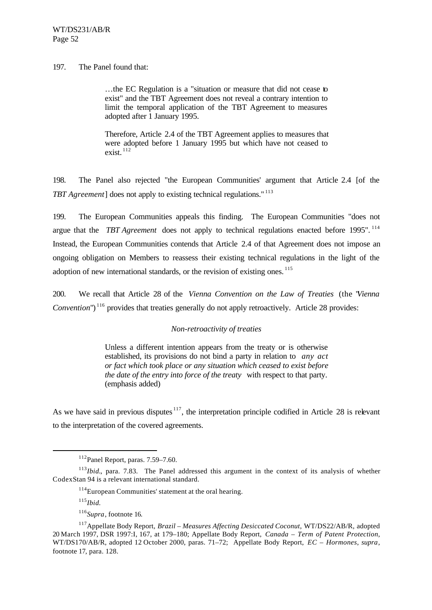#### 197. The Panel found that:

…the EC Regulation is a "situation or measure that did not cease to exist" and the TBT Agreement does not reveal a contrary intention to limit the temporal application of the TBT Agreement to measures adopted after 1 January 1995.

Therefore, Article 2.4 of the TBT Agreement applies to measures that were adopted before 1 January 1995 but which have not ceased to exist. <sup>112</sup>

198. The Panel also rejected "the European Communities' argument that Article 2.4 [of the *TBT Agreement*] does not apply to existing technical regulations." <sup>113</sup>

199. The European Communities appeals this finding. The European Communities "does not argue that the *TBT Agreement* does not apply to technical regulations enacted before 1995".<sup>114</sup> Instead, the European Communities contends that Article 2.4 of that Agreement does not impose an ongoing obligation on Members to reassess their existing technical regulations in the light of the adoption of new international standards, or the revision of existing ones.<sup>115</sup>

200. We recall that Article 28 of the *Vienna Convention on the Law of Treaties* (the "*Vienna Convention*")<sup>116</sup> provides that treaties generally do not apply retroactively. Article 28 provides:

### *Non-retroactivity of treaties*

Unless a different intention appears from the treaty or is otherwise established, its provisions do not bind a party in relation to *any act or fact which took place or any situation which ceased to exist before the date of the entry into force of the treaty* with respect to that party. (emphasis added)

As we have said in previous disputes  $117$ , the interpretation principle codified in Article 28 is relevant to the interpretation of the covered agreements.

 $112$ Panel Report, paras. 7.59–7.60.

<sup>113</sup>*Ibid.*, para. 7.83. The Panel addressed this argument in the context of its analysis of whether Codex Stan 94 is a relevant international standard.

<sup>&</sup>lt;sup>114</sup>European Communities' statement at the oral hearing.

<sup>115</sup>*Ibid.*

<sup>116</sup>*Supra*, footnote 16.

<sup>117</sup>Appellate Body Report, *Brazil – Measures Affecting Desiccated Coconut*, WT/DS22/AB/R, adopted 20 March 1997, DSR 1997:I, 167, at 179–180; Appellate Body Report, *Canada – Term of Patent Protection*, WT/DS170/AB/R, adopted 12 October 2000, paras. 71–72; Appellate Body Report, *EC – Hormones*, *supra*, footnote 17, para. 128.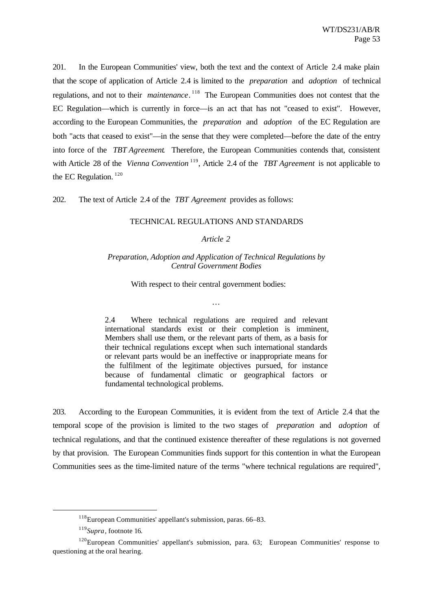201. In the European Communities' view, both the text and the context of Article 2.4 make plain that the scope of application of Article 2.4 is limited to the *preparation* and *adoption* of technical regulations, and not to their *maintenance*.<sup>118</sup> The European Communities does not contest that the EC Regulation—which is currently in force—is an act that has not "ceased to exist". However, according to the European Communities, the *preparation* and *adoption* of the EC Regulation are both "acts that ceased to exist"—in the sense that they were completed—before the date of the entry into force of the *TBT Agreement*. Therefore, the European Communities contends that, consistent with Article 28 of the *Vienna Convention*<sup>119</sup>, Article 2.4 of the *TBT Agreement* is not applicable to the EC Regulation.<sup>120</sup>

202. The text of Article 2.4 of the *TBT Agreement* provides as follows:

#### TECHNICAL REGULATIONS AND STANDARDS

#### *Article 2*

# *Preparation, Adoption and Application of Technical Regulations by Central Government Bodies*

…

With respect to their central government bodies:

2.4 Where technical regulations are required and relevant international standards exist or their completion is imminent, Members shall use them, or the relevant parts of them, as a basis for their technical regulations except when such international standards or relevant parts would be an ineffective or inappropriate means for the fulfilment of the legitimate objectives pursued, for instance because of fundamental climatic or geographical factors or fundamental technological problems.

203. According to the European Communities, it is evident from the text of Article 2.4 that the temporal scope of the provision is limited to the two stages of *preparation* and *adoption* of technical regulations, and that the continued existence thereafter of these regulations is not governed by that provision. The European Communities finds support for this contention in what the European Communities sees as the time-limited nature of the terms "where technical regulations are required",

<sup>&</sup>lt;sup>118</sup>European Communities' appellant's submission, paras. 66–83.

<sup>119</sup>*Supra*, footnote 16.

<sup>&</sup>lt;sup>120</sup>European Communities' appellant's submission, para. 63; European Communities' response to questioning at the oral hearing.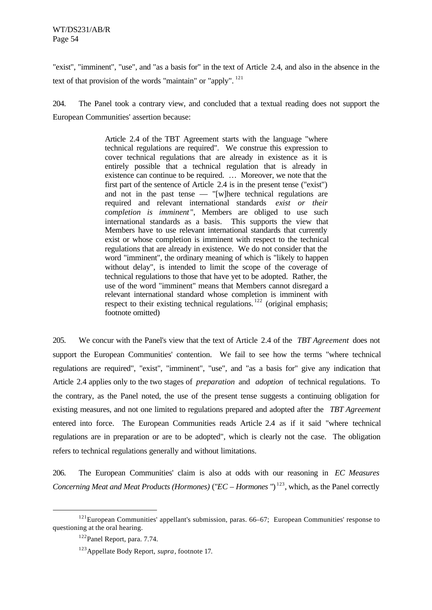"exist", "imminent", "use", and "as a basis for" in the text of Article 2.4, and also in the absence in the text of that provision of the words "maintain" or "apply". <sup>121</sup>

204. The Panel took a contrary view, and concluded that a textual reading does not support the European Communities' assertion because:

> Article 2.4 of the TBT Agreement starts with the language "where technical regulations are required". We construe this expression to cover technical regulations that are already in existence as it is entirely possible that a technical regulation that is already in existence can continue to be required. … Moreover, we note that the first part of the sentence of Article 2.4 is in the present tense ("exist") and not in the past tense — "[w]here technical regulations are required and relevant international standards *exist or their completion is imminent* ", Members are obliged to use such international standards as a basis. This supports the view that Members have to use relevant international standards that currently exist or whose completion is imminent with respect to the technical regulations that are already in existence. We do not consider that the word "imminent", the ordinary meaning of which is "likely to happen without delay", is intended to limit the scope of the coverage of technical regulations to those that have yet to be adopted. Rather, the use of the word "imminent" means that Members cannot disregard a relevant international standard whose completion is imminent with respect to their existing technical regulations.  $122$  (original emphasis; footnote omitted)

205. We concur with the Panel's view that the text of Article 2.4 of the *TBT Agreement* does not support the European Communities' contention. We fail to see how the terms "where technical regulations are required", "exist", "imminent", "use", and "as a basis for" give any indication that Article 2.4 applies only to the two stages of *preparation* and *adoption* of technical regulations. To the contrary, as the Panel noted, the use of the present tense suggests a continuing obligation for existing measures, and not one limited to regulations prepared and adopted after the *TBT Agreement* entered into force. The European Communities reads Article 2.4 as if it said "where technical regulations are in preparation or are to be adopted", which is clearly not the case. The obligation refers to technical regulations generally and without limitations.

206. The European Communities' claim is also at odds with our reasoning in *EC Measures* Concerning Meat and Meat Products (Hormones) ("EC – Hormones ")<sup>123</sup>, which, as the Panel correctly

<sup>&</sup>lt;sup>121</sup>European Communities' appellant's submission, paras. 66–67; European Communities' response to questioning at the oral hearing.

<sup>122</sup>Panel Report, para. 7.74.

<sup>123</sup>Appellate Body Report, *supra*, footnote 17.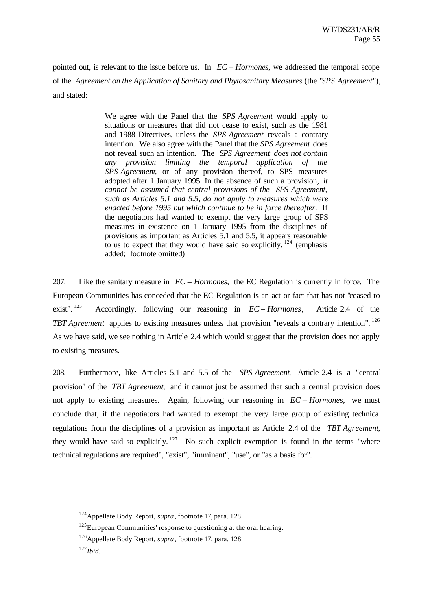pointed out, is relevant to the issue before us. In *EC – Hormones*, we addressed the temporal scope of the *Agreement on the Application of Sanitary and Phytosanitary Measures* (the "*SPS Agreement*"), and stated:

> We agree with the Panel that the *SPS Agreement* would apply to situations or measures that did not cease to exist, such as the 1981 and 1988 Directives, unless the *SPS Agreement* reveals a contrary intention. We also agree with the Panel that the *SPS Agreement* does not reveal such an intention. The *SPS Agreement does not contain any provision limiting the temporal application of the SPS Agreement*, or of any provision thereof, to SPS measures adopted after 1 January 1995. In the absence of such a provision, *it cannot be assumed that central provisions of the SPS Agreement, such as Articles 5.1 and 5.5, do not apply to measures which were enacted before 1995 but which continue to be in force thereafter*. If the negotiators had wanted to exempt the very large group of SPS measures in existence on 1 January 1995 from the disciplines of provisions as important as Articles 5.1 and 5.5, it appears reasonable to us to expect that they would have said so explicitly.  $124$  (emphasis added; footnote omitted)

207. Like the sanitary measure in *EC – Hormones*, the EC Regulation is currently in force. The European Communities has conceded that the EC Regulation is an act or fact that has not "ceased to exist". <sup>125</sup> Accordingly, following our reasoning in *EC – Hormones*, Article 2.4 of the *TBT Agreement* applies to existing measures unless that provision "reveals a contrary intention". <sup>126</sup> As we have said, we see nothing in Article 2.4 which would suggest that the provision does not apply to existing measures.

208. Furthermore, like Articles 5.1 and 5.5 of the *SPS Agreement*, Article 2.4 is a "central provision" of the *TBT Agreement*, and it cannot just be assumed that such a central provision does not apply to existing measures. Again, following our reasoning in *EC – Hormones*, we must conclude that, if the negotiators had wanted to exempt the very large group of existing technical regulations from the disciplines of a provision as important as Article 2.4 of the *TBT Agreement*, they would have said so explicitly.  $127$  No such explicit exemption is found in the terms "where technical regulations are required", "exist", "imminent", "use", or "as a basis for".

<sup>124</sup>Appellate Body Report, *supra*, footnote 17, para. 128.

 $125$ European Communities' response to questioning at the oral hearing.

<sup>126</sup>Appellate Body Report, *supra*, footnote 17, para. 128.

<sup>127</sup>*Ibid*.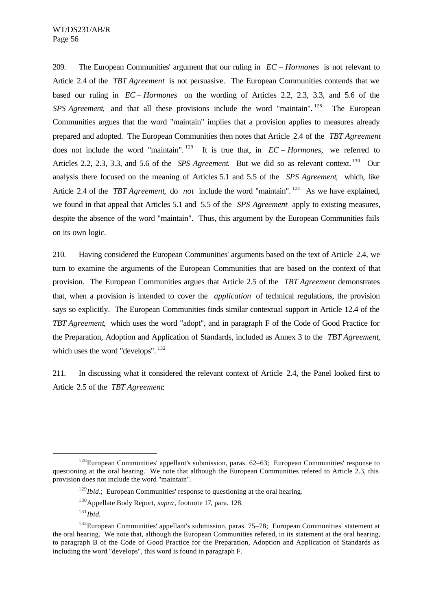209. The European Communities' argument that our ruling in *EC – Hormones* is not relevant to Article 2.4 of the *TBT Agreement* is not persuasive. The European Communities contends that we based our ruling in *EC – Hormones* on the wording of Articles 2.2, 2.3, 3.3, and 5.6 of the *SPS Agreement*, and that all these provisions include the word "maintain". <sup>128</sup> The European Communities argues that the word "maintain" implies that a provision applies to measures already prepared and adopted. The European Communities then notes that Article 2.4 of the *TBT Agreement* does not include the word "maintain". <sup>129</sup> It is true that, in  $EC-Hormones$ , we referred to Articles 2.2, 2.3, 3.3, and 5.6 of the *SPS Agreement*. But we did so as relevant context.<sup>130</sup> Our analysis there focused on the meaning of Articles 5.1 and 5.5 of the *SPS Agreement*, which, like Article 2.4 of the *TBT Agreement*, do *not* include the word "maintain". <sup>131</sup> As we have explained, we found in that appeal that Articles 5.1 and 5.5 of the *SPS Agreement* apply to existing measures, despite the absence of the word "maintain". Thus, this argument by the European Communities fails on its own logic.

210. Having considered the European Communities' arguments based on the text of Article 2.4, we turn to examine the arguments of the European Communities that are based on the context of that provision. The European Communities argues that Article 2.5 of the *TBT Agreement* demonstrates that, when a provision is intended to cover the *application* of technical regulations, the provision says so explicitly. The European Communities finds similar contextual support in Article 12.4 of the *TBT Agreement*, which uses the word "adopt", and in paragraph F of the Code of Good Practice for the Preparation, Adoption and Application of Standards, included as Annex 3 to the *TBT Agreement*, which uses the word "develops".  $^{132}$ 

211. In discussing what it considered the relevant context of Article 2.4, the Panel looked first to Article 2.5 of the *TBT Agreement*:

 $128$ European Communities' appellant's submission, paras. 62–63; European Communities' response to questioning at the oral hearing. We note that although the European Communities refered to Article 2.3, this provision does not include the word "maintain".

<sup>&</sup>lt;sup>129</sup>*Ibid*.; European Communities' response to questioning at the oral hearing.

<sup>130</sup>Appellate Body Report, *supra*, footnote 17, para. 128.

<sup>131</sup>*Ibid.*

<sup>&</sup>lt;sup>132</sup>European Communities' appellant's submission, paras. 75–78; European Communities' statement at the oral hearing. We note that, although the European Communities refered, in its statement at the oral hearing, to paragraph B of the Code of Good Practice for the Preparation, Adoption and Application of Standards as including the word "develops", this word is found in paragraph F.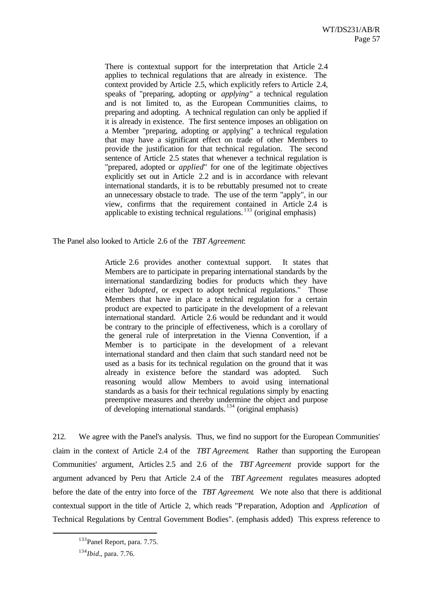There is contextual support for the interpretation that Article 2.4 applies to technical regulations that are already in existence. The context provided by Article 2.5, which explicitly refers to Article 2.4, speaks of "preparing, adopting or *applying*" a technical regulation and is not limited to, as the European Communities claims, to preparing and adopting. A technical regulation can only be applied if it is already in existence. The first sentence imposes an obligation on a Member "preparing, adopting or applying" a technical regulation that may have a significant effect on trade of other Members to provide the justification for that technical regulation. The second sentence of Article 2.5 states that whenever a technical regulation is "prepared, adopted or *applied*" for one of the legitimate objectives explicitly set out in Article 2.2 and is in accordance with relevant international standards, it is to be rebuttably presumed not to create an unnecessary obstacle to trade. The use of the term "apply", in our view, confirms that the requirement contained in Article 2.4 is applicable to existing technical regulations.  $133$  (original emphasis)

The Panel also looked to Article 2.6 of the *TBT Agreement*:

Article 2.6 provides another contextual support. It states that Members are to participate in preparing international standards by the international standardizing bodies for products which they have either "*adopted*, or expect to adopt technical regulations." Those Members that have in place a technical regulation for a certain product are expected to participate in the development of a relevant international standard. Article 2.6 would be redundant and it would be contrary to the principle of effectiveness, which is a corollary of the general rule of interpretation in the Vienna Convention, if a Member is to participate in the development of a relevant international standard and then claim that such standard need not be used as a basis for its technical regulation on the ground that it was already in existence before the standard was adopted. Such reasoning would allow Members to avoid using international standards as a basis for their technical regulations simply by enacting preemptive measures and thereby undermine the object and purpose of developing international standards.  $134$  (original emphasis)

212. We agree with the Panel's analysis. Thus, we find no support for the European Communities' claim in the context of Article 2.4 of the *TBT Agreement*. Rather than supporting the European Communities' argument, Articles 2.5 and 2.6 of the *TBT Agreement* provide support for the argument advanced by Peru that Article 2.4 of the *TBT Agreement* regulates measures adopted before the date of the entry into force of the *TBT Agreement*. We note also that there is additional contextual support in the title of Article 2, which reads "Preparation, Adoption and *Application* of Technical Regulations by Central Government Bodies". (emphasis added) This express reference to

<sup>133</sup>Panel Report, para. 7.75.

<sup>134</sup>*Ibid.*, para. 7.76.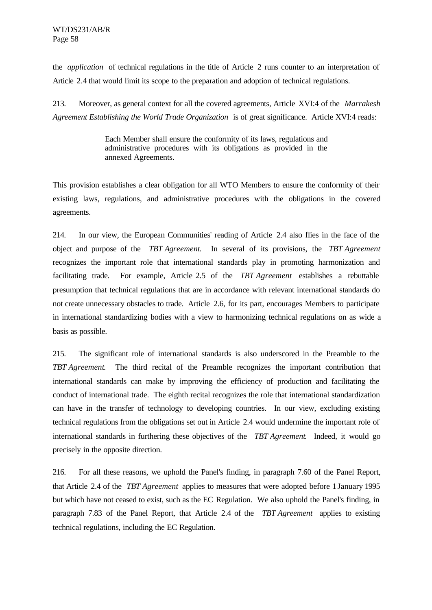the *application* of technical regulations in the title of Article 2 runs counter to an interpretation of Article 2.4 that would limit its scope to the preparation and adoption of technical regulations.

213. Moreover, as general context for all the covered agreements, Article XVI:4 of the *Marrakesh Agreement Establishing the World Trade Organization* is of great significance. Article XVI:4 reads:

> Each Member shall ensure the conformity of its laws, regulations and administrative procedures with its obligations as provided in the annexed Agreements.

This provision establishes a clear obligation for all WTO Members to ensure the conformity of their existing laws, regulations, and administrative procedures with the obligations in the covered agreements.

214. In our view, the European Communities' reading of Article 2.4 also flies in the face of the object and purpose of the *TBT Agreement*. In several of its provisions, the *TBT Agreement* recognizes the important role that international standards play in promoting harmonization and facilitating trade. For example, Article 2.5 of the *TBT Agreement* establishes a rebuttable presumption that technical regulations that are in accordance with relevant international standards do not create unnecessary obstacles to trade. Article 2.6, for its part, encourages Members to participate in international standardizing bodies with a view to harmonizing technical regulations on as wide a basis as possible.

215. The significant role of international standards is also underscored in the Preamble to the *TBT Agreement*. The third recital of the Preamble recognizes the important contribution that international standards can make by improving the efficiency of production and facilitating the conduct of international trade. The eighth recital recognizes the role that international standardization can have in the transfer of technology to developing countries. In our view, excluding existing technical regulations from the obligations set out in Article 2.4 would undermine the important role of international standards in furthering these objectives of the *TBT Agreement*. Indeed, it would go precisely in the opposite direction.

216. For all these reasons, we uphold the Panel's finding, in paragraph 7.60 of the Panel Report, that Article 2.4 of the *TBT Agreement* applies to measures that were adopted before 1 January 1995 but which have not ceased to exist, such as the EC Regulation. We also uphold the Panel's finding, in paragraph 7.83 of the Panel Report, that Article 2.4 of the *TBT Agreement* applies to existing technical regulations, including the EC Regulation.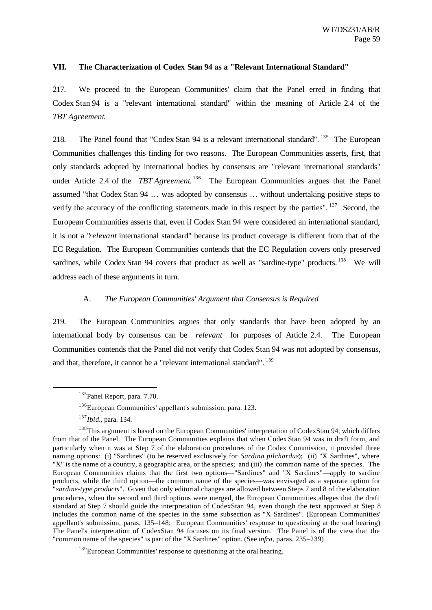### **VII. The Characterization of Codex Stan 94 as a "Relevant International Standard"**

217. We proceed to the European Communities' claim that the Panel erred in finding that Codex Stan 94 is a "relevant international standard" within the meaning of Article 2.4 of the *TBT Agreement*.

218. The Panel found that "Codex Stan 94 is a relevant international standard". <sup>135</sup> The European Communities challenges this finding for two reasons. The European Communities asserts, first, that only standards adopted by international bodies by consensus are "relevant international standards" under Article 2.4 of the *TBT Agreement*.<sup>136</sup> The European Communities argues that the Panel assumed "that Codex Stan 94 … was adopted by consensus … without undertaking positive steps to verify the accuracy of the conflicting statements made in this respect by the parties". <sup>137</sup> Second, the European Communities asserts that, even if Codex Stan 94 were considered an international standard, it is not a "*relevant* international standard" because its product coverage is different from that of the EC Regulation. The European Communities contends that the EC Regulation covers only preserved sardines, while Codex Stan 94 covers that product as well as "sardine-type" products. <sup>138</sup> We will address each of these arguments in turn.

# A. *The European Communities' Argument that Consensus is Required*

219. The European Communities argues that only standards that have been adopted by an international body by consensus can be *relevant* for purposes of Article 2.4. The European Communities contends that the Panel did not verify that Codex Stan 94 was not adopted by consensus, and that, therefore, it cannot be a "relevant international standard". <sup>139</sup>

<sup>135</sup>Panel Report, para. 7.70.

<sup>&</sup>lt;sup>136</sup>European Communities' appellant's submission, para. 123.

<sup>137</sup>*Ibid.*, para. 134.

<sup>&</sup>lt;sup>138</sup>This argument is based on the European Communities' interpretation of Codex Stan 94, which differs from that of the Panel. The European Communities explains that when Codex Stan 94 was in draft form, and particularly when it was at Step 7 of the elaboration procedures of the Codex Commission, it provided three naming options: (i) "Sardines" (to be reserved exclusively for *Sardina pilchardus*); (ii) "X Sardines", where "X" is the name of a country, a geographic area, or the species; and (iii) the common name of the species. The European Communities claims that the first two options—"Sardines" and "X Sardines"—apply to sardine products, while the third option—the common name of the species—was envisaged as a separate option for "*sardine-type products*". Given that only editorial changes are allowed between Steps 7 and 8 of the elaboration procedures, when the second and third options were merged, the European Communities alleges that the draft standard at Step 7 should guide the interpretation of Codex Stan 94, even though the text approved at Step 8 includes the common name of the species in the same subsection as "X Sardines". (European Communities' appellant's submission, paras. 135–148; European Communities' response to questioning at the oral hearing) The Panel's interpretation of Codex Stan 94 focuses on its final version. The Panel is of the view that the "common name of the species" is part of the "X Sardines" option. (See *infra*, paras. 235–239)

 $139$ European Communities' response to questioning at the oral hearing.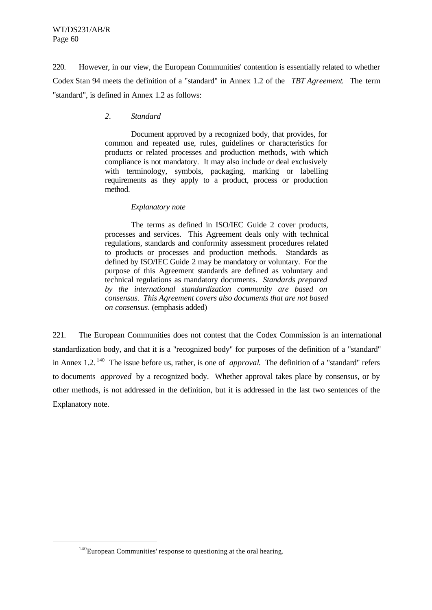l

220. However, in our view, the European Communities' contention is essentially related to whether Codex Stan 94 meets the definition of a "standard" in Annex 1.2 of the *TBT Agreement*. The term "standard", is defined in Annex 1.2 as follows:

# *2. Standard*

Document approved by a recognized body, that provides, for common and repeated use, rules, guidelines or characteristics for products or related processes and production methods, with which compliance is not mandatory. It may also include or deal exclusively with terminology, symbols, packaging, marking or labelling requirements as they apply to a product, process or production method.

# *Explanatory note*

The terms as defined in ISO/IEC Guide 2 cover products, processes and services. This Agreement deals only with technical regulations, standards and conformity assessment procedures related to products or processes and production methods. Standards as defined by ISO/IEC Guide 2 may be mandatory or voluntary. For the purpose of this Agreement standards are defined as voluntary and technical regulations as mandatory documents. *Standards prepared by the international standardization community are based on consensus. This Agreement covers also documents that are not based on consensus*. (emphasis added)

221. The European Communities does not contest that the Codex Commission is an international standardization body, and that it is a "recognized body" for purposes of the definition of a "standard" in Annex 1.2. <sup>140</sup> The issue before us, rather, is one of *approval*. The definition of a "standard" refers to documents *approved* by a recognized body. Whether approval takes place by consensus, or by other methods, is not addressed in the definition, but it is addressed in the last two sentences of the Explanatory note.

<sup>140</sup>European Communities' response to questioning at the oral hearing.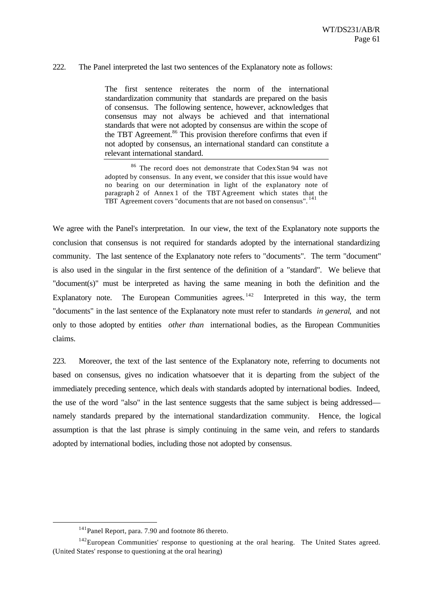#### 222. The Panel interpreted the last two sentences of the Explanatory note as follows:

The first sentence reiterates the norm of the international standardization community that standards are prepared on the basis of consensus. The following sentence, however, acknowledges that consensus may not always be achieved and that international standards that were not adopted by consensus are within the scope of the TBT Agreement.<sup>86</sup> This provision therefore confirms that even if not adopted by consensus, an international standard can constitute a relevant international standard.

<sup>86</sup> The record does not demonstrate that Codex Stan 94 was not adopted by consensus. In any event, we consider that this issue would have no bearing on our determination in light of the explanatory note of paragraph 2 of Annex 1 of the TBT Agreement which states that the TBT Agreement covers "documents that are not based on consensus". 141

We agree with the Panel's interpretation. In our view, the text of the Explanatory note supports the conclusion that consensus is not required for standards adopted by the international standardizing community. The last sentence of the Explanatory note refers to "documents". The term "document" is also used in the singular in the first sentence of the definition of a "standard". We believe that "document(s)" must be interpreted as having the same meaning in both the definition and the Explanatory note. The European Communities agrees.  $142$  Interpreted in this way, the term "documents" in the last sentence of the Explanatory note must refer to standards *in general*, and not only to those adopted by entities *other than* international bodies, as the European Communities claims.

223. Moreover, the text of the last sentence of the Explanatory note, referring to documents not based on consensus, gives no indication whatsoever that it is departing from the subject of the immediately preceding sentence, which deals with standards adopted by international bodies. Indeed, the use of the word "also" in the last sentence suggests that the same subject is being addressed namely standards prepared by the international standardization community. Hence, the logical assumption is that the last phrase is simply continuing in the same vein, and refers to standards adopted by international bodies, including those not adopted by consensus.

<sup>141</sup>Panel Report, para. 7.90 and footnote 86 thereto.

<sup>&</sup>lt;sup>142</sup>European Communities' response to questioning at the oral hearing. The United States agreed. (United States' response to questioning at the oral hearing)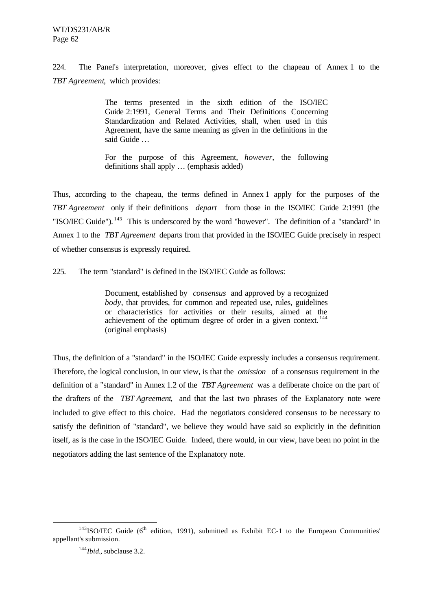224. The Panel's interpretation, moreover, gives effect to the chapeau of Annex 1 to the *TBT Agreement*, which provides:

> The terms presented in the sixth edition of the ISO/IEC Guide 2:1991, General Terms and Their Definitions Concerning Standardization and Related Activities, shall, when used in this Agreement, have the same meaning as given in the definitions in the said Guide …

> For the purpose of this Agreement, *however*, the following definitions shall apply … (emphasis added)

Thus, according to the chapeau, the terms defined in Annex 1 apply for the purposes of the *TBT Agreement* only if their definitions *depart* from those in the ISO/IEC Guide 2:1991 (the "ISO/IEC Guide").<sup>143</sup> This is underscored by the word "however". The definition of a "standard" in Annex 1 to the *TBT Agreement* departs from that provided in the ISO/IEC Guide precisely in respect of whether consensus is expressly required.

225. The term "standard" is defined in the ISO/IEC Guide as follows:

Document, established by *consensus* and approved by a recognized *body*, that provides, for common and repeated use, rules, guidelines or characteristics for activities or their results, aimed at the achievement of the optimum degree of order in a given context.<sup>144</sup> (original emphasis)

Thus, the definition of a "standard" in the ISO/IEC Guide expressly includes a consensus requirement. Therefore, the logical conclusion, in our view, is that the *omission* of a consensus requirement in the definition of a "standard" in Annex 1.2 of the *TBT Agreement* was a deliberate choice on the part of the drafters of the *TBT Agreement*, and that the last two phrases of the Explanatory note were included to give effect to this choice. Had the negotiators considered consensus to be necessary to satisfy the definition of "standard", we believe they would have said so explicitly in the definition itself, as is the case in the ISO/IEC Guide. Indeed, there would, in our view, have been no point in the negotiators adding the last sentence of the Explanatory note.

l <sup>143</sup>ISO/IEC Guide ( $6<sup>th</sup>$  edition, 1991), submitted as Exhibit EC-1 to the European Communities' appellant's submission.

<sup>144</sup>*Ibid.*, subclause 3.2.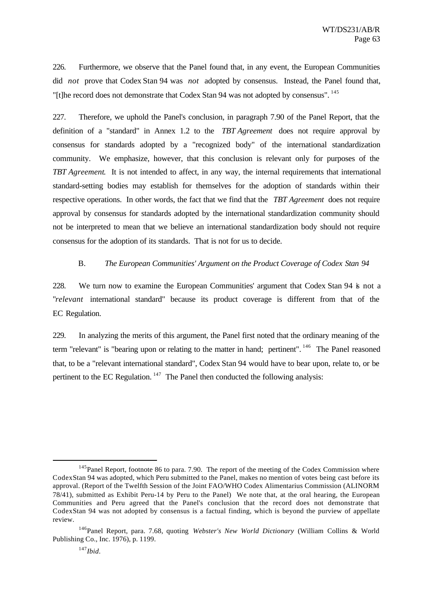226. Furthermore, we observe that the Panel found that, in any event, the European Communities did *not* prove that Codex Stan 94 was *not* adopted by consensus. Instead, the Panel found that, "[t]he record does not demonstrate that Codex Stan 94 was not adopted by consensus". <sup>145</sup>

227. Therefore, we uphold the Panel's conclusion, in paragraph 7.90 of the Panel Report, that the definition of a "standard" in Annex 1.2 to the *TBT Agreement* does not require approval by consensus for standards adopted by a "recognized body" of the international standardization community. We emphasize, however, that this conclusion is relevant only for purposes of the *TBT Agreement*. It is not intended to affect, in any way, the internal requirements that international standard-setting bodies may establish for themselves for the adoption of standards within their respective operations. In other words, the fact that we find that the *TBT Agreement* does not require approval by consensus for standards adopted by the international standardization community should not be interpreted to mean that we believe an international standardization body should not require consensus for the adoption of its standards. That is not for us to decide.

### B. *The European Communities' Argument on the Product Coverage of Codex Stan 94*

228. We turn now to examine the European Communities' argument that Codex Stan 94 is not a "*relevant* international standard" because its product coverage is different from that of the EC Regulation.

229. In analyzing the merits of this argument, the Panel first noted that the ordinary meaning of the term "relevant" is "bearing upon or relating to the matter in hand; pertinent". <sup>146</sup> The Panel reasoned that, to be a "relevant international standard", Codex Stan 94 would have to bear upon, relate to, or be pertinent to the EC Regulation.  $147$  The Panel then conducted the following analysis:

<sup>&</sup>lt;sup>145</sup>Panel Report, footnote 86 to para. 7.90. The report of the meeting of the Codex Commission where Codex Stan 94 was adopted, which Peru submitted to the Panel, makes no mention of votes being cast before its approval. (Report of the Twelfth Session of the Joint FAO/WHO Codex Alimentarius Commission (ALINORM 78/41), submitted as Exhibit Peru-14 by Peru to the Panel) We note that, at the oral hearing, the European Communities and Peru agreed that the Panel's conclusion that the record does not demonstrate that Codex Stan 94 was not adopted by consensus is a factual finding, which is beyond the purview of appellate review.

<sup>146</sup>Panel Report, para. 7.68, quoting *Webster's New World Dictionary* (William Collins & World Publishing Co., Inc. 1976), p. 1199.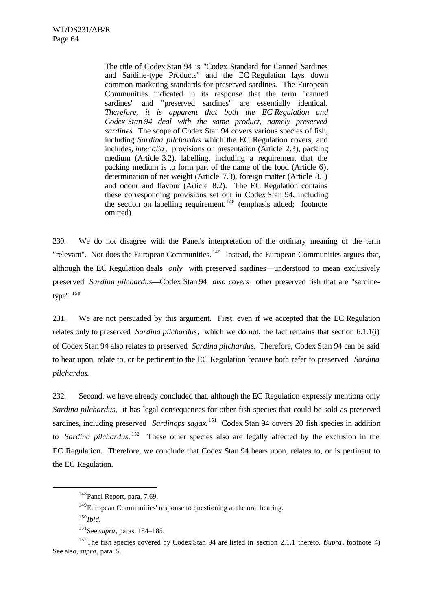The title of Codex Stan 94 is "Codex Standard for Canned Sardines and Sardine-type Products" and the EC Regulation lays down common marketing standards for preserved sardines. The European Communities indicated in its response that the term "canned sardines" and "preserved sardines" are essentially identical. *Therefore, it is apparent that both the EC Regulation and Codex Stan 94 deal with the same product, namely preserved sardines*. The scope of Codex Stan 94 covers various species of fish, including *Sardina pilchardus* which the EC Regulation covers, and includes, *inter alia*, provisions on presentation (Article 2.3), packing medium (Article 3.2), labelling, including a requirement that the packing medium is to form part of the name of the food (Article 6), determination of net weight (Article 7.3), foreign matter (Article 8.1) and odour and flavour (Article 8.2). The EC Regulation contains these corresponding provisions set out in Codex Stan 94, including the section on labelling requirement.<sup>148</sup> (emphasis added; footnote omitted)

230. We do not disagree with the Panel's interpretation of the ordinary meaning of the term "relevant". Nor does the European Communities.<sup>149</sup> Instead, the European Communities argues that, although the EC Regulation deals *only* with preserved sardines—understood to mean exclusively preserved *Sardina pilchardus*—Codex Stan 94 *also covers* other preserved fish that are "sardinetype".  $150$ 

231. We are not persuaded by this argument. First, even if we accepted that the EC Regulation relates only to preserved *Sardina pilchardus*, which we do not, the fact remains that section 6.1.1(i) of Codex Stan 94 also relates to preserved *Sardina pilchardus*. Therefore, Codex Stan 94 can be said to bear upon, relate to, or be pertinent to the EC Regulation because both refer to preserved *Sardina pilchardus*.

232. Second, we have already concluded that, although the EC Regulation expressly mentions only *Sardina pilchardus*, it has legal consequences for other fish species that could be sold as preserved sardines, including preserved *Sardinops sagax*.<sup>151</sup> Codex Stan 94 covers 20 fish species in addition to *Sardina pilchardus*. <sup>152</sup> These other species also are legally affected by the exclusion in the EC Regulation. Therefore, we conclude that Codex Stan 94 bears upon, relates to, or is pertinent to the EC Regulation.

<sup>&</sup>lt;sup>148</sup>Panel Report, para. 7.69.

 $149$ European Communities' response to questioning at the oral hearing.

<sup>150</sup>*Ibid.*

<sup>151</sup>See *supra*, paras. 184–185.

<sup>152</sup>The fish species covered by Codex Stan 94 are listed in section 2.1.1 thereto. (*Supra*, footnote 4) See also, *supra*, para. 5.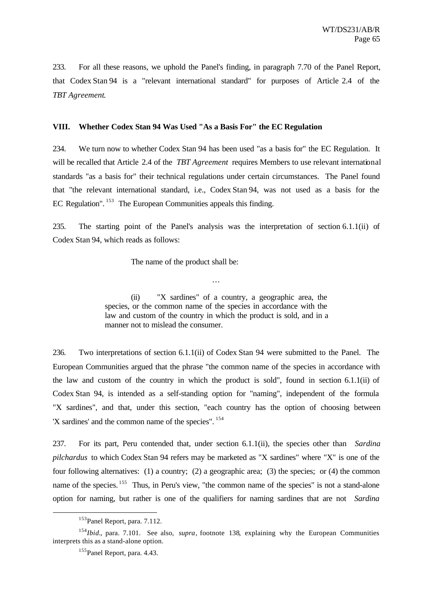233. For all these reasons, we uphold the Panel's finding, in paragraph 7.70 of the Panel Report, that Codex Stan 94 is a "relevant international standard" for purposes of Article 2.4 of the *TBT Agreement*.

#### **VIII. Whether Codex Stan 94 Was Used "As a Basis For" the EC Regulation**

234. We turn now to whether Codex Stan 94 has been used "as a basis for" the EC Regulation. It will be recalled that Article 2.4 of the *TBT Agreement* requires Members to use relevant international standards "as a basis for" their technical regulations under certain circumstances. The Panel found that "the relevant international standard, i.e., Codex Stan 94, was not used as a basis for the EC Regulation".  $153$  The European Communities appeals this finding.

235. The starting point of the Panel's analysis was the interpretation of section 6.1.1(ii) of Codex Stan 94, which reads as follows:

The name of the product shall be:

(ii) "X sardines" of a country, a geographic area, the species, or the common name of the species in accordance with the law and custom of the country in which the product is sold, and in a manner not to mislead the consumer.

…

236. Two interpretations of section 6.1.1(ii) of Codex Stan 94 were submitted to the Panel. The European Communities argued that the phrase "the common name of the species in accordance with the law and custom of the country in which the product is sold", found in section 6.1.1(ii) of Codex Stan 94, is intended as a self-standing option for "naming", independent of the formula "X sardines", and that, under this section, "each country has the option of choosing between 'X sardines' and the common name of the species". <sup>154</sup>

237. For its part, Peru contended that, under section 6.1.1(ii), the species other than *Sardina pilchardus* to which Codex Stan 94 refers may be marketed as "X sardines" where "X" is one of the four following alternatives: (1) a country; (2) a geographic area; (3) the species; or (4) the common name of the species. <sup>155</sup> Thus, in Peru's view, "the common name of the species" is not a stand-alone option for naming, but rather is one of the qualifiers for naming sardines that are not *Sardina*

<sup>153</sup>Panel Report, para. 7.112.

<sup>154</sup>*Ibid.*, para. 7.101. See also, *supra*, footnote 138, explaining why the European Communities interprets this as a stand-alone option.

<sup>&</sup>lt;sup>155</sup>Panel Report, para. 4.43.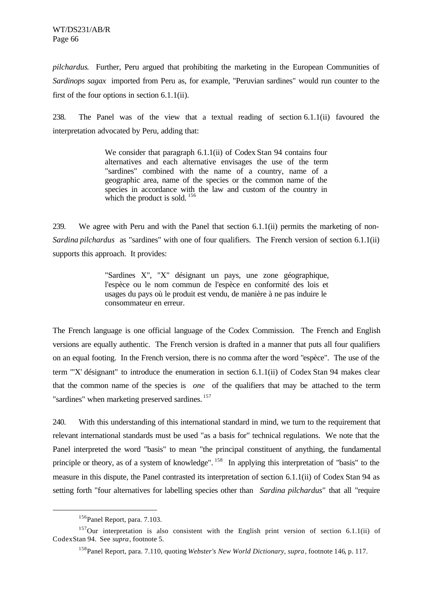*pilchardus*. Further, Peru argued that prohibiting the marketing in the European Communities of *Sardinops sagax* imported from Peru as, for example, "Peruvian sardines" would run counter to the first of the four options in section 6.1.1(ii).

238. The Panel was of the view that a textual reading of section 6.1.1(ii) favoured the interpretation advocated by Peru, adding that:

> We consider that paragraph 6.1.1(ii) of Codex Stan 94 contains four alternatives and each alternative envisages the use of the term "sardines" combined with the name of a country, name of a geographic area, name of the species or the common name of the species in accordance with the law and custom of the country in which the product is sold.  $156$

239. We agree with Peru and with the Panel that section 6.1.1(ii) permits the marketing of non-*Sardina pilchardus* as "sardines" with one of four qualifiers. The French version of section 6.1.1(ii) supports this approach. It provides:

> "Sardines X", "X" désignant un pays, une zone géographique, l'espèce ou le nom commun de l'espèce en conformité des lois et usages du pays où le produit est vendu, de manière à ne pas induire le consommateur en erreur.

The French language is one official language of the Codex Commission. The French and English versions are equally authentic. The French version is drafted in a manner that puts all four qualifiers on an equal footing. In the French version, there is no comma after the word "espèce". The use of the term "'X' désignant" to introduce the enumeration in section 6.1.1(ii) of Codex Stan 94 makes clear that the common name of the species is *one* of the qualifiers that may be attached to the term "sardines" when marketing preserved sardines.<sup>157</sup>

240. With this understanding of this international standard in mind, we turn to the requirement that relevant international standards must be used "as a basis for" technical regulations. We note that the Panel interpreted the word "basis" to mean "the principal constituent of anything, the fundamental principle or theory, as of a system of knowledge". <sup>158</sup> In applying this interpretation of "basis" to the measure in this dispute, the Panel contrasted its interpretation of section 6.1.1(ii) of Codex Stan 94 as setting forth "four alternatives for labelling species other than *Sardina pilchardus*" that all "require

<sup>&</sup>lt;sup>156</sup>Panel Report, para. 7.103.

<sup>&</sup>lt;sup>157</sup>Our interpretation is also consistent with the English print version of section 6.1.1(ii) of Codex Stan 94. See *supra*, footnote 5.

<sup>158</sup>Panel Report, para. 7.110, quoting *Webster's New World Dictionary, supra*, footnote 146, p. 117.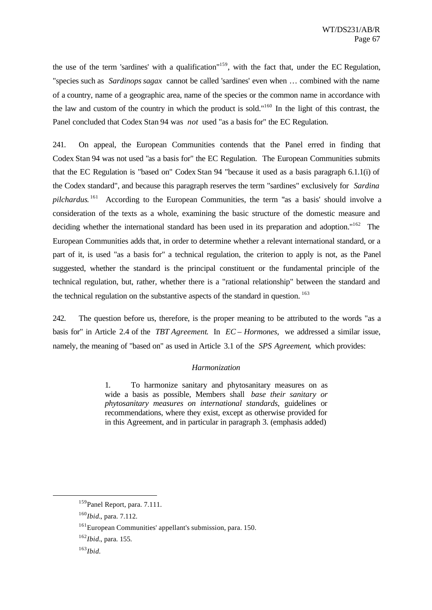the use of the term 'sardines' with a qualification"<sup>159</sup>, with the fact that, under the EC Regulation, "species such as *Sardinops sagax* cannot be called 'sardines' even when … combined with the name of a country, name of a geographic area, name of the species or the common name in accordance with the law and custom of the country in which the product is sold."<sup>160</sup> In the light of this contrast, the Panel concluded that Codex Stan 94 was *not* used "as a basis for" the EC Regulation.

241. On appeal, the European Communities contends that the Panel erred in finding that Codex Stan 94 was not used "as a basis for" the EC Regulation. The European Communities submits that the EC Regulation is "based on" Codex Stan 94 "because it used as a basis paragraph 6.1.1(i) of the Codex standard", and because this paragraph reserves the term "sardines" exclusively for *Sardina* pilchardus.<sup>161</sup> According to the European Communities, the term "as a basis' should involve a consideration of the texts as a whole, examining the basic structure of the domestic measure and deciding whether the international standard has been used in its preparation and adoption."<sup>162</sup> The European Communities adds that, in order to determine whether a relevant international standard, or a part of it, is used "as a basis for" a technical regulation, the criterion to apply is not, as the Panel suggested, whether the standard is the principal constituent or the fundamental principle of the technical regulation, but, rather, whether there is a "rational relationship" between the standard and the technical regulation on the substantive aspects of the standard in question.<sup>163</sup>

242. The question before us, therefore, is the proper meaning to be attributed to the words "as a basis for" in Article 2.4 of the *TBT Agreement*. In *EC – Hormones*, we addressed a similar issue, namely, the meaning of "based on" as used in Article 3.1 of the *SPS Agreement*, which provides:

### *Harmonization*

1. To harmonize sanitary and phytosanitary measures on as wide a basis as possible, Members shall *base their sanitary or phytosanitary measures on international standards*, guidelines or recommendations, where they exist, except as otherwise provided for in this Agreement, and in particular in paragraph 3. (emphasis added)

<sup>&</sup>lt;sup>159</sup>Panel Report, para. 7.111.

<sup>160</sup>*Ibid.*, para. 7.112.

 $161$ European Communities' appellant's submission, para. 150.

<sup>162</sup>*Ibid.*, para. 155.

<sup>163</sup>*Ibid.*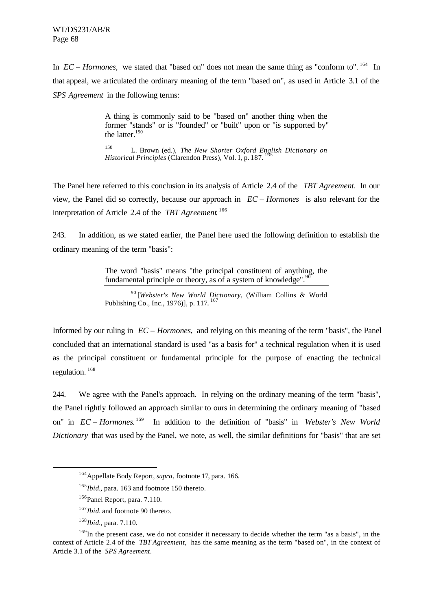In  $EC-Hormones$ , we stated that "based on" does not mean the same thing as "conform to". <sup>164</sup> In that appeal, we articulated the ordinary meaning of the term "based on", as used in Article 3.1 of the *SPS Agreement* in the following terms:

> A thing is commonly said to be "based on" another thing when the former "stands" or is "founded" or "built" upon or "is supported by" the latter.<sup>150</sup>

> <sup>150</sup> L. Brown (ed.), *The New Shorter Oxford English Dictionary on* 165 *Historical Principles* (Clarendon Press), Vol. I, p. 187.

The Panel here referred to this conclusion in its analysis of Article 2.4 of the *TBT Agreement*. In our view, the Panel did so correctly, because our approach in *EC – Hormones* is also relevant for the interpretation of Article 2.4 of the *TBT Agreement*. 166

243. In addition, as we stated earlier, the Panel here used the following definition to establish the ordinary meaning of the term "basis":

> The word "basis" means "the principal constituent of anything, the fundamental principle or theory, as of a system of knowledge".<sup>9</sup>

> <sup>90</sup> [*Webster's New World Dictionary*, (William Collins & World Publishing Co., Inc., 1976)], p. 117.<sup>167</sup>

Informed by our ruling in *EC – Hormones*, and relying on this meaning of the term "basis", the Panel concluded that an international standard is used "as a basis for" a technical regulation when it is used as the principal constituent or fundamental principle for the purpose of enacting the technical regulation. <sup>168</sup>

244. We agree with the Panel's approach. In relying on the ordinary meaning of the term "basis", the Panel rightly followed an approach similar to ours in determining the ordinary meaning of "based on" in *EC – Hormones*. <sup>169</sup> In addition to the definition of "basis" in *Webster's New World Dictionary* that was used by the Panel, we note, as well, the similar definitions for "basis" that are set

<sup>164</sup>Appellate Body Report, *supra*, footnote 17, para. 166.

<sup>165</sup>*Ibid.*, para. 163 and footnote 150 thereto.

<sup>&</sup>lt;sup>166</sup>Panel Report, para. 7.110.

<sup>167</sup>*Ibid.* and footnote 90 thereto.

<sup>168</sup>*Ibid.*, para. 7.110.

<sup>&</sup>lt;sup>169</sup>In the present case, we do not consider it necessary to decide whether the term "as a basis", in the context of Article 2.4 of the *TBT Agreement*, has the same meaning as the term "based on", in the context of Article 3.1 of the *SPS Agreement*.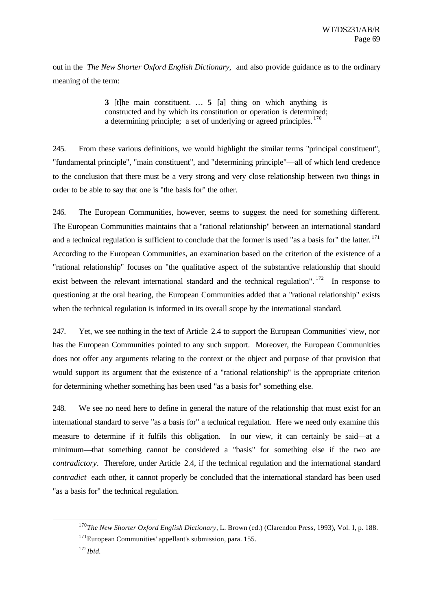out in the *The New Shorter Oxford English Dictionary*, and also provide guidance as to the ordinary meaning of the term:

> **3** [t]he main constituent. … **5** [a] thing on which anything is constructed and by which its constitution or operation is determined; a determining principle; a set of underlying or agreed principles.  $170$

245. From these various definitions, we would highlight the similar terms "principal constituent", "fundamental principle", "main constituent", and "determining principle"—all of which lend credence to the conclusion that there must be a very strong and very close relationship between two things in order to be able to say that one is "the basis for" the other.

246. The European Communities, however, seems to suggest the need for something different. The European Communities maintains that a "rational relationship" between an international standard and a technical regulation is sufficient to conclude that the former is used "as a basis for" the latter. <sup>171</sup> According to the European Communities, an examination based on the criterion of the existence of a "rational relationship" focuses on "the qualitative aspect of the substantive relationship that should exist between the relevant international standard and the technical regulation". <sup>172</sup> In response to questioning at the oral hearing, the European Communities added that a "rational relationship" exists when the technical regulation is informed in its overall scope by the international standard.

247. Yet, we see nothing in the text of Article 2.4 to support the European Communities' view, nor has the European Communities pointed to any such support. Moreover, the European Communities does not offer any arguments relating to the context or the object and purpose of that provision that would support its argument that the existence of a "rational relationship" is the appropriate criterion for determining whether something has been used "as a basis for" something else.

248. We see no need here to define in general the nature of the relationship that must exist for an international standard to serve "as a basis for" a technical regulation. Here we need only examine this measure to determine if it fulfils this obligation. In our view, it can certainly be said—at a minimum—that something cannot be considered a "basis" for something else if the two are *contradictory*. Therefore, under Article 2.4, if the technical regulation and the international standard *contradict* each other, it cannot properly be concluded that the international standard has been used "as a basis for" the technical regulation.

<sup>170</sup>*The New Shorter Oxford English Dictionary*, L. Brown (ed.) (Clarendon Press, 1993), Vol. I, p. 188.

 $171$ European Communities' appellant's submission, para. 155.

<sup>172</sup>*Ibid.*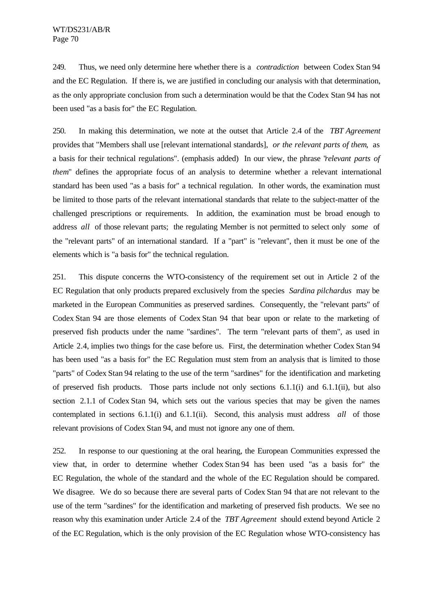249. Thus, we need only determine here whether there is a *contradiction* between Codex Stan 94 and the EC Regulation. If there is, we are justified in concluding our analysis with that determination, as the only appropriate conclusion from such a determination would be that the Codex Stan 94 has not been used "as a basis for" the EC Regulation.

250. In making this determination, we note at the outset that Article 2.4 of the *TBT Agreement* provides that "Members shall use [relevant international standards], *or the relevant parts of them*, as a basis for their technical regulations". (emphasis added) In our view, the phrase "*relevant parts of them*" defines the appropriate focus of an analysis to determine whether a relevant international standard has been used "as a basis for" a technical regulation. In other words, the examination must be limited to those parts of the relevant international standards that relate to the subject-matter of the challenged prescriptions or requirements. In addition, the examination must be broad enough to address *all* of those relevant parts; the regulating Member is not permitted to select only *some* of the "relevant parts" of an international standard. If a "part" is "relevant", then it must be one of the elements which is "a basis for" the technical regulation.

251. This dispute concerns the WTO-consistency of the requirement set out in Article 2 of the EC Regulation that only products prepared exclusively from the species *Sardina pilchardus* may be marketed in the European Communities as preserved sardines. Consequently, the "relevant parts" of Codex Stan 94 are those elements of Codex Stan 94 that bear upon or relate to the marketing of preserved fish products under the name "sardines". The term "relevant parts of them", as used in Article 2.4, implies two things for the case before us. First, the determination whether Codex Stan 94 has been used "as a basis for" the EC Regulation must stem from an analysis that is limited to those "parts" of Codex Stan 94 relating to the use of the term "sardines" for the identification and marketing of preserved fish products. Those parts include not only sections  $6.1.1(i)$  and  $6.1.1(ii)$ , but also section 2.1.1 of Codex Stan 94, which sets out the various species that may be given the names contemplated in sections 6.1.1(i) and 6.1.1(ii). Second, this analysis must address *all* of those relevant provisions of Codex Stan 94, and must not ignore any one of them.

252. In response to our questioning at the oral hearing, the European Communities expressed the view that, in order to determine whether Codex Stan 94 has been used "as a basis for" the EC Regulation, the whole of the standard and the whole of the EC Regulation should be compared. We disagree. We do so because there are several parts of Codex Stan 94 that are not relevant to the use of the term "sardines" for the identification and marketing of preserved fish products. We see no reason why this examination under Article 2.4 of the *TBT Agreement* should extend beyond Article 2 of the EC Regulation, which is the only provision of the EC Regulation whose WTO-consistency has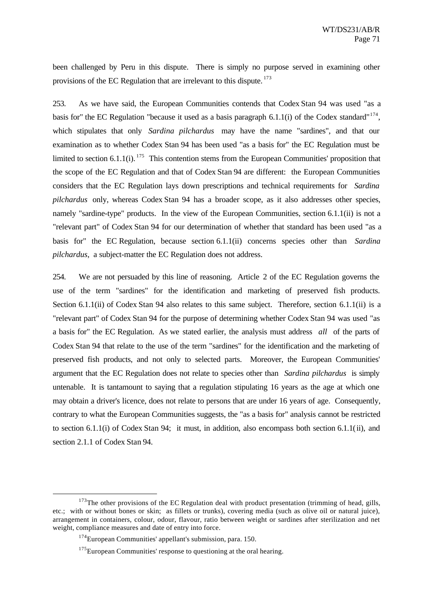been challenged by Peru in this dispute. There is simply no purpose served in examining other provisions of the EC Regulation that are irrelevant to this dispute.<sup>173</sup>

253. As we have said, the European Communities contends that Codex Stan 94 was used "as a basis for" the EC Regulation "because it used as a basis paragraph  $6.1.1(i)$  of the Codex standard"<sup>174</sup>, which stipulates that only *Sardina pilchardus* may have the name "sardines", and that our examination as to whether Codex Stan 94 has been used "as a basis for" the EC Regulation must be limited to section 6.1.1(i).  $175$  This contention stems from the European Communities' proposition that the scope of the EC Regulation and that of Codex Stan 94 are different: the European Communities considers that the EC Regulation lays down prescriptions and technical requirements for *Sardina pilchardus* only, whereas Codex Stan 94 has a broader scope, as it also addresses other species, namely "sardine-type" products. In the view of the European Communities, section 6.1.1(ii) is not a "relevant part" of Codex Stan 94 for our determination of whether that standard has been used "as a basis for" the EC Regulation, because section 6.1.1(ii) concerns species other than *Sardina pilchardus*, a subject-matter the EC Regulation does not address.

254. We are not persuaded by this line of reasoning. Article 2 of the EC Regulation governs the use of the term "sardines" for the identification and marketing of preserved fish products. Section 6.1.1(ii) of Codex Stan 94 also relates to this same subject. Therefore, section 6.1.1(ii) is a "relevant part" of Codex Stan 94 for the purpose of determining whether Codex Stan 94 was used "as a basis for" the EC Regulation. As we stated earlier, the analysis must address *all* of the parts of Codex Stan 94 that relate to the use of the term "sardines" for the identification and the marketing of preserved fish products, and not only to selected parts. Moreover, the European Communities' argument that the EC Regulation does not relate to species other than *Sardina pilchardus* is simply untenable. It is tantamount to saying that a regulation stipulating 16 years as the age at which one may obtain a driver's licence, does not relate to persons that are under 16 years of age. Consequently, contrary to what the European Communities suggests, the "as a basis for" analysis cannot be restricted to section 6.1.1(i) of Codex Stan 94; it must, in addition, also encompass both section 6.1.1(ii), and section 2.1.1 of Codex Stan 94.

 $173$ The other provisions of the EC Regulation deal with product presentation (trimming of head, gills, etc.; with or without bones or skin; as fillets or trunks), covering media (such as olive oil or natural juice), arrangement in containers, colour, odour, flavour, ratio between weight or sardines after sterilization and net weight, compliance measures and date of entry into force.

 $174$ European Communities' appellant's submission, para. 150.

 $175$ European Communities' response to questioning at the oral hearing.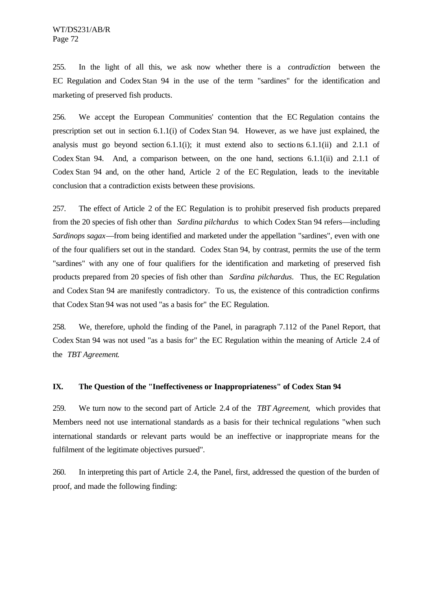255. In the light of all this, we ask now whether there is a *contradiction* between the EC Regulation and Codex Stan 94 in the use of the term "sardines" for the identification and marketing of preserved fish products.

256. We accept the European Communities' contention that the EC Regulation contains the prescription set out in section 6.1.1(i) of Codex Stan 94. However, as we have just explained, the analysis must go beyond section  $6.1.1(i)$ ; it must extend also to sections  $6.1.1(ii)$  and  $2.1.1$  of Codex Stan 94. And, a comparison between, on the one hand, sections 6.1.1(ii) and 2.1.1 of Codex Stan 94 and, on the other hand, Article 2 of the EC Regulation, leads to the inevitable conclusion that a contradiction exists between these provisions.

257. The effect of Article 2 of the EC Regulation is to prohibit preserved fish products prepared from the 20 species of fish other than *Sardina pilchardus* to which Codex Stan 94 refers—including *Sardinops sagax*—from being identified and marketed under the appellation "sardines", even with one of the four qualifiers set out in the standard. Codex Stan 94, by contrast, permits the use of the term "sardines" with any one of four qualifiers for the identification and marketing of preserved fish products prepared from 20 species of fish other than *Sardina pilchardus*. Thus, the EC Regulation and Codex Stan 94 are manifestly contradictory. To us, the existence of this contradiction confirms that Codex Stan 94 was not used "as a basis for" the EC Regulation.

258. We, therefore, uphold the finding of the Panel, in paragraph 7.112 of the Panel Report, that Codex Stan 94 was not used "as a basis for" the EC Regulation within the meaning of Article 2.4 of the *TBT Agreement*.

# **IX. The Question of the "Ineffectiveness or Inappropriateness" of Codex Stan 94**

259. We turn now to the second part of Article 2.4 of the *TBT Agreement*, which provides that Members need not use international standards as a basis for their technical regulations "when such international standards or relevant parts would be an ineffective or inappropriate means for the fulfilment of the legitimate objectives pursued".

260. In interpreting this part of Article 2.4, the Panel, first, addressed the question of the burden of proof, and made the following finding: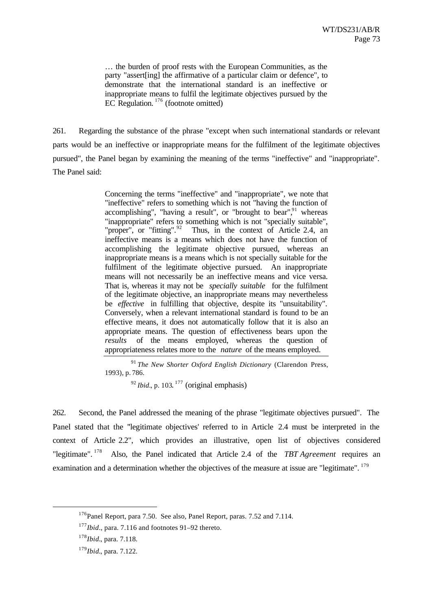… the burden of proof rests with the European Communities, as the party "assert[ing] the affirmative of a particular claim or defence", to demonstrate that the international standard is an ineffective or inappropriate means to fulfil the legitimate objectives pursued by the EC Regulation. <sup>176</sup> (footnote omitted)

261. Regarding the substance of the phrase "except when such international standards or relevant parts would be an ineffective or inappropriate means for the fulfilment of the legitimate objectives pursued", the Panel began by examining the meaning of the terms "ineffective" and "inappropriate". The Panel said:

> Concerning the terms "ineffective" and "inappropriate", we note that "ineffective" refers to something which is not "having the function of accomplishing", "having a result", or "brought to bear", $91$  whereas "inappropriate" refers to something which is not "specially suitable", "proper", or "fitting".<sup>92</sup> Thus, in the context of Article 2.4, an ineffective means is a means which does not have the function of accomplishing the legitimate objective pursued, whereas an inappropriate means is a means which is not specially suitable for the fulfilment of the legitimate objective pursued. An inappropriate means will not necessarily be an ineffective means and vice versa. That is, whereas it may not be *specially suitable* for the fulfilment of the legitimate objective, an inappropriate means may nevertheless be *effective* in fulfilling that objective, despite its "unsuitability". Conversely, when a relevant international standard is found to be an effective means, it does not automatically follow that it is also an appropriate means. The question of effectiveness bears upon the *results* of the means employed, whereas the question of appropriateness relates more to the *nature* of the means employed.

> <sup>91</sup> *The New Shorter Oxford English Dictionary* (Clarendon Press, 1993), p. 786.

> > $92$  *Ibid.*, p. 103.<sup>177</sup> (original emphasis)

262. Second, the Panel addressed the meaning of the phrase "legitimate objectives pursued". The Panel stated that the "legitimate objectives' referred to in Article 2.4 must be interpreted in the context of Article 2.2", which provides an illustrative, open list of objectives considered "legitimate". <sup>178</sup> Also, the Panel indicated that Article 2.4 of the *TBT Agreement* requires an examination and a determination whether the objectives of the measure at issue are "legitimate". <sup>179</sup>

 $176$ Panel Report, para 7.50. See also, Panel Report, paras. 7.52 and 7.114.

<sup>&</sup>lt;sup>177</sup>*Ibid.*, para. 7.116 and footnotes 91–92 thereto.

<sup>178</sup>*Ibid.*, para. 7.118.

<sup>179</sup>*Ibid.*, para. 7.122.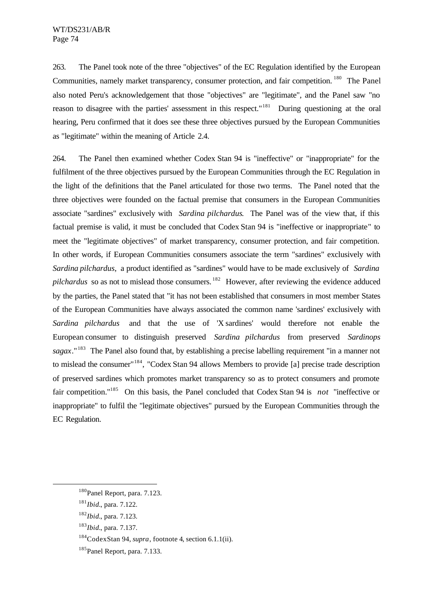263. The Panel took note of the three "objectives" of the EC Regulation identified by the European Communities, namely market transparency, consumer protection, and fair competition.<sup>180</sup> The Panel also noted Peru's acknowledgement that those "objectives" are "legitimate", and the Panel saw "no reason to disagree with the parties' assessment in this respect."<sup>181</sup> During questioning at the oral hearing, Peru confirmed that it does see these three objectives pursued by the European Communities as "legitimate" within the meaning of Article 2.4.

264. The Panel then examined whether Codex Stan 94 is "ineffective" or "inappropriate" for the fulfilment of the three objectives pursued by the European Communities through the EC Regulation in the light of the definitions that the Panel articulated for those two terms. The Panel noted that the three objectives were founded on the factual premise that consumers in the European Communities associate "sardines" exclusively with *Sardina pilchardus*. The Panel was of the view that, if this factual premise is valid, it must be concluded that Codex Stan 94 is "ineffective or inappropriate" to meet the "legitimate objectives" of market transparency, consumer protection, and fair competition. In other words, if European Communities consumers associate the term "sardines" exclusively with *Sardina pilchardus*, a product identified as "sardines" would have to be made exclusively of *Sardina pilchardus* so as not to mislead those consumers.<sup>182</sup> However, after reviewing the evidence adduced by the parties, the Panel stated that "it has not been established that consumers in most member States of the European Communities have always associated the common name 'sardines' exclusively with *Sardina pilchardus* and that the use of 'X sardines' would therefore not enable the European consumer to distinguish preserved *Sardina pilchardus* from preserved *Sardinops sagax*."<sup>183</sup> The Panel also found that, by establishing a precise labelling requirement "in a manner not to mislead the consumer<sup>"184</sup>, "Codex Stan 94 allows Members to provide [a] precise trade description of preserved sardines which promotes market transparency so as to protect consumers and promote fair competition."<sup>185</sup> On this basis, the Panel concluded that Codex Stan 94 is *not* "ineffective or inappropriate" to fulfil the "legitimate objectives" pursued by the European Communities through the EC Regulation.

<sup>180</sup>Panel Report, para. 7.123.

<sup>181</sup>*Ibid.*, para. 7.122.

<sup>182</sup>*Ibid.*, para. 7.123.

<sup>183</sup>*Ibid.*, para. 7.137.

<sup>184</sup>Codex Stan 94, *supra*, footnote 4, section 6.1.1(ii).

<sup>185</sup>Panel Report, para. 7.133.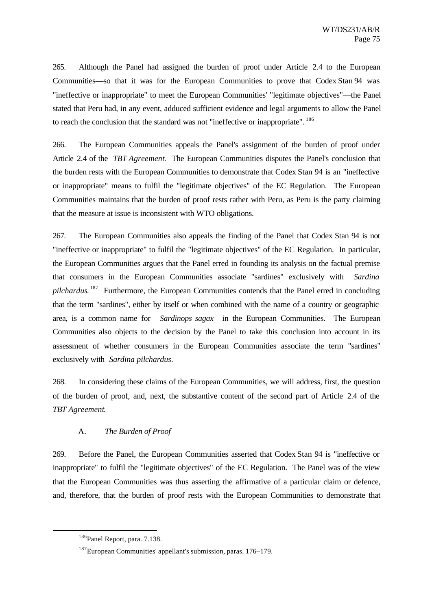265. Although the Panel had assigned the burden of proof under Article 2.4 to the European Communities—so that it was for the European Communities to prove that Codex Stan 94 was "ineffective or inappropriate" to meet the European Communities' "legitimate objectives"—the Panel stated that Peru had, in any event, adduced sufficient evidence and legal arguments to allow the Panel to reach the conclusion that the standard was not "ineffective or inappropriate". <sup>186</sup>

266. The European Communities appeals the Panel's assignment of the burden of proof under Article 2.4 of the *TBT Agreement*. The European Communities disputes the Panel's conclusion that the burden rests with the European Communities to demonstrate that Codex Stan 94 is an "ineffective or inappropriate" means to fulfil the "legitimate objectives" of the EC Regulation. The European Communities maintains that the burden of proof rests rather with Peru, as Peru is the party claiming that the measure at issue is inconsistent with WTO obligations.

267. The European Communities also appeals the finding of the Panel that Codex Stan 94 is not "ineffective or inappropriate" to fulfil the "legitimate objectives" of the EC Regulation. In particular, the European Communities argues that the Panel erred in founding its analysis on the factual premise that consumers in the European Communities associate "sardines" exclusively with *Sardina pilchardus*. <sup>187</sup> Furthermore, the European Communities contends that the Panel erred in concluding that the term "sardines", either by itself or when combined with the name of a country or geographic area, is a common name for *Sardinops sagax* in the European Communities. The European Communities also objects to the decision by the Panel to take this conclusion into account in its assessment of whether consumers in the European Communities associate the term "sardines" exclusively with *Sardina pilchardus*.

268. In considering these claims of the European Communities, we will address, first, the question of the burden of proof, and, next, the substantive content of the second part of Article 2.4 of the *TBT Agreement*.

# A. *The Burden of Proof*

269. Before the Panel, the European Communities asserted that Codex Stan 94 is "ineffective or inappropriate" to fulfil the "legitimate objectives" of the EC Regulation. The Panel was of the view that the European Communities was thus asserting the affirmative of a particular claim or defence, and, therefore, that the burden of proof rests with the European Communities to demonstrate that

<sup>&</sup>lt;sup>186</sup>Panel Report, para. 7.138.

<sup>187</sup>European Communities' appellant's submission, paras. 176–179.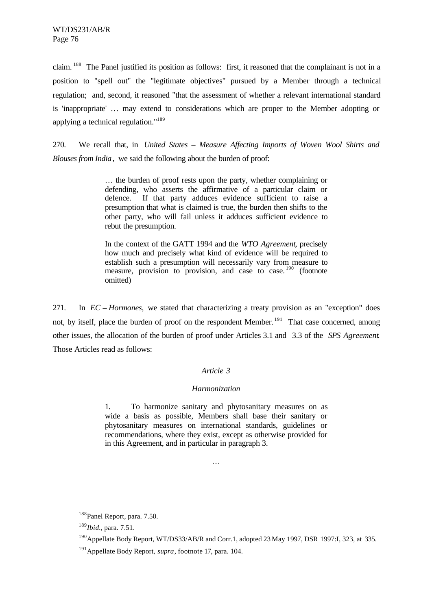claim. <sup>188</sup> The Panel justified its position as follows: first, it reasoned that the complainant is not in a position to "spell out" the "legitimate objectives" pursued by a Member through a technical regulation; and, second, it reasoned "that the assessment of whether a relevant international standard is 'inappropriate' … may extend to considerations which are proper to the Member adopting or applying a technical regulation."<sup>189</sup>

270. We recall that, in *United States – Measure Affecting Imports of Woven Wool Shirts and Blouses from India*, we said the following about the burden of proof:

> … the burden of proof rests upon the party, whether complaining or defending, who asserts the affirmative of a particular claim or defence. If that party adduces evidence sufficient to raise a presumption that what is claimed is true, the burden then shifts to the other party, who will fail unless it adduces sufficient evidence to rebut the presumption.

> In the context of the GATT 1994 and the *WTO Agreement*, precisely how much and precisely what kind of evidence will be required to establish such a presumption will necessarily vary from measure to measure, provision to provision, and case to case.<sup>190</sup> (footnote omitted)

271. In *EC – Hormones*, we stated that characterizing a treaty provision as an "exception" does not, by itself, place the burden of proof on the respondent Member.<sup>191</sup> That case concerned, among other issues, the allocation of the burden of proof under Articles 3.1 and 3.3 of the *SPS Agreement*. Those Articles read as follows:

## *Article 3*

#### *Harmonization*

1. To harmonize sanitary and phytosanitary measures on as wide a basis as possible, Members shall base their sanitary or phytosanitary measures on international standards, guidelines or recommendations, where they exist, except as otherwise provided for in this Agreement, and in particular in paragraph 3.

…

<sup>188</sup>Panel Report, para. 7.50.

<sup>189</sup>*Ibid.*, para. 7.51.

<sup>&</sup>lt;sup>190</sup>Appellate Body Report, WT/DS33/AB/R and Corr.1, adopted 23 May 1997, DSR 1997:I, 323, at 335.

<sup>191</sup>Appellate Body Report, *supra*, footnote 17, para. 104.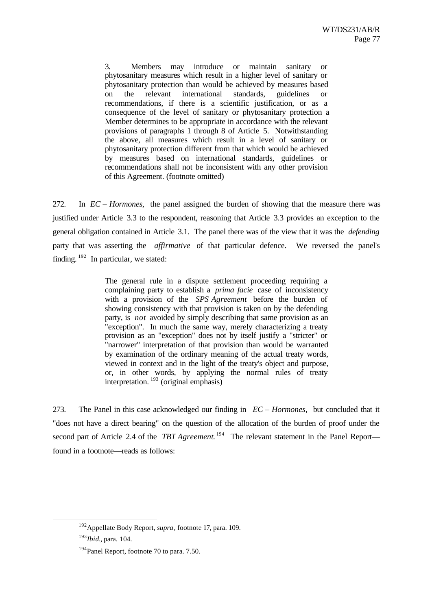3. Members may introduce or maintain sanitary phytosanitary measures which result in a higher level of sanitary or phytosanitary protection than would be achieved by measures based on the relevant international standards, guidelines or recommendations, if there is a scientific justification, or as a consequence of the level of sanitary or phytosanitary protection a Member determines to be appropriate in accordance with the relevant provisions of paragraphs 1 through 8 of Article 5. Notwithstanding the above, all measures which result in a level of sanitary or phytosanitary protection different from that which would be achieved by measures based on international standards, guidelines or recommendations shall not be inconsistent with any other provision of this Agreement. (footnote omitted)

272. In *EC – Hormones*, the panel assigned the burden of showing that the measure there was justified under Article 3.3 to the respondent, reasoning that Article 3.3 provides an exception to the general obligation contained in Article 3.1. The panel there was of the view that it was the *defending* party that was asserting the *affirmative* of that particular defence. We reversed the panel's finding.  $192$  In particular, we stated:

> The general rule in a dispute settlement proceeding requiring a complaining party to establish a *prima facie* case of inconsistency with a provision of the *SPS Agreement* before the burden of showing consistency with that provision is taken on by the defending party, is *not* avoided by simply describing that same provision as an "exception". In much the same way, merely characterizing a treaty provision as an "exception" does not by itself justify a "stricter" or "narrower" interpretation of that provision than would be warranted by examination of the ordinary meaning of the actual treaty words, viewed in context and in the light of the treaty's object and purpose, or, in other words, by applying the normal rules of treaty interpretation. <sup>193</sup> (original emphasis)

273. The Panel in this case acknowledged our finding in *EC – Hormones*, but concluded that it "does not have a direct bearing" on the question of the allocation of the burden of proof under the second part of Article 2.4 of the *TBT Agreement*.<sup>194</sup> The relevant statement in the Panel Report found in a footnote—reads as follows:

<sup>192</sup>Appellate Body Report, *supra*, footnote 17, para. 109.

<sup>193</sup>*Ibid.*, para. 104.

<sup>&</sup>lt;sup>194</sup>Panel Report, footnote 70 to para. 7.50.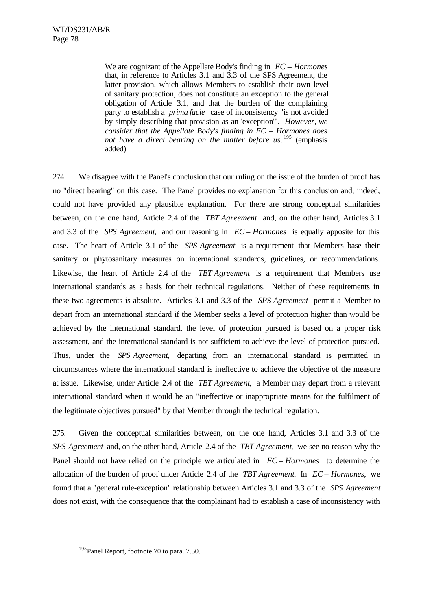We are cognizant of the Appellate Body's finding in *EC – Hormones* that, in reference to Articles 3.1 and 3.3 of the SPS Agreement, the latter provision, which allows Members to establish their own level of sanitary protection, does not constitute an exception to the general obligation of Article 3.1, and that the burden of the complaining party to establish a *prima facie* case of inconsistency "is not avoided by simply describing that provision as an 'exception'". *However, we consider that the Appellate Body's finding in EC – Hormones does not have a direct bearing on the matter before us*. <sup>195</sup> (emphasis added)

274. We disagree with the Panel's conclusion that our ruling on the issue of the burden of proof has no "direct bearing" on this case. The Panel provides no explanation for this conclusion and, indeed, could not have provided any plausible explanation. For there are strong conceptual similarities between, on the one hand, Article 2.4 of the *TBT Agreement* and, on the other hand, Articles 3.1 and 3.3 of the *SPS Agreement*, and our reasoning in *EC – Hormones* is equally apposite for this case. The heart of Article 3.1 of the *SPS Agreement* is a requirement that Members base their sanitary or phytosanitary measures on international standards, guidelines, or recommendations. Likewise, the heart of Article 2.4 of the *TBT Agreement* is a requirement that Members use international standards as a basis for their technical regulations. Neither of these requirements in these two agreements is absolute. Articles 3.1 and 3.3 of the *SPS Agreement* permit a Member to depart from an international standard if the Member seeks a level of protection higher than would be achieved by the international standard, the level of protection pursued is based on a proper risk assessment, and the international standard is not sufficient to achieve the level of protection pursued. Thus, under the *SPS Agreement*, departing from an international standard is permitted in circumstances where the international standard is ineffective to achieve the objective of the measure at issue. Likewise, under Article 2.4 of the *TBT Agreement*, a Member may depart from a relevant international standard when it would be an "ineffective or inappropriate means for the fulfilment of the legitimate objectives pursued" by that Member through the technical regulation.

275. Given the conceptual similarities between, on the one hand, Articles 3.1 and 3.3 of the *SPS Agreement* and, on the other hand, Article 2.4 of the *TBT Agreement*, we see no reason why the Panel should not have relied on the principle we articulated in *EC – Hormones* to determine the allocation of the burden of proof under Article 2.4 of the *TBT Agreement*. In *EC – Hormones*, we found that a "general rule-exception" relationship between Articles 3.1 and 3.3 of the *SPS Agreement* does not exist, with the consequence that the complainant had to establish a case of inconsistency with

<sup>&</sup>lt;sup>195</sup>Panel Report, footnote 70 to para. 7.50.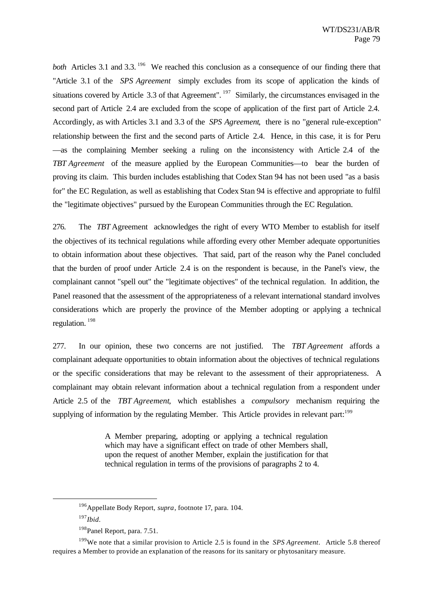*both* Articles 3.1 and 3.3.<sup>196</sup> We reached this conclusion as a consequence of our finding there that "Article 3.1 of the *SPS Agreement* simply excludes from its scope of application the kinds of situations covered by Article 3.3 of that Agreement". <sup>197</sup> Similarly, the circumstances envisaged in the second part of Article 2.4 are excluded from the scope of application of the first part of Article 2.4. Accordingly, as with Articles 3.1 and 3.3 of the *SPS Agreement*, there is no "general rule-exception" relationship between the first and the second parts of Article 2.4. Hence, in this case, it is for Peru —as the complaining Member seeking a ruling on the inconsistency with Article 2.4 of the *TBT Agreement* of the measure applied by the European Communities—to bear the burden of proving its claim. This burden includes establishing that Codex Stan 94 has not been used "as a basis for" the EC Regulation, as well as establishing that Codex Stan 94 is effective and appropriate to fulfil the "legitimate objectives" pursued by the European Communities through the EC Regulation.

276. The *TBT* Agreement acknowledges the right of every WTO Member to establish for itself the objectives of its technical regulations while affording every other Member adequate opportunities to obtain information about these objectives. That said, part of the reason why the Panel concluded that the burden of proof under Article 2.4 is on the respondent is because, in the Panel's view, the complainant cannot "spell out" the "legitimate objectives" of the technical regulation. In addition, the Panel reasoned that the assessment of the appropriateness of a relevant international standard involves considerations which are properly the province of the Member adopting or applying a technical regulation. <sup>198</sup>

277. In our opinion, these two concerns are not justified. The *TBT Agreement* affords a complainant adequate opportunities to obtain information about the objectives of technical regulations or the specific considerations that may be relevant to the assessment of their appropriateness. A complainant may obtain relevant information about a technical regulation from a respondent under Article 2.5 of the *TBT Agreement*, which establishes a *compulsory* mechanism requiring the supplying of information by the regulating Member. This Article provides in relevant part:<sup>199</sup>

> A Member preparing, adopting or applying a technical regulation which may have a significant effect on trade of other Members shall, upon the request of another Member, explain the justification for that technical regulation in terms of the provisions of paragraphs 2 to 4.

<sup>196</sup>Appellate Body Report, *supra*, footnote 17, para. 104.

<sup>197</sup>*Ibid*.

<sup>&</sup>lt;sup>198</sup>Panel Report, para. 7.51.

<sup>199</sup>We note that a similar provision to Article 2.5 is found in the *SPS Agreement*. Article 5.8 thereof requires a Member to provide an explanation of the reasons for its sanitary or phytosanitary measure.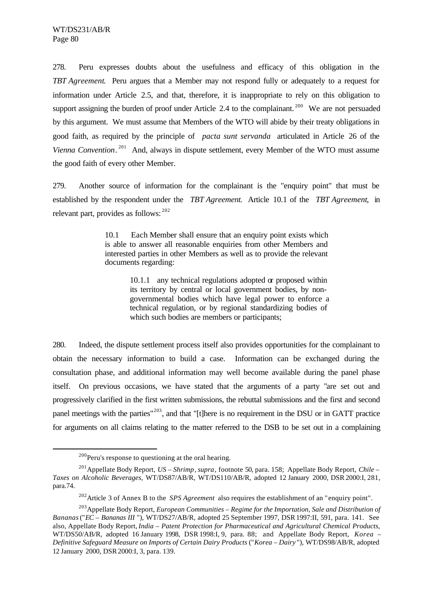278. Peru expresses doubts about the usefulness and efficacy of this obligation in the *TBT Agreement*. Peru argues that a Member may not respond fully or adequately to a request for information under Article 2.5, and that, therefore, it is inappropriate to rely on this obligation to support assigning the burden of proof under Article 2.4 to the complainant.<sup>200</sup> We are not persuaded by this argument. We must assume that Members of the WTO will abide by their treaty obligations in good faith, as required by the principle of *pacta sunt servanda* articulated in Article 26 of the Vienna Convention.<sup>201</sup> And, always in dispute settlement, every Member of the WTO must assume the good faith of every other Member.

279. Another source of information for the complainant is the "enquiry point" that must be established by the respondent under the *TBT Agreement*. Article 10.1 of the *TBT Agreement*, in relevant part, provides as follows: <sup>202</sup>

> 10.1 Each Member shall ensure that an enquiry point exists which is able to answer all reasonable enquiries from other Members and interested parties in other Members as well as to provide the relevant documents regarding:

> > 10.1.1 any technical regulations adopted  $\alpha$  proposed within its territory by central or local government bodies, by nongovernmental bodies which have legal power to enforce a technical regulation, or by regional standardizing bodies of which such bodies are members or participants;

280. Indeed, the dispute settlement process itself also provides opportunities for the complainant to obtain the necessary information to build a case. Information can be exchanged during the consultation phase, and additional information may well become available during the panel phase itself. On previous occasions, we have stated that the arguments of a party "are set out and progressively clarified in the first written submissions, the rebuttal submissions and the first and second panel meetings with the parties"<sup>203</sup>, and that "[t]here is no requirement in the DSU or in GATT practice for arguments on all claims relating to the matter referred to the DSB to be set out in a complaining

 $200$ Peru's response to questioning at the oral hearing.

<sup>201</sup>Appellate Body Report, *US – Shrimp*, *supra*, footnote 50, para. 158; Appellate Body Report, *Chile – Taxes on Alcoholic Beverages*, WT/DS87/AB/R, WT/DS110/AB/R, adopted 12 January 2000, DSR 2000:I, 281, para.74.

<sup>202</sup>Article 3 of Annex B to the *SPS Agreement* also requires the establishment of an "enquiry point".

<sup>203</sup>Appellate Body Report, *European Communities – Regime for the Importation, Sale and Distribution of Bananas* ("*EC – Bananas III* "), WT/DS27/AB/R, adopted 25 September 1997, DSR 1997:II, 591, para. 141. See also, Appellate Body Report, *India – Patent Protection for Pharmaceutical and Agricultural Chemical Products*, WT/DS50/AB/R, adopted 16 January 1998, DSR 1998:I, 9, para. 88; and Appellate Body Report, *Korea – Definitive Safeguard Measure on Imports of Certain Dairy Products* ("*Korea – Dairy* "), WT/DS98/AB/R, adopted 12 January 2000, DSR 2000:I, 3, para. 139.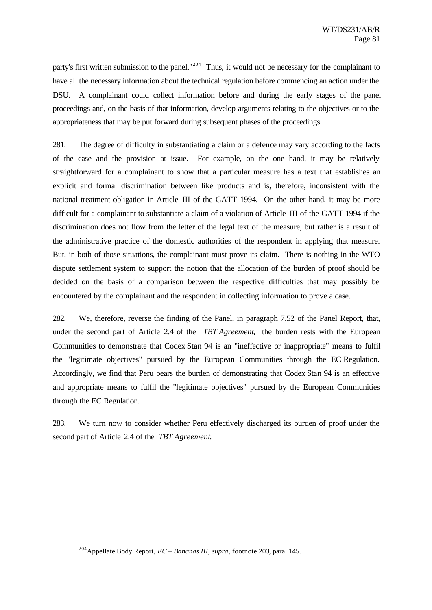party's first written submission to the panel."<sup>204</sup> Thus, it would not be necessary for the complainant to have all the necessary information about the technical regulation before commencing an action under the DSU. A complainant could collect information before and during the early stages of the panel proceedings and, on the basis of that information, develop arguments relating to the objectives or to the appropriateness that may be put forward during subsequent phases of the proceedings.

281. The degree of difficulty in substantiating a claim or a defence may vary according to the facts of the case and the provision at issue. For example, on the one hand, it may be relatively straightforward for a complainant to show that a particular measure has a text that establishes an explicit and formal discrimination between like products and is, therefore, inconsistent with the national treatment obligation in Article III of the GATT 1994. On the other hand, it may be more difficult for a complainant to substantiate a claim of a violation of Article III of the GATT 1994 if the discrimination does not flow from the letter of the legal text of the measure, but rather is a result of the administrative practice of the domestic authorities of the respondent in applying that measure. But, in both of those situations, the complainant must prove its claim. There is nothing in the WTO dispute settlement system to support the notion that the allocation of the burden of proof should be decided on the basis of a comparison between the respective difficulties that may possibly be encountered by the complainant and the respondent in collecting information to prove a case.

282. We, therefore, reverse the finding of the Panel, in paragraph 7.52 of the Panel Report, that, under the second part of Article 2.4 of the *TBT Agreement*, the burden rests with the European Communities to demonstrate that Codex Stan 94 is an "ineffective or inappropriate" means to fulfil the "legitimate objectives" pursued by the European Communities through the EC Regulation. Accordingly, we find that Peru bears the burden of demonstrating that Codex Stan 94 is an effective and appropriate means to fulfil the "legitimate objectives" pursued by the European Communities through the EC Regulation.

283. We turn now to consider whether Peru effectively discharged its burden of proof under the second part of Article 2.4 of the *TBT Agreement*.

<sup>204</sup>Appellate Body Report, *EC – Bananas III*, *supra*, footnote 203, para. 145.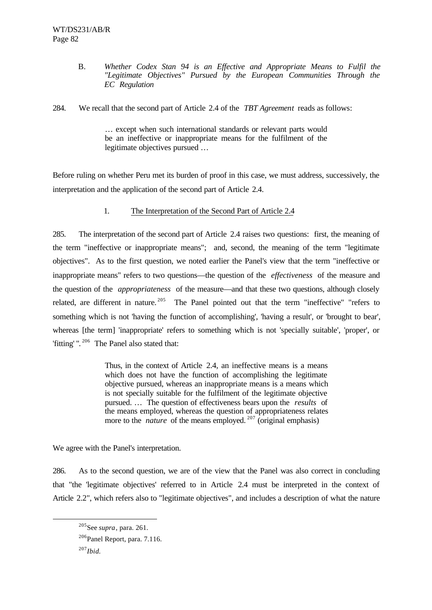B. *Whether Codex Stan 94 is an Effective and Appropriate Means to Fulfil the "Legitimate Objectives" Pursued by the European Communities Through the EC Regulation*

284. We recall that the second part of Article 2.4 of the *TBT Agreement* reads as follows:

… except when such international standards or relevant parts would be an ineffective or inappropriate means for the fulfilment of the legitimate objectives pursued …

Before ruling on whether Peru met its burden of proof in this case, we must address, successively, the interpretation and the application of the second part of Article 2.4.

## 1. The Interpretation of the Second Part of Article 2.4

285. The interpretation of the second part of Article 2.4 raises two questions: first, the meaning of the term "ineffective or inappropriate means"; and, second, the meaning of the term "legitimate objectives". As to the first question, we noted earlier the Panel's view that the term "ineffective or inappropriate means" refers to two questions—the question of the *effectiveness* of the measure and the question of the *appropriateness* of the measure—and that these two questions, although closely related, are different in nature.<sup>205</sup> The Panel pointed out that the term "ineffective" "refers to something which is not 'having the function of accomplishing', 'having a result', or 'brought to bear', whereas [the term] 'inappropriate' refers to something which is not 'specially suitable', 'proper', or 'fitting' ". <sup>206</sup> The Panel also stated that:

> Thus, in the context of Article 2.4, an ineffective means is a means which does not have the function of accomplishing the legitimate objective pursued, whereas an inappropriate means is a means which is not specially suitable for the fulfilment of the legitimate objective pursued. … The question of effectiveness bears upon the *results* of the means employed, whereas the question of appropriateness relates more to the *nature* of the means employed.<sup>207</sup> (original emphasis)

We agree with the Panel's interpretation.

286. As to the second question, we are of the view that the Panel was also correct in concluding that "the 'legitimate objectives' referred to in Article 2.4 must be interpreted in the context of Article 2.2", which refers also to "legitimate objectives", and includes a description of what the nature

<sup>205</sup>See *supra*, para. 261.

<sup>206</sup>Panel Report, para. 7.116.

<sup>207</sup>*Ibid.*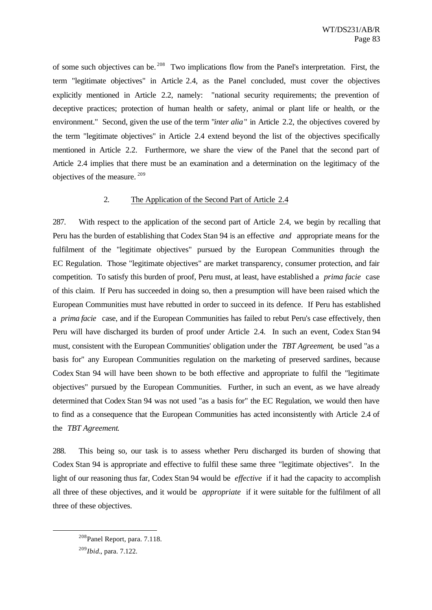of some such objectives can be. <sup>208</sup> Two implications flow from the Panel's interpretation. First, the term "legitimate objectives" in Article 2.4, as the Panel concluded, must cover the objectives explicitly mentioned in Article 2.2, namely: "national security requirements; the prevention of deceptive practices; protection of human health or safety, animal or plant life or health, or the environment." Second, given the use of the term "*inter alia*" in Article 2.2, the objectives covered by the term "legitimate objectives" in Article 2.4 extend beyond the list of the objectives specifically mentioned in Article 2.2. Furthermore, we share the view of the Panel that the second part of Article 2.4 implies that there must be an examination and a determination on the legitimacy of the objectives of the measure. <sup>209</sup>

#### 2. The Application of the Second Part of Article 2.4

287. With respect to the application of the second part of Article 2.4, we begin by recalling that Peru has the burden of establishing that Codex Stan 94 is an effective *and* appropriate means for the fulfilment of the "legitimate objectives" pursued by the European Communities through the EC Regulation. Those "legitimate objectives" are market transparency, consumer protection, and fair competition. To satisfy this burden of proof, Peru must, at least, have established a *prima facie* case of this claim. If Peru has succeeded in doing so, then a presumption will have been raised which the European Communities must have rebutted in order to succeed in its defence. If Peru has established a *prima facie* case, and if the European Communities has failed to rebut Peru's case effectively, then Peru will have discharged its burden of proof under Article 2.4. In such an event, Codex Stan 94 must, consistent with the European Communities' obligation under the *TBT Agreement*, be used "as a basis for" any European Communities regulation on the marketing of preserved sardines, because Codex Stan 94 will have been shown to be both effective and appropriate to fulfil the "legitimate objectives" pursued by the European Communities. Further, in such an event, as we have already determined that Codex Stan 94 was not used "as a basis for" the EC Regulation, we would then have to find as a consequence that the European Communities has acted inconsistently with Article 2.4 of the *TBT Agreement*.

288. This being so, our task is to assess whether Peru discharged its burden of showing that Codex Stan 94 is appropriate and effective to fulfil these same three "legitimate objectives". In the light of our reasoning thus far, Codex Stan 94 would be *effective* if it had the capacity to accomplish all three of these objectives, and it would be *appropriate* if it were suitable for the fulfilment of all three of these objectives.

<sup>208</sup>Panel Report, para. 7.118.

<sup>209</sup>*Ibid.*, para. 7.122.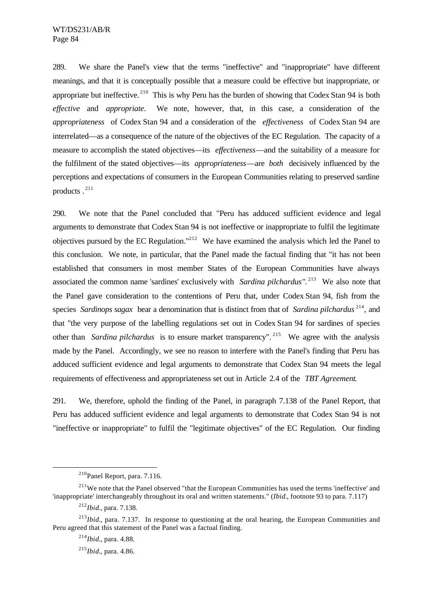289. We share the Panel's view that the terms "ineffective" and "inappropriate" have different meanings, and that it is conceptually possible that a measure could be effective but inappropriate, or appropriate but ineffective.  $210$  This is why Peru has the burden of showing that Codex Stan 94 is both *effective* and *appropriate*. We note, however, that, in this case, a consideration of the *appropriateness* of Codex Stan 94 and a consideration of the *effectiveness* of Codex Stan 94 are interrelated—as a consequence of the nature of the objectives of the EC Regulation. The capacity of a measure to accomplish the stated objectives—its *effectiveness*—and the suitability of a measure for the fulfilment of the stated objectives—its *appropriateness*—are *both* decisively influenced by the perceptions and expectations of consumers in the European Communities relating to preserved sardine products . <sup>211</sup>

290. We note that the Panel concluded that "Peru has adduced sufficient evidence and legal arguments to demonstrate that Codex Stan 94 is not ineffective or inappropriate to fulfil the legitimate objectives pursued by the EC Regulation."<sup>212</sup> We have examined the analysis which led the Panel to this conclusion. We note, in particular, that the Panel made the factual finding that "it has not been established that consumers in most member States of the European Communities have always associated the common name 'sardines' exclusively with *Sardina pilchardus*". <sup>213</sup> We also note that the Panel gave consideration to the contentions of Peru that, under Codex Stan 94, fish from the species *Sardinops sagax* bear a denomination that is distinct from that of *Sardina pilchardus* <sup>214</sup>, and that "the very purpose of the labelling regulations set out in Codex Stan 94 for sardines of species other than *Sardina pilchardus* is to ensure market transparency". <sup>215</sup> We agree with the analysis made by the Panel. Accordingly, we see no reason to interfere with the Panel's finding that Peru has adduced sufficient evidence and legal arguments to demonstrate that Codex Stan 94 meets the legal requirements of effectiveness and appropriateness set out in Article 2.4 of the *TBT Agreement*.

291. We, therefore, uphold the finding of the Panel, in paragraph 7.138 of the Panel Report, that Peru has adduced sufficient evidence and legal arguments to demonstrate that Codex Stan 94 is not "ineffective or inappropriate" to fulfil the "legitimate objectives" of the EC Regulation. Our finding

l

<sup>215</sup>*Ibid.*, para. 4.86.

 $^{210}$ Panel Report, para. 7.116.

<sup>&</sup>lt;sup>211</sup>We note that the Panel observed "that the European Communities has used the terms 'ineffective' and 'inappropriate' interchangeably throughout its oral and written statements." (*Ibid.*, footnote 93 to para. 7.117)

<sup>212</sup>*Ibid.*, para. 7.138.

<sup>213</sup>*Ibid.*, para. 7.137. In response to questioning at the oral hearing, the European Communities and Peru agreed that this statement of the Panel was a factual finding.

<sup>214</sup>*Ibid.*, para. 4.88.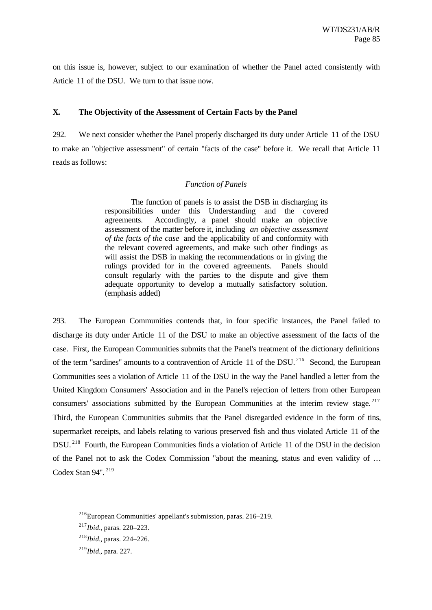on this issue is, however, subject to our examination of whether the Panel acted consistently with Article 11 of the DSU. We turn to that issue now.

#### **X. The Objectivity of the Assessment of Certain Facts by the Panel**

292. We next consider whether the Panel properly discharged its duty under Article 11 of the DSU to make an "objective assessment" of certain "facts of the case" before it. We recall that Article 11 reads as follows:

## *Function of Panels*

The function of panels is to assist the DSB in discharging its responsibilities under this Understanding and the covered agreements. Accordingly, a panel should make an objective assessment of the matter before it, including *an objective assessment of the facts of the case* and the applicability of and conformity with the relevant covered agreements, and make such other findings as will assist the DSB in making the recommendations or in giving the rulings provided for in the covered agreements. Panels should consult regularly with the parties to the dispute and give them adequate opportunity to develop a mutually satisfactory solution. (emphasis added)

293. The European Communities contends that, in four specific instances, the Panel failed to discharge its duty under Article 11 of the DSU to make an objective assessment of the facts of the case. First, the European Communities submits that the Panel's treatment of the dictionary definitions of the term "sardines" amounts to a contravention of Article 11 of the DSU.<sup>216</sup> Second, the European Communities sees a violation of Article 11 of the DSU in the way the Panel handled a letter from the United Kingdom Consumers' Association and in the Panel's rejection of letters from other European consumers' associations submitted by the European Communities at the interim review stage.<sup>217</sup> Third, the European Communities submits that the Panel disregarded evidence in the form of tins, supermarket receipts, and labels relating to various preserved fish and thus violated Article 11 of the DSU.<sup>218</sup> Fourth, the European Communities finds a violation of Article 11 of the DSU in the decision of the Panel not to ask the Codex Commission "about the meaning, status and even validity of … Codex Stan  $94"$ .  $^{219}$ 

<sup>216</sup>European Communities' appellant's submission, paras. 216–219.

<sup>217</sup>*Ibid.*, paras. 220–223.

<sup>218</sup>*Ibid.*, paras. 224–226.

<sup>219</sup>*Ibid.*, para. 227.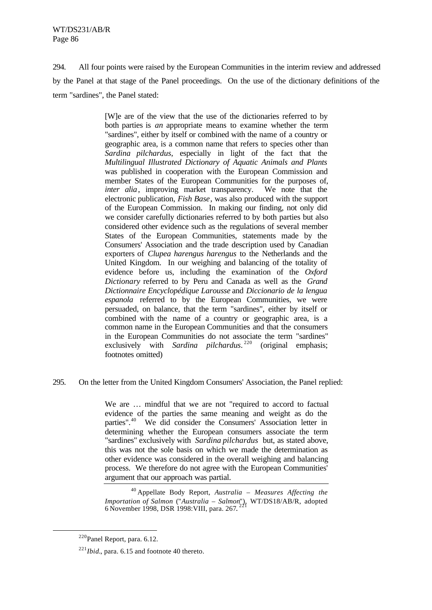294. All four points were raised by the European Communities in the interim review and addressed by the Panel at that stage of the Panel proceedings. On the use of the dictionary definitions of the term "sardines", the Panel stated:

> [W]e are of the view that the use of the dictionaries referred to by both parties is *an* appropriate means to examine whether the term "sardines", either by itself or combined with the name of a country or geographic area, is a common name that refers to species other than *Sardina pilchardus*, especially in light of the fact that the *Multilingual Illustrated Dictionary of Aquatic Animals and Plants* was published in cooperation with the European Commission and member States of the European Communities for the purposes of. *inter alia*, improving market transparency. We note that the electronic publication, *Fish Base*, was also produced with the support of the European Commission. In making our finding, not only did we consider carefully dictionaries referred to by both parties but also considered other evidence such as the regulations of several member States of the European Communities, statements made by the Consumers' Association and the trade description used by Canadian exporters of *Clupea harengus harengus* to the Netherlands and the United Kingdom. In our weighing and balancing of the totality of evidence before us, including the examination of the *Oxford Dictionary* referred to by Peru and Canada as well as the *Grand Dictionnaire Encyclopédique Larousse* and *Diccionario de la lengua espanola* referred to by the European Communities, we were persuaded, on balance, that the term "sardines", either by itself or combined with the name of a country or geographic area, is a common name in the European Communities and that the consumers in the European Communities do not associate the term "sardines" exclusively with *Sardina pilchardus*.<sup>220</sup> (original emphasis; footnotes omitted)

# 295. On the letter from the United Kingdom Consumers' Association, the Panel replied:

We are … mindful that we are not "required to accord to factual evidence of the parties the same meaning and weight as do the parties".<sup>40</sup> We did consider the Consumers' Association letter in determining whether the European consumers associate the term "sardines" exclusively with *Sardina pilchardus* but, as stated above, this was not the sole basis on which we made the determination as other evidence was considered in the overall weighing and balancing process. We therefore do not agree with the European Communities' argument that our approach was partial.

<sup>40</sup> Appellate Body Report, *Australia – Measures Affecting the Importation of Salmon* ("*Australia – Salmon*"), WT/DS18/AB/R, adopted<br>221 November 1998, DSB 1998-YIH asses 267,<sup>221</sup> 6 November 1998, DSR 1998:VIII, para. 267.

<sup>220</sup>Panel Report, para. 6.12.

<sup>221</sup>*Ibid.*, para. 6.15 and footnote 40 thereto.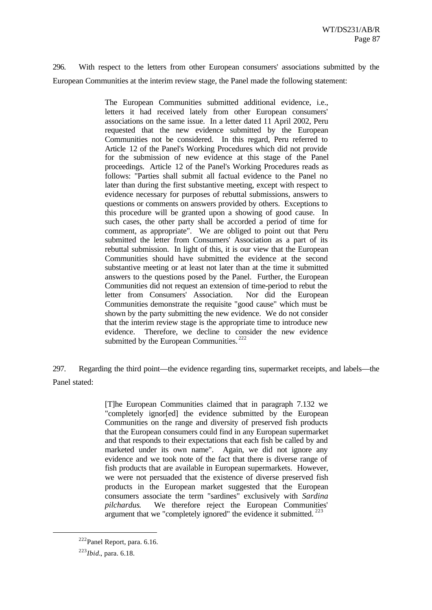296. With respect to the letters from other European consumers' associations submitted by the European Communities at the interim review stage, the Panel made the following statement:

> The European Communities submitted additional evidence, i.e., letters it had received lately from other European consumers' associations on the same issue. In a letter dated 11 April 2002, Peru requested that the new evidence submitted by the European Communities not be considered. In this regard, Peru referred to Article 12 of the Panel's Working Procedures which did not provide for the submission of new evidence at this stage of the Panel proceedings. Article 12 of the Panel's Working Procedures reads as follows: "Parties shall submit all factual evidence to the Panel no later than during the first substantive meeting, except with respect to evidence necessary for purposes of rebuttal submissions, answers to questions or comments on answers provided by others. Exceptions to this procedure will be granted upon a showing of good cause. In such cases, the other party shall be accorded a period of time for comment, as appropriate". We are obliged to point out that Peru submitted the letter from Consumers' Association as a part of its rebuttal submission. In light of this, it is our view that the European Communities should have submitted the evidence at the second substantive meeting or at least not later than at the time it submitted answers to the questions posed by the Panel. Further, the European Communities did not request an extension of time-period to rebut the letter from Consumers' Association. Nor did the European Communities demonstrate the requisite "good cause" which must be shown by the party submitting the new evidence. We do not consider that the interim review stage is the appropriate time to introduce new evidence. Therefore, we decline to consider the new evidence submitted by the European Communities.  $222$

297. Regarding the third point—the evidence regarding tins, supermarket receipts, and labels—the Panel stated:

> [T]he European Communities claimed that in paragraph 7.132 we "completely ignor[ed] the evidence submitted by the European Communities on the range and diversity of preserved fish products that the European consumers could find in any European supermarket and that responds to their expectations that each fish be called by and marketed under its own name". Again, we did not ignore any evidence and we took note of the fact that there is diverse range of fish products that are available in European supermarkets. However, we were not persuaded that the existence of diverse preserved fish products in the European market suggested that the European consumers associate the term "sardines" exclusively with *Sardina pilchardus*. We therefore reject the European Communities' argument that we "completely ignored" the evidence it submitted.  $22$

<sup>222</sup>Panel Report, para. 6.16.

<sup>223</sup>*Ibid.*, para. 6.18.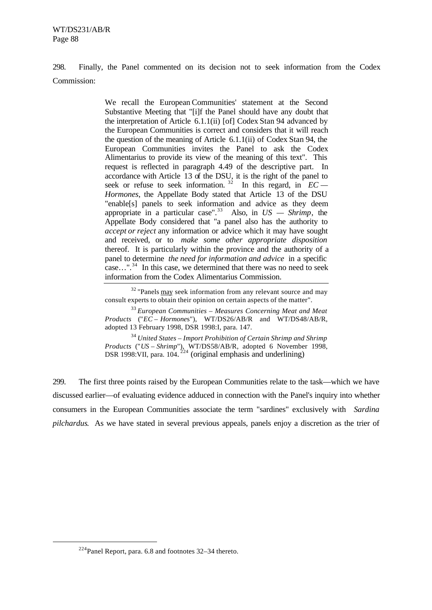298. Finally, the Panel commented on its decision not to seek information from the Codex Commission:

> We recall the European Communities' statement at the Second Substantive Meeting that "[i]f the Panel should have any doubt that the interpretation of Article 6.1.1(ii) [of] Codex Stan 94 advanced by the European Communities is correct and considers that it will reach the question of the meaning of Article 6.1.1(ii) of Codex Stan 94, the European Communities invites the Panel to ask the Codex Alimentarius to provide its view of the meaning of this text". This request is reflected in paragraph 4.49 of the descriptive part. In accordance with Article 13 of the DSU, it is the right of the panel to seek or refuse to seek information.<sup>32</sup> In this regard, in  $EC-$ *Hormones*, the Appellate Body stated that Article 13 of the DSU "enable[s] panels to seek information and advice as they deem appropriate in a particular case".<sup>33</sup> Also, in  $US = Shrimp$ , the Appellate Body considered that "a panel also has the authority to *accept or reject* any information or advice which it may have sought and received, or to *make some other appropriate disposition* thereof. It is particularly within the province and the authority of a panel to determine *the need for information and advice* in a specific  $\cos \theta$ ...".<sup>34</sup> In this case, we determined that there was no need to seek information from the Codex Alimentarius Commission.

> $32$  "Panels  $\frac{\text{max}}{\text{sech}}$  seek information from any relevant source and may consult experts to obtain their opinion on certain aspects of the matter".

> <sup>33</sup> *European Communities – Measures Concerning Meat and Meat Products* ("*EC – Hormone*s"), WT/DS26/AB/R and WT/DS48/AB/R, adopted 13 February 1998, DSR 1998:I, para. 147.

> <sup>34</sup> *United States – Import Prohibition of Certain Shrimp and Shrimp Products* ("*US – Shrimp*"), WT/DS58/AB/R, adopted 6 November 1998, DSR 1998: VII, para.  $104.224$  (original emphasis and underlining)

299. The first three points raised by the European Communities relate to the task—which we have discussed earlier—of evaluating evidence adduced in connection with the Panel's inquiry into whether consumers in the European Communities associate the term "sardines" exclusively with *Sardina pilchardus*. As we have stated in several previous appeals, panels enjoy a discretion as the trier of

<sup>224</sup>Panel Report, para. 6.8 and footnotes 32–34 thereto.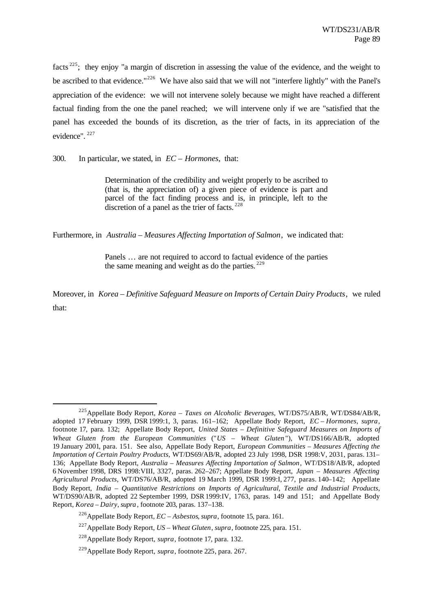facts <sup>225</sup>; they enjoy "a margin of discretion in assessing the value of the evidence, and the weight to be ascribed to that evidence."<sup>226</sup> We have also said that we will not "interfere lightly" with the Panel's appreciation of the evidence: we will not intervene solely because we might have reached a different factual finding from the one the panel reached; we will intervene only if we are "satisfied that the panel has exceeded the bounds of its discretion, as the trier of facts, in its appreciation of the evidence". <sup>227</sup>

300. In particular, we stated, in *EC – Hormones*, that:

Determination of the credibility and weight properly to be ascribed to (that is, the appreciation of) a given piece of evidence is part and parcel of the fact finding process and is, in principle, left to the discretion of a panel as the trier of facts.<sup>228</sup>

Furthermore, in *Australia – Measures Affecting Importation of Salmon*, we indicated that:

Panels … are not required to accord to factual evidence of the parties the same meaning and weight as do the parties.  $229$ 

Moreover, in *Korea – Definitive Safeguard Measure on Imports of Certain Dairy Products*, we ruled that:

<sup>225</sup>Appellate Body Report, *Korea – Taxes on Alcoholic Beverages*, WT/DS75/AB/R, WT/DS84/AB/R, adopted 17 February 1999, DSR 1999:1, 3, paras. 161–162; Appellate Body Report, *EC – Hormones*, *supra*, footnote 17, para. 132; Appellate Body Report, *United States – Definitive Safeguard Measures on Imports of Wheat Gluten from the European Communities* ("*US – Wheat Gluten* "), WT/DS166/AB/R, adopted 19 January 2001, para. 151. See also, Appellate Body Report, *European Communities – Measures Affecting the Importation of Certain Poultry Products*, WT/DS69/AB/R, adopted 23 July 1998, DSR 1998:V, 2031, paras. 131– 136; Appellate Body Report, *Australia – Measures Affecting Importation of Salmon*, WT/DS18/AB/R, adopted 6 November 1998, DRS 1998:VIII, 3327, paras. 262–267; Appellate Body Report, *Japan – Measures Affecting Agricultural Products*, WT/DS76/AB/R, adopted 19 March 1999, DSR 1999:I, 277, paras. 140–142; Appellate Body Report, *India – Quantitative Restrictions on Imports of Agricultural, Textile and Industrial Products*, WT/DS90/AB/R, adopted 22 September 1999, DSR 1999:IV, 1763, paras. 149 and 151; and Appellate Body Report, *Korea – Dairy*, *supra* , footnote 203, paras. 137–138.

<sup>226</sup>Appellate Body Report, *EC – Asbestos*, *supra*, footnote 15, para. 161.

<sup>227</sup>Appellate Body Report, *US – Wheat Gluten*, *supra*, footnote 225, para. 151.

<sup>228</sup>Appellate Body Report, *supra*, footnote 17, para. 132.

<sup>229</sup>Appellate Body Report, *supra*, footnote 225, para. 267.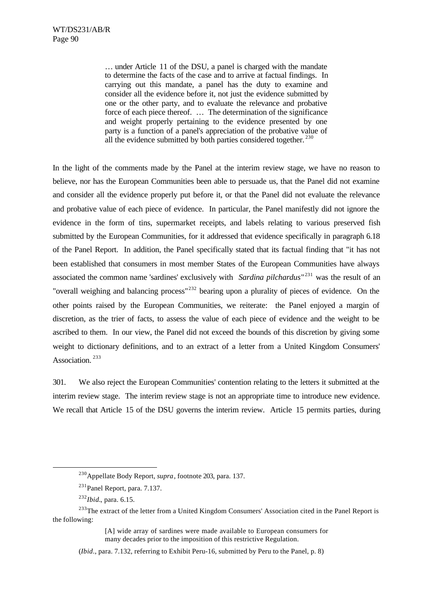… under Article 11 of the DSU, a panel is charged with the mandate to determine the facts of the case and to arrive at factual findings. In carrying out this mandate, a panel has the duty to examine and consider all the evidence before it, not just the evidence submitted by one or the other party, and to evaluate the relevance and probative force of each piece thereof. … The determination of the significance and weight properly pertaining to the evidence presented by one party is a function of a panel's appreciation of the probative value of all the evidence submitted by both parties considered together.<sup>230</sup>

In the light of the comments made by the Panel at the interim review stage, we have no reason to believe, nor has the European Communities been able to persuade us, that the Panel did not examine and consider all the evidence properly put before it, or that the Panel did not evaluate the relevance and probative value of each piece of evidence. In particular, the Panel manifestly did not ignore the evidence in the form of tins, supermarket receipts, and labels relating to various preserved fish submitted by the European Communities, for it addressed that evidence specifically in paragraph 6.18 of the Panel Report. In addition, the Panel specifically stated that its factual finding that "it has not been established that consumers in most member States of the European Communities have always associated the common name 'sardines' exclusively with *Sardina pilchardus*" <sup>231</sup> was the result of an "overall weighing and balancing process"<sup>232</sup> bearing upon a plurality of pieces of evidence. On the other points raised by the European Communities, we reiterate: the Panel enjoyed a margin of discretion, as the trier of facts, to assess the value of each piece of evidence and the weight to be ascribed to them. In our view, the Panel did not exceed the bounds of this discretion by giving some weight to dictionary definitions, and to an extract of a letter from a United Kingdom Consumers' Association.<sup>233</sup>

301. We also reject the European Communities' contention relating to the letters it submitted at the interim review stage. The interim review stage is not an appropriate time to introduce new evidence. We recall that Article 15 of the DSU governs the interim review. Article 15 permits parties, during

l

[A] wide array of sardines were made available to European consumers for many decades prior to the imposition of this restrictive Regulation.

<sup>230</sup>Appellate Body Report, *supra*, footnote 203, para. 137.

<sup>231</sup>Panel Report, para. 7.137.

<sup>232</sup>*Ibid.*, para. 6.15.

<sup>&</sup>lt;sup>233</sup>The extract of the letter from a United Kingdom Consumers' Association cited in the Panel Report is the following:

<sup>(</sup>*Ibid*., para. 7.132, referring to Exhibit Peru-16, submitted by Peru to the Panel, p. 8)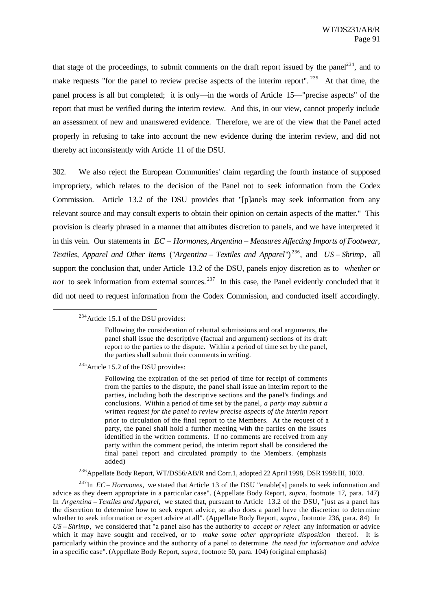that stage of the proceedings, to submit comments on the draft report issued by the panel<sup>234</sup>, and to make requests "for the panel to review precise aspects of the interim report".<sup>235</sup> At that time, the panel process is all but completed; it is only—in the words of Article 15—"precise aspects" of the report that must be verified during the interim review. And this, in our view, cannot properly include an assessment of new and unanswered evidence. Therefore, we are of the view that the Panel acted properly in refusing to take into account the new evidence during the interim review, and did not thereby act inconsistently with Article 11 of the DSU.

302. We also reject the European Communities' claim regarding the fourth instance of supposed impropriety, which relates to the decision of the Panel not to seek information from the Codex Commission. Article 13.2 of the DSU provides that "[p]anels may seek information from any relevant source and may consult experts to obtain their opinion on certain aspects of the matter." This provision is clearly phrased in a manner that attributes discretion to panels, and we have interpreted it in this vein. Our statements in *EC – Hormones*, *Argentina – Measures Affecting Imports of Footwear, Textiles, Apparel and Other Items* ("*Argentina – Textiles and Apparel*") <sup>236</sup> , and *US – Shrimp*, all support the conclusion that, under Article 13.2 of the DSU, panels enjoy discretion as to *whether or* not to seek information from external sources.<sup>237</sup> In this case, the Panel evidently concluded that it did not need to request information from the Codex Commission, and conducted itself accordingly.

l

<sup>236</sup>Appellate Body Report, WT/DS56/AB/R and Corr.1, adopted 22 April 1998, DSR 1998:III, 1003.

<sup>237</sup>In *EC – Hormones*, we stated that Article 13 of the DSU "enable<sup>[s]</sup> panels to seek information and advice as they deem appropriate in a particular case". (Appellate Body Report, *supra*, footnote 17, para. 147) In *Argentina – Textiles and Apparel*, we stated that, pursuant to Article 13.2 of the DSU, "just as a panel has the discretion to determine how to seek expert advice, so also does a panel have the discretion to determine whether to seek information or expert advice at all". (Appellate Body Report, *supra*, footnote 236, para. 84) In *US – Shrimp*, we considered that "a panel also has the authority to *accept or reject* any information or advice which it may have sought and received, or to *make some other appropriate disposition* thereof. It is particularly within the province and the authority of a panel to determine *the need for information and advice* in a specific case". (Appellate Body Report, *supra*, footnote 50, para. 104) (original emphasis)

 $^{234}$ Article 15.1 of the DSU provides:

Following the consideration of rebuttal submissions and oral arguments, the panel shall issue the descriptive (factual and argument) sections of its draft report to the parties to the dispute. Within a period of time set by the panel, the parties shall submit their comments in writing.

<sup>&</sup>lt;sup>235</sup>Article 15.2 of the DSU provides:

Following the expiration of the set period of time for receipt of comments from the parties to the dispute, the panel shall issue an interim report to the parties, including both the descriptive sections and the panel's findings and conclusions. Within a period of time set by the panel, *a party may submit a written request for the panel to review precise aspects of the interim report* prior to circulation of the final report to the Members. At the request of a party, the panel shall hold a further meeting with the parties on the issues identified in the written comments. If no comments are received from any party within the comment period, the interim report shall be considered the final panel report and circulated promptly to the Members. (emphasis added)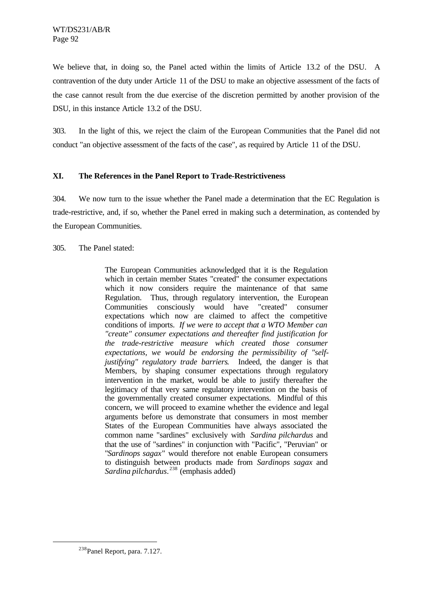We believe that, in doing so, the Panel acted within the limits of Article 13.2 of the DSU. A contravention of the duty under Article 11 of the DSU to make an objective assessment of the facts of the case cannot result from the due exercise of the discretion permitted by another provision of the DSU, in this instance Article 13.2 of the DSU.

303. In the light of this, we reject the claim of the European Communities that the Panel did not conduct "an objective assessment of the facts of the case", as required by Article 11 of the DSU.

# **XI. The References in the Panel Report to Trade-Restrictiveness**

304. We now turn to the issue whether the Panel made a determination that the EC Regulation is trade-restrictive, and, if so, whether the Panel erred in making such a determination, as contended by the European Communities.

## 305. The Panel stated:

The European Communities acknowledged that it is the Regulation which in certain member States "created" the consumer expectations which it now considers require the maintenance of that same Regulation. Thus, through regulatory intervention, the European Communities consciously would have "created" consumer expectations which now are claimed to affect the competitive conditions of imports. *If we were to accept that a WTO Member can "create" consumer expectations and thereafter find justification for the trade-restrictive measure which created those consumer expectations, we would be endorsing the permissibility of "selfjustifying" regulatory trade barriers*. Indeed, the danger is that Members, by shaping consumer expectations through regulatory intervention in the market, would be able to justify thereafter the legitimacy of that very same regulatory intervention on the basis of the governmentally created consumer expectations. Mindful of this concern, we will proceed to examine whether the evidence and legal arguments before us demonstrate that consumers in most member States of the European Communities have always associated the common name "sardines" exclusively with *Sardina pilchardus* and that the use of "sardines" in conjunction with "Pacific", "Peruvian" or "*Sardinops sagax*" would therefore not enable European consumers to distinguish between products made from *Sardinops sagax* and *Sardina pilchardus*. <sup>238</sup> (emphasis added)

<sup>238</sup>Panel Report, para. 7.127.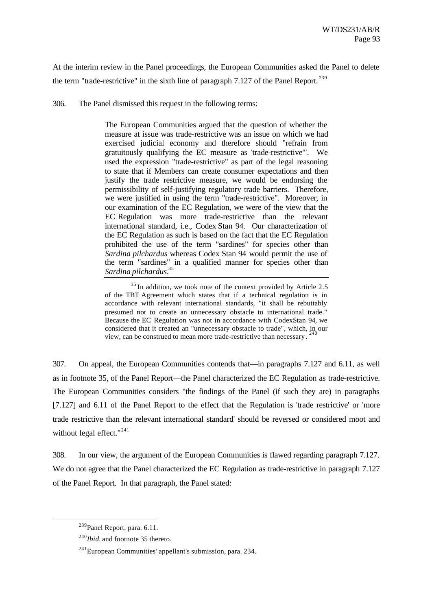At the interim review in the Panel proceedings, the European Communities asked the Panel to delete the term "trade-restrictive" in the sixth line of paragraph 7.127 of the Panel Report.<sup>239</sup>

306. The Panel dismissed this request in the following terms:

The European Communities argued that the question of whether the measure at issue was trade-restrictive was an issue on which we had exercised judicial economy and therefore should "refrain from gratuitously qualifying the EC measure as 'trade-restrictive'". We used the expression "trade-restrictive" as part of the legal reasoning to state that if Members can create consumer expectations and then justify the trade restrictive measure, we would be endorsing the permissibility of self-justifying regulatory trade barriers. Therefore, we were justified in using the term "trade-restrictive". Moreover, in our examination of the EC Regulation, we were of the view that the EC Regulation was more trade-restrictive than the relevant international standard, i.e., Codex Stan 94. Our characterization of the EC Regulation as such is based on the fact that the EC Regulation prohibited the use of the term "sardines" for species other than *Sardina pilchardus* whereas Codex Stan 94 would permit the use of the term "sardines" in a qualified manner for species other than *Sardina pilchardus*. 35

307. On appeal, the European Communities contends that—in paragraphs 7.127 and 6.11, as well as in footnote 35, of the Panel Report—the Panel characterized the EC Regulation as trade-restrictive. The European Communities considers "the findings of the Panel (if such they are) in paragraphs [7.127] and 6.11 of the Panel Report to the effect that the Regulation is 'trade restrictive' or 'more trade restrictive than the relevant international standard' should be reversed or considered moot and without legal effect." $^{241}$ 

308. In our view, the argument of the European Communities is flawed regarding paragraph 7.127. We do not agree that the Panel characterized the EC Regulation as trade-restrictive in paragraph 7.127 of the Panel Report. In that paragraph, the Panel stated:

 $35$  In addition, we took note of the context provided by Article 2.5 of the TBT Agreement which states that if a technical regulation is in accordance with relevant international standards, "it shall be rebuttably presumed not to create an unnecessary obstacle to international trade." Because the EC Regulation was not in accordance with Codex Stan 94, we considered that it created an "unnecessary obstacle to trade", which, in our primary and the measurement of the measurement of the measurement of the measurement of the measurement of the measurement of the measurement of view, can be construed to mean more trade-restrictive than necessary.

<sup>239</sup>Panel Report, para. 6.11.

<sup>&</sup>lt;sup>240</sup>*Ibid.* and footnote 35 thereto.

<sup>241</sup>European Communities' appellant's submission, para. 234.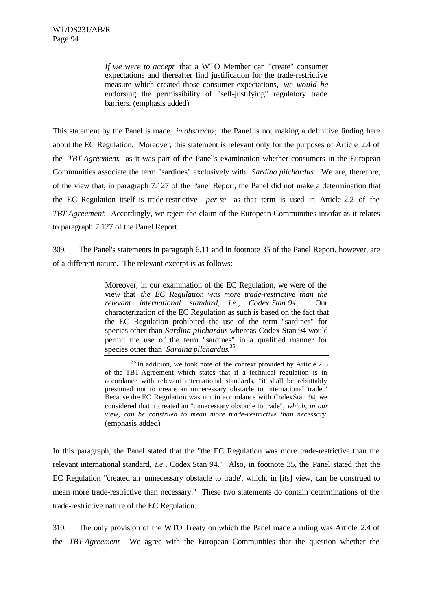*If we were to accept* that a WTO Member can "create" consumer expectations and thereafter find justification for the trade-restrictive measure which created those consumer expectations, *we would be* endorsing the permissibility of "self-justifying" regulatory trade barriers. (emphasis added)

This statement by the Panel is made *in abstracto*; the Panel is not making a definitive finding here about the EC Regulation. Moreover, this statement is relevant only for the purposes of Article 2.4 of the *TBT Agreement*, as it was part of the Panel's examination whether consumers in the European Communities associate the term "sardines" exclusively with *Sardina pilchardus*. We are, therefore, of the view that, in paragraph 7.127 of the Panel Report, the Panel did not make a determination that the EC Regulation itself is trade-restrictive *per se* as that term is used in Article 2.2 of the *TBT Agreement*. Accordingly, we reject the claim of the European Communities insofar as it relates to paragraph 7.127 of the Panel Report.

309. The Panel's statements in paragraph 6.11 and in footnote 35 of the Panel Report, however, are of a different nature. The relevant excerpt is as follows:

> Moreover, in our examination of the EC Regulation, we were of the view that *the EC Regulation was more trade-restrictive than the relevant international standard, i.e., Codex Stan 94*. Our characterization of the EC Regulation as such is based on the fact that the EC Regulation prohibited the use of the term "sardines" for species other than *Sardina pilchardus* whereas Codex Stan 94 would permit the use of the term "sardines" in a qualified manner for species other than *Sardina pilchardus*. 35

> $35$  In addition, we took note of the context provided by Article 2.5 of the TBT Agreement which states that if a technical regulation is in accordance with relevant international standards, "it shall be rebuttably presumed not to create an unnecessary obstacle to international trade." Because the EC Regulation was not in accordance with Codex Stan 94, we considered that it created an "unnecessary obstacle to trade", *which, in our view, can be construed to mean more trade-restrictive than necessary*. (emphasis added)

In this paragraph, the Panel stated that the "the EC Regulation was more trade-restrictive than the relevant international standard, *i.e.*, Codex Stan 94." Also, in footnote 35, the Panel stated that the EC Regulation "created an 'unnecessary obstacle to trade', which, in [its] view, can be construed to mean more trade-restrictive than necessary." These two statements do contain determinations of the trade-restrictive nature of the EC Regulation.

310. The only provision of the WTO Treaty on which the Panel made a ruling was Article 2.4 of the *TBT Agreement*. We agree with the European Communities that the question whether the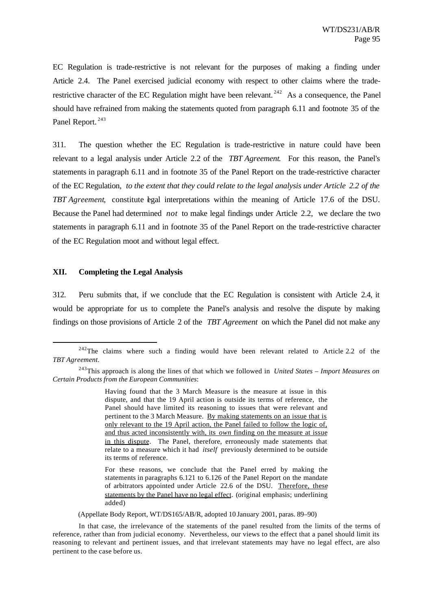EC Regulation is trade-restrictive is not relevant for the purposes of making a finding under Article 2.4. The Panel exercised judicial economy with respect to other claims where the traderestrictive character of the EC Regulation might have been relevant.<sup>242</sup> As a consequence, the Panel should have refrained from making the statements quoted from paragraph 6.11 and footnote 35 of the Panel Report.<sup>243</sup>

311. The question whether the EC Regulation is trade-restrictive in nature could have been relevant to a legal analysis under Article 2.2 of the *TBT Agreement*. For this reason, the Panel's statements in paragraph 6.11 and in footnote 35 of the Panel Report on the trade-restrictive character of the EC Regulation, *to the extent that they could relate to the legal analysis under Article 2.2 of the TBT Agreement*, constitute egal interpretations within the meaning of Article 17.6 of the DSU. Because the Panel had determined *not* to make legal findings under Article 2.2, we declare the two statements in paragraph 6.11 and in footnote 35 of the Panel Report on the trade-restrictive character of the EC Regulation moot and without legal effect.

#### **XII. Completing the Legal Analysis**

l

312. Peru submits that, if we conclude that the EC Regulation is consistent with Article 2.4, it would be appropriate for us to complete the Panel's analysis and resolve the dispute by making findings on those provisions of Article 2 of the *TBT Agreement* on which the Panel did not make any

For these reasons, we conclude that the Panel erred by making the statements in paragraphs 6.121 to 6.126 of the Panel Report on the mandate of arbitrators appointed under Article 22.6 of the DSU. Therefore, these statements by the Panel have no legal effect. (original emphasis; underlining added)

(Appellate Body Report, WT/DS165/AB/R, adopted 10 January 2001, paras. 89–90)

In that case, the irrelevance of the statements of the panel resulted from the limits of the terms of reference, rather than from judicial economy. Nevertheless, our views to the effect that a panel should limit its reasoning to relevant and pertinent issues, and that irrelevant statements may have no legal effect, are also pertinent to the case before us.

 $242$ The claims where such a finding would have been relevant related to Article 2.2 of the *TBT Agreement*.

<sup>243</sup>This approach is along the lines of that which we followed in *United States – Import Measures on Certain Products from the European Communities*:

Having found that the 3 March Measure is the measure at issue in this dispute, and that the 19 April action is outside its terms of reference, the Panel should have limited its reasoning to issues that were relevant and pertinent to the 3 March Measure. By making statements on an issue that is only relevant to the 19 April action, the Panel failed to follow the logic of, and thus acted inconsistently with, its *own* finding on the measure at issue in this dispute. The Panel, therefore, erroneously made statements that relate to a measure which it had *itself* previously determined to be outside its terms of reference.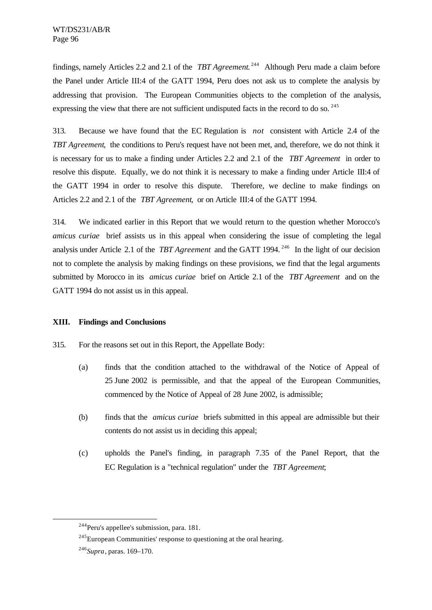findings, namely Articles 2.2 and 2.1 of the *TBT Agreement*. <sup>244</sup> Although Peru made a claim before the Panel under Article III:4 of the GATT 1994, Peru does not ask us to complete the analysis by addressing that provision. The European Communities objects to the completion of the analysis, expressing the view that there are not sufficient undisputed facts in the record to do so. <sup>245</sup>

313. Because we have found that the EC Regulation is *not* consistent with Article 2.4 of the *TBT Agreement*, the conditions to Peru's request have not been met, and, therefore, we do not think it is necessary for us to make a finding under Articles 2.2 and 2.1 of the *TBT Agreement* in order to resolve this dispute. Equally, we do not think it is necessary to make a finding under Article III:4 of the GATT 1994 in order to resolve this dispute. Therefore, we decline to make findings on Articles 2.2 and 2.1 of the *TBT Agreement*, or on Article III:4 of the GATT 1994.

314. We indicated earlier in this Report that we would return to the question whether Morocco's *amicus curiae* brief assists us in this appeal when considering the issue of completing the legal analysis under Article 2.1 of the *TBT Agreement* and the GATT 1994.<sup>246</sup> In the light of our decision not to complete the analysis by making findings on these provisions, we find that the legal arguments submitted by Morocco in its *amicus curiae* brief on Article 2.1 of the *TBT Agreement* and on the GATT 1994 do not assist us in this appeal.

#### **XIII. Findings and Conclusions**

315. For the reasons set out in this Report, the Appellate Body:

- (a) finds that the condition attached to the withdrawal of the Notice of Appeal of 25 June 2002 is permissible, and that the appeal of the European Communities, commenced by the Notice of Appeal of 28 June 2002, is admissible;
- (b) finds that the *amicus curiae* briefs submitted in this appeal are admissible but their contents do not assist us in deciding this appeal;
- (c) upholds the Panel's finding, in paragraph 7.35 of the Panel Report, that the EC Regulation is a "technical regulation" under the *TBT Agreement*;

<sup>&</sup>lt;sup>244</sup>Peru's appellee's submission, para. 181.

<sup>&</sup>lt;sup>245</sup>European Communities' response to questioning at the oral hearing.

<sup>246</sup>*Supra*, paras. 169–170.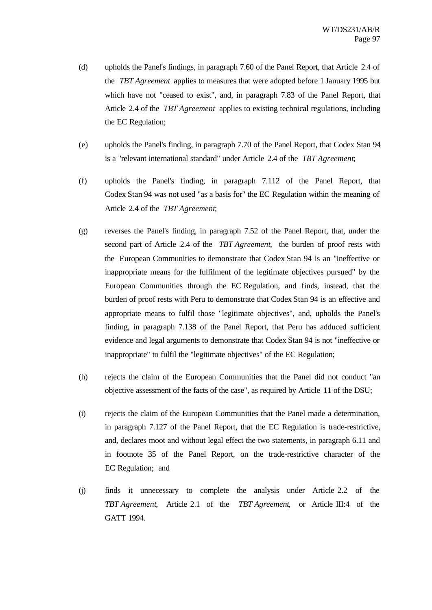- (d) upholds the Panel's findings, in paragraph 7.60 of the Panel Report, that Article 2.4 of the *TBT Agreement* applies to measures that were adopted before 1 January 1995 but which have not "ceased to exist", and, in paragraph 7.83 of the Panel Report, that Article 2.4 of the *TBT Agreement* applies to existing technical regulations, including the EC Regulation;
- (e) upholds the Panel's finding, in paragraph 7.70 of the Panel Report, that Codex Stan 94 is a "relevant international standard" under Article 2.4 of the *TBT Agreement*;
- (f) upholds the Panel's finding, in paragraph 7.112 of the Panel Report, that Codex Stan 94 was not used "as a basis for" the EC Regulation within the meaning of Article 2.4 of the *TBT Agreement*;
- (g) reverses the Panel's finding, in paragraph 7.52 of the Panel Report, that, under the second part of Article 2.4 of the *TBT Agreement*, the burden of proof rests with the European Communities to demonstrate that Codex Stan 94 is an "ineffective or inappropriate means for the fulfilment of the legitimate objectives pursued" by the European Communities through the EC Regulation, and finds, instead, that the burden of proof rests with Peru to demonstrate that Codex Stan 94 is an effective and appropriate means to fulfil those "legitimate objectives", and, upholds the Panel's finding, in paragraph 7.138 of the Panel Report, that Peru has adduced sufficient evidence and legal arguments to demonstrate that Codex Stan 94 is not "ineffective or inappropriate" to fulfil the "legitimate objectives" of the EC Regulation;
- (h) rejects the claim of the European Communities that the Panel did not conduct "an objective assessment of the facts of the case", as required by Article 11 of the DSU;
- (i) rejects the claim of the European Communities that the Panel made a determination, in paragraph 7.127 of the Panel Report, that the EC Regulation is trade-restrictive, and, declares moot and without legal effect the two statements, in paragraph 6.11 and in footnote 35 of the Panel Report, on the trade-restrictive character of the EC Regulation; and
- (j) finds it unnecessary to complete the analysis under Article 2.2 of the *TBT Agreement*, Article 2.1 of the *TBT Agreement*, or Article III:4 of the GATT 1994.